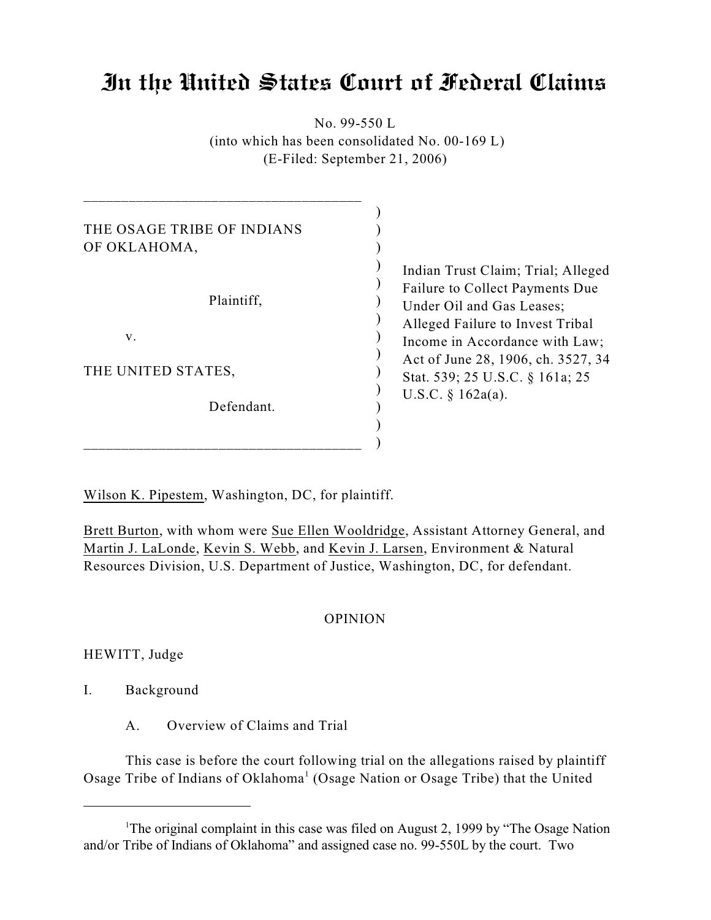# In the United States Court of Federal Claims

No. 99-550 L (into which has been consolidated No. 00-169 L) (E-Filed: September 21, 2006)

| THE OSAGE TRIBE OF INDIANS |  |
|----------------------------|--|
| OF OKLAHOMA,               |  |
|                            |  |
|                            |  |
| Plaintiff,                 |  |
|                            |  |
| v.                         |  |
|                            |  |
| THE UNITED STATES,         |  |
|                            |  |
| Defendant.                 |  |
|                            |  |
|                            |  |

\_\_\_\_\_\_\_\_\_\_\_\_\_\_\_\_\_\_\_\_\_\_\_\_\_\_\_\_\_\_\_\_\_\_\_\_\_

Indian Trust Claim; Trial; Alleged Failure to Collect Payments Due Under Oil and Gas Leases; Alleged Failure to Invest Tribal Income in Accordance with Law; Act of June 28, 1906, ch. 3527, 34 Stat. 539; 25 U.S.C. § 161a; 25 U.S.C. § 162a(a).

Wilson K. Pipestem, Washington, DC, for plaintiff.

Brett Burton, with whom were Sue Ellen Wooldridge, Assistant Attorney General, and Martin J. LaLonde, Kevin S. Webb, and Kevin J. Larsen, Environment & Natural Resources Division, U.S. Department of Justice, Washington, DC, for defendant.

#### OPINION

HEWITT, Judge

- I. Background
	- A. Overview of Claims and Trial

This case is before the court following trial on the allegations raised by plaintiff Osage Tribe of Indians of Oklahoma<sup>1</sup> (Osage Nation or Osage Tribe) that the United

<sup>&</sup>lt;sup>1</sup>The original complaint in this case was filed on August 2, 1999 by "The Osage Nation" and/or Tribe of Indians of Oklahoma" and assigned case no. 99-550L by the court. Two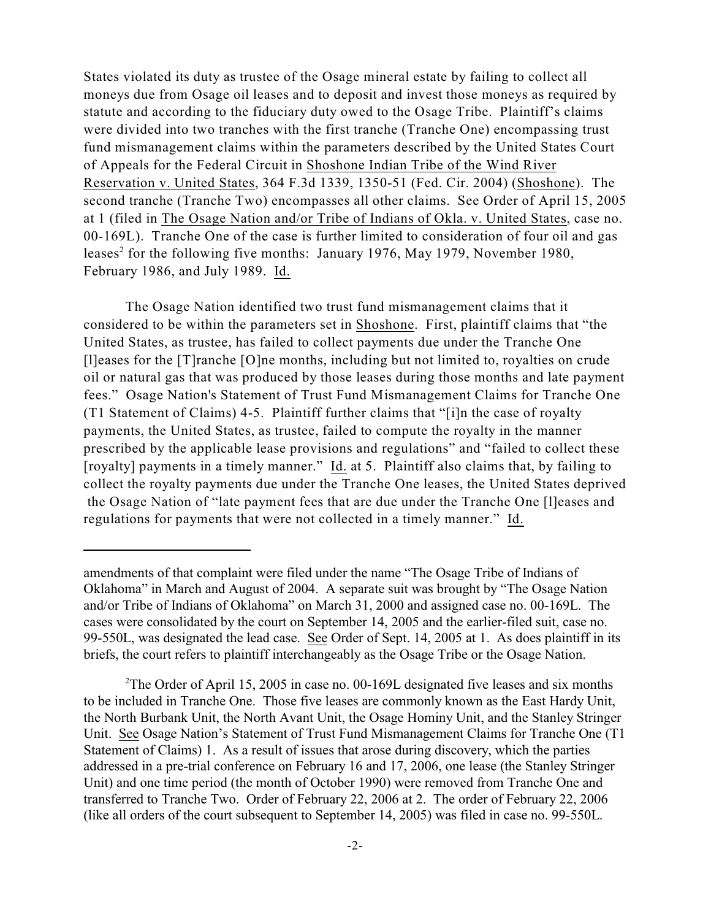States violated its duty as trustee of the Osage mineral estate by failing to collect all moneys due from Osage oil leases and to deposit and invest those moneys as required by statute and according to the fiduciary duty owed to the Osage Tribe. Plaintiff's claims were divided into two tranches with the first tranche (Tranche One) encompassing trust fund mismanagement claims within the parameters described by the United States Court of Appeals for the Federal Circuit in Shoshone Indian Tribe of the Wind River Reservation v. United States, 364 F.3d 1339, 1350-51 (Fed. Cir. 2004) (Shoshone). The second tranche (Tranche Two) encompasses all other claims. See Order of April 15, 2005 at 1 (filed in The Osage Nation and/or Tribe of Indians of Okla. v. United States, case no. 00-169L). Tranche One of the case is further limited to consideration of four oil and gas leases<sup>2</sup> for the following five months: January 1976, May 1979, November 1980, February 1986, and July 1989. Id.

The Osage Nation identified two trust fund mismanagement claims that it considered to be within the parameters set in Shoshone. First, plaintiff claims that "the United States, as trustee, has failed to collect payments due under the Tranche One [l]eases for the [T]ranche [O]ne months, including but not limited to, royalties on crude oil or natural gas that was produced by those leases during those months and late payment fees." Osage Nation's Statement of Trust Fund Mismanagement Claims for Tranche One (T1 Statement of Claims) 4-5. Plaintiff further claims that "[i]n the case of royalty payments, the United States, as trustee, failed to compute the royalty in the manner prescribed by the applicable lease provisions and regulations" and "failed to collect these [royalty] payments in a timely manner." Id. at 5. Plaintiff also claims that, by failing to collect the royalty payments due under the Tranche One leases, the United States deprived the Osage Nation of "late payment fees that are due under the Tranche One [l]eases and regulations for payments that were not collected in a timely manner." Id.

amendments of that complaint were filed under the name "The Osage Tribe of Indians of Oklahoma" in March and August of 2004. A separate suit was brought by "The Osage Nation and/or Tribe of Indians of Oklahoma" on March 31, 2000 and assigned case no. 00-169L. The cases were consolidated by the court on September 14, 2005 and the earlier-filed suit, case no. 99-550L, was designated the lead case. See Order of Sept. 14, 2005 at 1. As does plaintiff in its briefs, the court refers to plaintiff interchangeably as the Osage Tribe or the Osage Nation.

<sup>&</sup>lt;sup>2</sup>The Order of April 15, 2005 in case no. 00-169L designated five leases and six months to be included in Tranche One. Those five leases are commonly known as the East Hardy Unit, the North Burbank Unit, the North Avant Unit, the Osage Hominy Unit, and the Stanley Stringer Unit. See Osage Nation's Statement of Trust Fund Mismanagement Claims for Tranche One (T1 Statement of Claims) 1. As a result of issues that arose during discovery, which the parties addressed in a pre-trial conference on February 16 and 17, 2006, one lease (the Stanley Stringer Unit) and one time period (the month of October 1990) were removed from Tranche One and transferred to Tranche Two. Order of February 22, 2006 at 2. The order of February 22, 2006 (like all orders of the court subsequent to September 14, 2005) was filed in case no. 99-550L.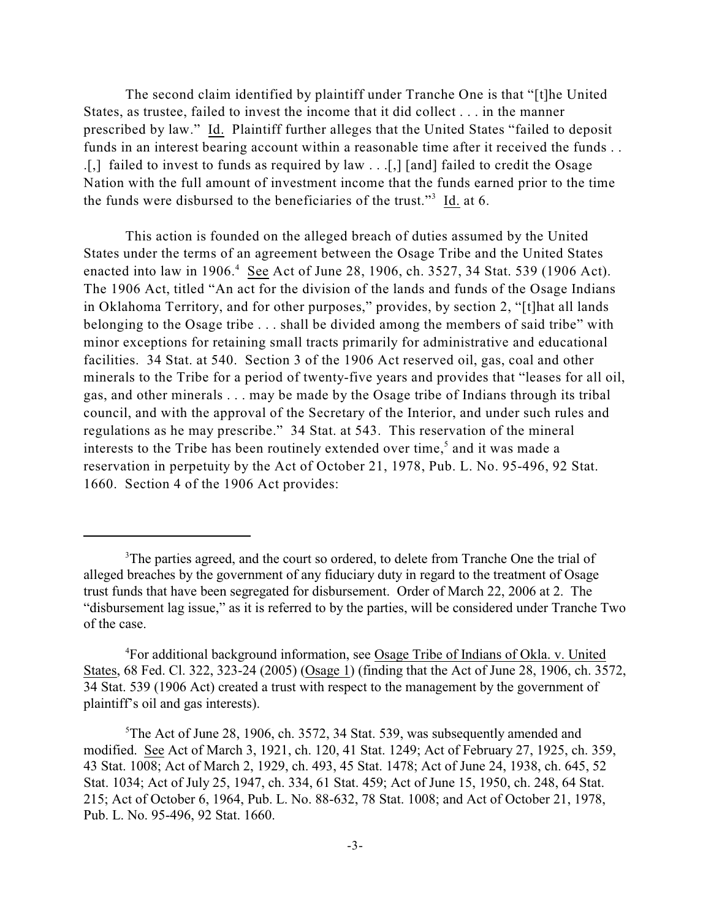The second claim identified by plaintiff under Tranche One is that "[t]he United States, as trustee, failed to invest the income that it did collect . . . in the manner prescribed by law." Id. Plaintiff further alleges that the United States "failed to deposit funds in an interest bearing account within a reasonable time after it received the funds . . .[,] failed to invest to funds as required by law . . .[,] [and] failed to credit the Osage Nation with the full amount of investment income that the funds earned prior to the time the funds were disbursed to the beneficiaries of the trust."<sup>3</sup> Id. at 6.

This action is founded on the alleged breach of duties assumed by the United States under the terms of an agreement between the Osage Tribe and the United States enacted into law in 1906.<sup>4</sup> See Act of June 28, 1906, ch. 3527, 34 Stat. 539 (1906 Act). The 1906 Act, titled "An act for the division of the lands and funds of the Osage Indians in Oklahoma Territory, and for other purposes," provides, by section 2, "[t]hat all lands belonging to the Osage tribe . . . shall be divided among the members of said tribe" with minor exceptions for retaining small tracts primarily for administrative and educational facilities. 34 Stat. at 540. Section 3 of the 1906 Act reserved oil, gas, coal and other minerals to the Tribe for a period of twenty-five years and provides that "leases for all oil, gas, and other minerals . . . may be made by the Osage tribe of Indians through its tribal council, and with the approval of the Secretary of the Interior, and under such rules and regulations as he may prescribe." 34 Stat. at 543. This reservation of the mineral interests to the Tribe has been routinely extended over time,<sup> $5$ </sup> and it was made a reservation in perpetuity by the Act of October 21, 1978, Pub. L. No. 95-496, 92 Stat. 1660. Section 4 of the 1906 Act provides:

<sup>&</sup>lt;sup>3</sup>The parties agreed, and the court so ordered, to delete from Tranche One the trial of alleged breaches by the government of any fiduciary duty in regard to the treatment of Osage trust funds that have been segregated for disbursement. Order of March 22, 2006 at 2. The "disbursement lag issue," as it is referred to by the parties, will be considered under Tranche Two of the case.

For additional background information, see Osage Tribe of Indians of Okla. v. United <sup>4</sup> States, 68 Fed. Cl. 322, 323-24 (2005) (Osage 1) (finding that the Act of June 28, 1906, ch. 3572, 34 Stat. 539 (1906 Act) created a trust with respect to the management by the government of plaintiff's oil and gas interests).

 ${}^5$ The Act of June 28, 1906, ch. 3572, 34 Stat. 539, was subsequently amended and modified. See Act of March 3, 1921, ch. 120, 41 Stat. 1249; Act of February 27, 1925, ch. 359, 43 Stat. 1008; Act of March 2, 1929, ch. 493, 45 Stat. 1478; Act of June 24, 1938, ch. 645, 52 Stat. 1034; Act of July 25, 1947, ch. 334, 61 Stat. 459; Act of June 15, 1950, ch. 248, 64 Stat. 215; Act of October 6, 1964, Pub. L. No. 88-632, 78 Stat. 1008; and Act of October 21, 1978, Pub. L. No. 95-496, 92 Stat. 1660.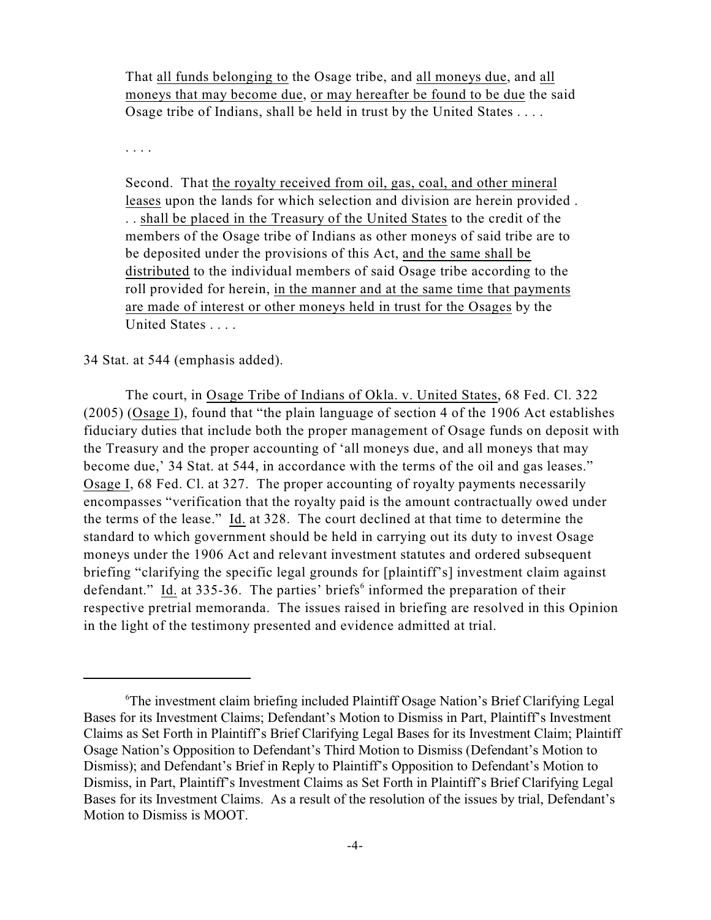That all funds belonging to the Osage tribe, and all moneys due, and all moneys that may become due, or may hereafter be found to be due the said Osage tribe of Indians, shall be held in trust by the United States . . . .

. . . .

Second. That the royalty received from oil, gas, coal, and other mineral leases upon the lands for which selection and division are herein provided . . . shall be placed in the Treasury of the United States to the credit of the members of the Osage tribe of Indians as other moneys of said tribe are to be deposited under the provisions of this Act, and the same shall be distributed to the individual members of said Osage tribe according to the roll provided for herein, in the manner and at the same time that payments are made of interest or other moneys held in trust for the Osages by the United States . . . .

34 Stat. at 544 (emphasis added).

The court, in Osage Tribe of Indians of Okla. v. United States, 68 Fed. Cl. 322 (2005) (Osage I), found that "the plain language of section 4 of the 1906 Act establishes fiduciary duties that include both the proper management of Osage funds on deposit with the Treasury and the proper accounting of 'all moneys due, and all moneys that may become due,' 34 Stat. at 544, in accordance with the terms of the oil and gas leases." Osage I, 68 Fed. Cl. at 327. The proper accounting of royalty payments necessarily encompasses "verification that the royalty paid is the amount contractually owed under the terms of the lease." Id. at 328. The court declined at that time to determine the standard to which government should be held in carrying out its duty to invest Osage moneys under the 1906 Act and relevant investment statutes and ordered subsequent briefing "clarifying the specific legal grounds for [plaintiff's] investment claim against defendant." Id. at  $335-36$ . The parties' briefs<sup>6</sup> informed the preparation of their respective pretrial memoranda. The issues raised in briefing are resolved in this Opinion in the light of the testimony presented and evidence admitted at trial.

<sup>&</sup>lt;sup>6</sup>The investment claim briefing included Plaintiff Osage Nation's Brief Clarifying Legal Bases for its Investment Claims; Defendant's Motion to Dismiss in Part, Plaintiff's Investment Claims as Set Forth in Plaintiff's Brief Clarifying Legal Bases for its Investment Claim; Plaintiff Osage Nation's Opposition to Defendant's Third Motion to Dismiss (Defendant's Motion to Dismiss); and Defendant's Brief in Reply to Plaintiff's Opposition to Defendant's Motion to Dismiss, in Part, Plaintiff's Investment Claims as Set Forth in Plaintiff's Brief Clarifying Legal Bases for its Investment Claims. As a result of the resolution of the issues by trial, Defendant's Motion to Dismiss is MOOT.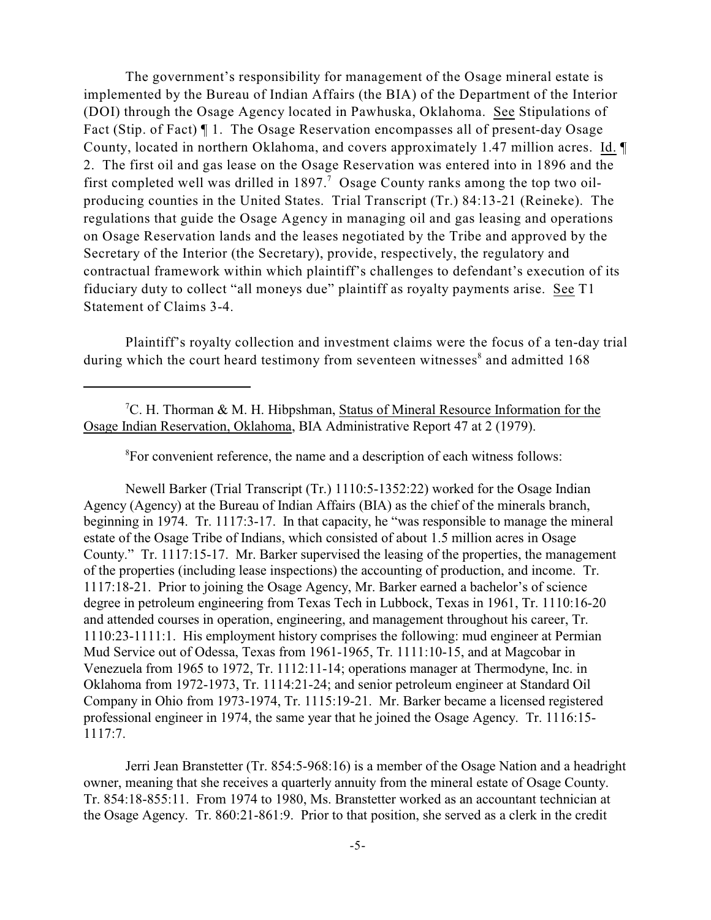The government's responsibility for management of the Osage mineral estate is implemented by the Bureau of Indian Affairs (the BIA) of the Department of the Interior (DOI) through the Osage Agency located in Pawhuska, Oklahoma. See Stipulations of Fact (Stip. of Fact) ¶ 1. The Osage Reservation encompasses all of present-day Osage County, located in northern Oklahoma, and covers approximately 1.47 million acres. Id. ¶ 2. The first oil and gas lease on the Osage Reservation was entered into in 1896 and the first completed well was drilled in 1897.<sup>7</sup> Osage County ranks among the top two oilproducing counties in the United States. Trial Transcript (Tr.) 84:13-21 (Reineke). The regulations that guide the Osage Agency in managing oil and gas leasing and operations on Osage Reservation lands and the leases negotiated by the Tribe and approved by the Secretary of the Interior (the Secretary), provide, respectively, the regulatory and contractual framework within which plaintiff's challenges to defendant's execution of its fiduciary duty to collect "all moneys due" plaintiff as royalty payments arise. See T1 Statement of Claims 3-4.

Plaintiff's royalty collection and investment claims were the focus of a ten-day trial during which the court heard testimony from seventeen witnesses<sup>8</sup> and admitted 168

<sup>8</sup> For convenient reference, the name and a description of each witness follows:

Newell Barker (Trial Transcript (Tr.) 1110:5-1352:22) worked for the Osage Indian Agency (Agency) at the Bureau of Indian Affairs (BIA) as the chief of the minerals branch, beginning in 1974. Tr. 1117:3-17. In that capacity, he "was responsible to manage the mineral estate of the Osage Tribe of Indians, which consisted of about 1.5 million acres in Osage County." Tr. 1117:15-17. Mr. Barker supervised the leasing of the properties, the management of the properties (including lease inspections) the accounting of production, and income. Tr. 1117:18-21. Prior to joining the Osage Agency, Mr. Barker earned a bachelor's of science degree in petroleum engineering from Texas Tech in Lubbock, Texas in 1961, Tr. 1110:16-20 and attended courses in operation, engineering, and management throughout his career, Tr. 1110:23-1111:1. His employment history comprises the following: mud engineer at Permian Mud Service out of Odessa, Texas from 1961-1965, Tr. 1111:10-15, and at Magcobar in Venezuela from 1965 to 1972, Tr. 1112:11-14; operations manager at Thermodyne, Inc. in Oklahoma from 1972-1973, Tr. 1114:21-24; and senior petroleum engineer at Standard Oil Company in Ohio from 1973-1974, Tr. 1115:19-21. Mr. Barker became a licensed registered professional engineer in 1974, the same year that he joined the Osage Agency. Tr. 1116:15- 1117:7.

Jerri Jean Branstetter (Tr. 854:5-968:16) is a member of the Osage Nation and a headright owner, meaning that she receives a quarterly annuity from the mineral estate of Osage County. Tr. 854:18-855:11. From 1974 to 1980, Ms. Branstetter worked as an accountant technician at the Osage Agency. Tr. 860:21-861:9. Prior to that position, she served as a clerk in the credit

<sup>&</sup>lt;sup>7</sup>C. H. Thorman & M. H. Hibpshman, Status of Mineral Resource Information for the Osage Indian Reservation, Oklahoma, BIA Administrative Report 47 at 2 (1979).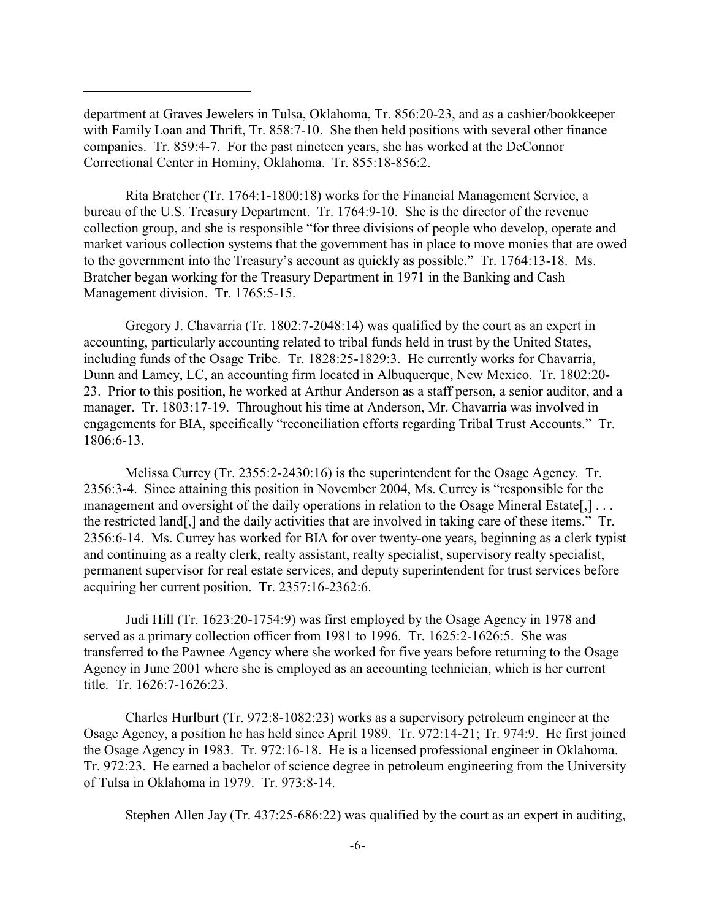department at Graves Jewelers in Tulsa, Oklahoma, Tr. 856:20-23, and as a cashier/bookkeeper with Family Loan and Thrift, Tr. 858:7-10. She then held positions with several other finance companies. Tr. 859:4-7. For the past nineteen years, she has worked at the DeConnor Correctional Center in Hominy, Oklahoma. Tr. 855:18-856:2.

Rita Bratcher (Tr. 1764:1-1800:18) works for the Financial Management Service, a bureau of the U.S. Treasury Department. Tr. 1764:9-10. She is the director of the revenue collection group, and she is responsible "for three divisions of people who develop, operate and market various collection systems that the government has in place to move monies that are owed to the government into the Treasury's account as quickly as possible." Tr. 1764:13-18. Ms. Bratcher began working for the Treasury Department in 1971 in the Banking and Cash Management division. Tr. 1765:5-15.

Gregory J. Chavarria (Tr. 1802:7-2048:14) was qualified by the court as an expert in accounting, particularly accounting related to tribal funds held in trust by the United States, including funds of the Osage Tribe. Tr. 1828:25-1829:3. He currently works for Chavarria, Dunn and Lamey, LC, an accounting firm located in Albuquerque, New Mexico. Tr. 1802:20- 23. Prior to this position, he worked at Arthur Anderson as a staff person, a senior auditor, and a manager. Tr. 1803:17-19. Throughout his time at Anderson, Mr. Chavarria was involved in engagements for BIA, specifically "reconciliation efforts regarding Tribal Trust Accounts." Tr. 1806:6-13.

Melissa Currey (Tr. 2355:2-2430:16) is the superintendent for the Osage Agency. Tr. 2356:3-4. Since attaining this position in November 2004, Ms. Currey is "responsible for the management and oversight of the daily operations in relation to the Osage Mineral Estate. the restricted land[,] and the daily activities that are involved in taking care of these items." Tr. 2356:6-14. Ms. Currey has worked for BIA for over twenty-one years, beginning as a clerk typist and continuing as a realty clerk, realty assistant, realty specialist, supervisory realty specialist, permanent supervisor for real estate services, and deputy superintendent for trust services before acquiring her current position. Tr. 2357:16-2362:6.

Judi Hill (Tr. 1623:20-1754:9) was first employed by the Osage Agency in 1978 and served as a primary collection officer from 1981 to 1996. Tr. 1625:2-1626:5. She was transferred to the Pawnee Agency where she worked for five years before returning to the Osage Agency in June 2001 where she is employed as an accounting technician, which is her current title. Tr. 1626:7-1626:23.

Charles Hurlburt (Tr. 972:8-1082:23) works as a supervisory petroleum engineer at the Osage Agency, a position he has held since April 1989. Tr. 972:14-21; Tr. 974:9. He first joined the Osage Agency in 1983. Tr. 972:16-18. He is a licensed professional engineer in Oklahoma. Tr. 972:23. He earned a bachelor of science degree in petroleum engineering from the University of Tulsa in Oklahoma in 1979. Tr. 973:8-14.

Stephen Allen Jay (Tr. 437:25-686:22) was qualified by the court as an expert in auditing,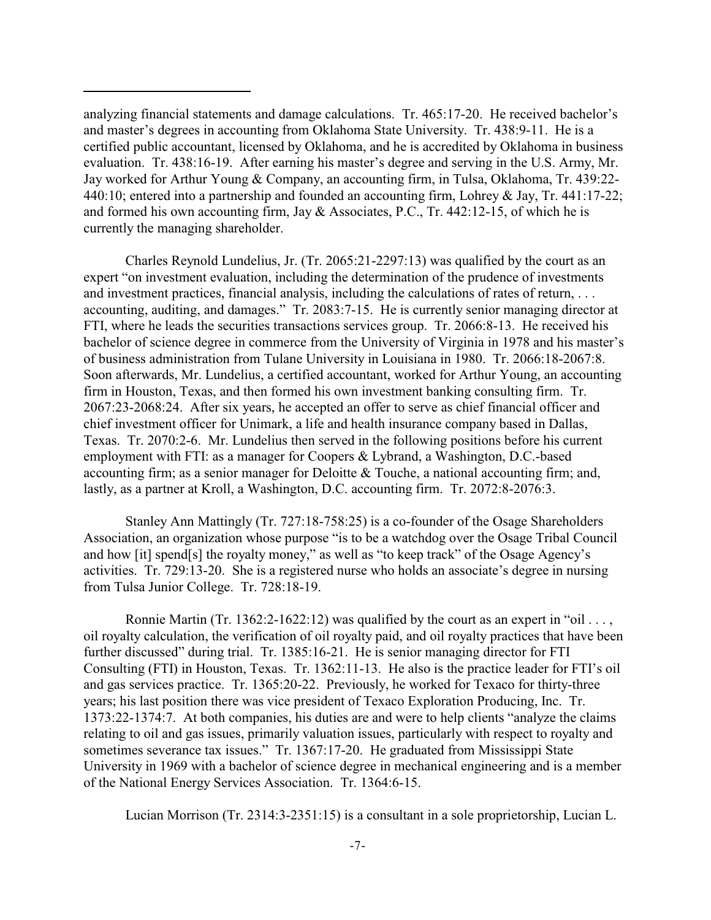analyzing financial statements and damage calculations. Tr. 465:17-20. He received bachelor's and master's degrees in accounting from Oklahoma State University. Tr. 438:9-11. He is a certified public accountant, licensed by Oklahoma, and he is accredited by Oklahoma in business evaluation. Tr. 438:16-19. After earning his master's degree and serving in the U.S. Army, Mr. Jay worked for Arthur Young & Company, an accounting firm, in Tulsa, Oklahoma, Tr. 439:22- 440:10; entered into a partnership and founded an accounting firm, Lohrey & Jay, Tr. 441:17-22; and formed his own accounting firm, Jay & Associates, P.C., Tr. 442:12-15, of which he is currently the managing shareholder.

Charles Reynold Lundelius, Jr. (Tr. 2065:21-2297:13) was qualified by the court as an expert "on investment evaluation, including the determination of the prudence of investments and investment practices, financial analysis, including the calculations of rates of return, . . . accounting, auditing, and damages." Tr. 2083:7-15. He is currently senior managing director at FTI, where he leads the securities transactions services group. Tr. 2066:8-13. He received his bachelor of science degree in commerce from the University of Virginia in 1978 and his master's of business administration from Tulane University in Louisiana in 1980. Tr. 2066:18-2067:8. Soon afterwards, Mr. Lundelius, a certified accountant, worked for Arthur Young, an accounting firm in Houston, Texas, and then formed his own investment banking consulting firm. Tr. 2067:23-2068:24. After six years, he accepted an offer to serve as chief financial officer and chief investment officer for Unimark, a life and health insurance company based in Dallas, Texas. Tr. 2070:2-6. Mr. Lundelius then served in the following positions before his current employment with FTI: as a manager for Coopers & Lybrand, a Washington, D.C.-based accounting firm; as a senior manager for Deloitte & Touche, a national accounting firm; and, lastly, as a partner at Kroll, a Washington, D.C. accounting firm. Tr. 2072:8-2076:3.

Stanley Ann Mattingly (Tr. 727:18-758:25) is a co-founder of the Osage Shareholders Association, an organization whose purpose "is to be a watchdog over the Osage Tribal Council and how [it] spend[s] the royalty money," as well as "to keep track" of the Osage Agency's activities. Tr. 729:13-20. She is a registered nurse who holds an associate's degree in nursing from Tulsa Junior College. Tr. 728:18-19.

Ronnie Martin (Tr. 1362:2-1622:12) was qualified by the court as an expert in "oil ..., oil royalty calculation, the verification of oil royalty paid, and oil royalty practices that have been further discussed" during trial. Tr. 1385:16-21. He is senior managing director for FTI Consulting (FTI) in Houston, Texas. Tr. 1362:11-13. He also is the practice leader for FTI's oil and gas services practice. Tr. 1365:20-22. Previously, he worked for Texaco for thirty-three years; his last position there was vice president of Texaco Exploration Producing, Inc. Tr. 1373:22-1374:7. At both companies, his duties are and were to help clients "analyze the claims relating to oil and gas issues, primarily valuation issues, particularly with respect to royalty and sometimes severance tax issues." Tr. 1367:17-20. He graduated from Mississippi State University in 1969 with a bachelor of science degree in mechanical engineering and is a member of the National Energy Services Association. Tr. 1364:6-15.

Lucian Morrison (Tr. 2314:3-2351:15) is a consultant in a sole proprietorship, Lucian L.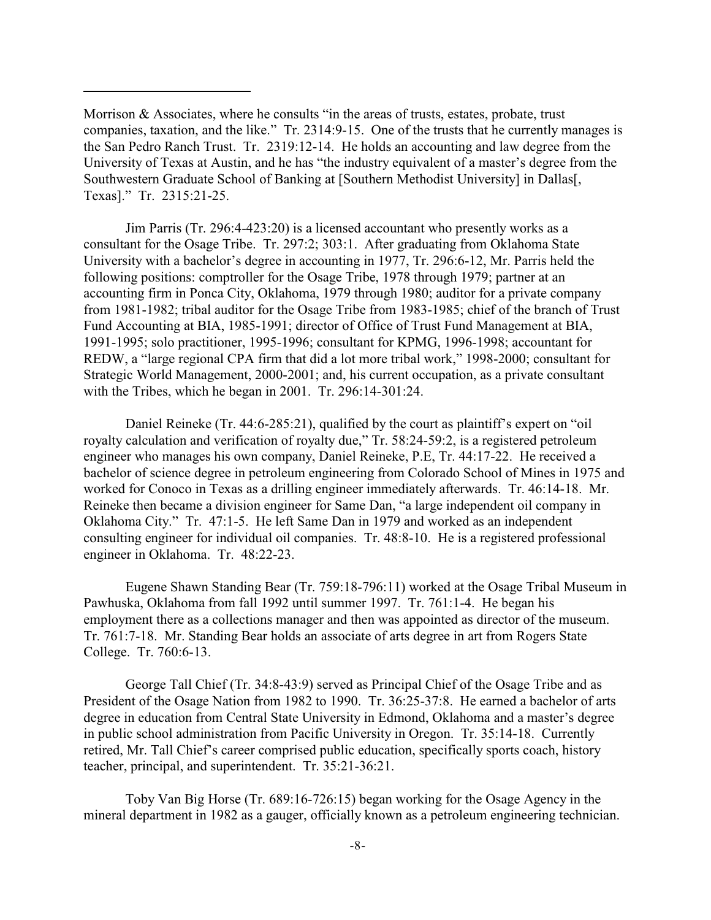Morrison & Associates, where he consults "in the areas of trusts, estates, probate, trust companies, taxation, and the like." Tr. 2314:9-15. One of the trusts that he currently manages is the San Pedro Ranch Trust. Tr. 2319:12-14. He holds an accounting and law degree from the University of Texas at Austin, and he has "the industry equivalent of a master's degree from the Southwestern Graduate School of Banking at [Southern Methodist University] in Dallas[, Texas]." Tr. 2315:21-25.

Jim Parris (Tr. 296:4-423:20) is a licensed accountant who presently works as a consultant for the Osage Tribe. Tr. 297:2; 303:1. After graduating from Oklahoma State University with a bachelor's degree in accounting in 1977, Tr. 296:6-12, Mr. Parris held the following positions: comptroller for the Osage Tribe, 1978 through 1979; partner at an accounting firm in Ponca City, Oklahoma, 1979 through 1980; auditor for a private company from 1981-1982; tribal auditor for the Osage Tribe from 1983-1985; chief of the branch of Trust Fund Accounting at BIA, 1985-1991; director of Office of Trust Fund Management at BIA, 1991-1995; solo practitioner, 1995-1996; consultant for KPMG, 1996-1998; accountant for REDW, a "large regional CPA firm that did a lot more tribal work," 1998-2000; consultant for Strategic World Management, 2000-2001; and, his current occupation, as a private consultant with the Tribes, which he began in 2001. Tr. 296:14-301:24.

Daniel Reineke (Tr. 44:6-285:21), qualified by the court as plaintiff's expert on "oil royalty calculation and verification of royalty due," Tr. 58:24-59:2, is a registered petroleum engineer who manages his own company, Daniel Reineke, P.E, Tr. 44:17-22. He received a bachelor of science degree in petroleum engineering from Colorado School of Mines in 1975 and worked for Conoco in Texas as a drilling engineer immediately afterwards. Tr. 46:14-18. Mr. Reineke then became a division engineer for Same Dan, "a large independent oil company in Oklahoma City." Tr. 47:1-5. He left Same Dan in 1979 and worked as an independent consulting engineer for individual oil companies. Tr. 48:8-10. He is a registered professional engineer in Oklahoma. Tr. 48:22-23.

Eugene Shawn Standing Bear (Tr. 759:18-796:11) worked at the Osage Tribal Museum in Pawhuska, Oklahoma from fall 1992 until summer 1997. Tr. 761:1-4. He began his employment there as a collections manager and then was appointed as director of the museum. Tr. 761:7-18. Mr. Standing Bear holds an associate of arts degree in art from Rogers State College. Tr. 760:6-13.

George Tall Chief (Tr. 34:8-43:9) served as Principal Chief of the Osage Tribe and as President of the Osage Nation from 1982 to 1990. Tr. 36:25-37:8. He earned a bachelor of arts degree in education from Central State University in Edmond, Oklahoma and a master's degree in public school administration from Pacific University in Oregon. Tr. 35:14-18. Currently retired, Mr. Tall Chief's career comprised public education, specifically sports coach, history teacher, principal, and superintendent. Tr. 35:21-36:21.

Toby Van Big Horse (Tr. 689:16-726:15) began working for the Osage Agency in the mineral department in 1982 as a gauger, officially known as a petroleum engineering technician.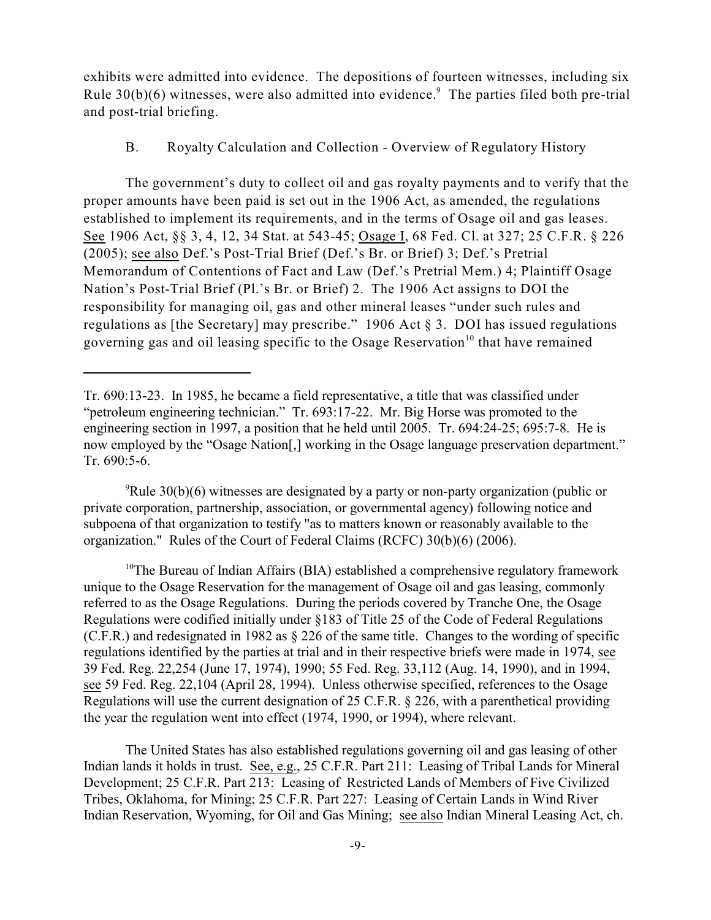exhibits were admitted into evidence. The depositions of fourteen witnesses, including six Rule  $30(b)(6)$  witnesses, were also admitted into evidence.<sup>9</sup> The parties filed both pre-trial and post-trial briefing.

### B. Royalty Calculation and Collection - Overview of Regulatory History

The government's duty to collect oil and gas royalty payments and to verify that the proper amounts have been paid is set out in the 1906 Act, as amended, the regulations established to implement its requirements, and in the terms of Osage oil and gas leases. See 1906 Act, §§ 3, 4, 12, 34 Stat. at 543-45; Osage I, 68 Fed. Cl. at 327; 25 C.F.R. § 226 (2005); see also Def.'s Post-Trial Brief (Def.'s Br. or Brief) 3; Def.'s Pretrial Memorandum of Contentions of Fact and Law (Def.'s Pretrial Mem.) 4; Plaintiff Osage Nation's Post-Trial Brief (Pl.'s Br. or Brief) 2. The 1906 Act assigns to DOI the responsibility for managing oil, gas and other mineral leases "under such rules and regulations as [the Secretary] may prescribe." 1906 Act § 3. DOI has issued regulations governing gas and oil leasing specific to the Osage Reservation<sup>10</sup> that have remained

 $P^9$ Rule 30(b)(6) witnesses are designated by a party or non-party organization (public or private corporation, partnership, association, or governmental agency) following notice and subpoena of that organization to testify "as to matters known or reasonably available to the organization." Rules of the Court of Federal Claims (RCFC) 30(b)(6) (2006).

 $10$ <sup>n</sup>he Bureau of Indian Affairs (BIA) established a comprehensive regulatory framework unique to the Osage Reservation for the management of Osage oil and gas leasing, commonly referred to as the Osage Regulations. During the periods covered by Tranche One, the Osage Regulations were codified initially under §183 of Title 25 of the Code of Federal Regulations (C.F.R.) and redesignated in 1982 as § 226 of the same title. Changes to the wording of specific regulations identified by the parties at trial and in their respective briefs were made in 1974, see 39 Fed. Reg. 22,254 (June 17, 1974), 1990; 55 Fed. Reg. 33,112 (Aug. 14, 1990), and in 1994, see 59 Fed. Reg. 22,104 (April 28, 1994). Unless otherwise specified, references to the Osage Regulations will use the current designation of 25 C.F.R. § 226, with a parenthetical providing the year the regulation went into effect (1974, 1990, or 1994), where relevant.

The United States has also established regulations governing oil and gas leasing of other Indian lands it holds in trust. See, e.g., 25 C.F.R. Part 211: Leasing of Tribal Lands for Mineral Development; 25 C.F.R. Part 213: Leasing of Restricted Lands of Members of Five Civilized Tribes, Oklahoma, for Mining; 25 C.F.R. Part 227: Leasing of Certain Lands in Wind River Indian Reservation, Wyoming, for Oil and Gas Mining; see also Indian Mineral Leasing Act, ch.

Tr. 690:13-23. In 1985, he became a field representative, a title that was classified under "petroleum engineering technician." Tr. 693:17-22. Mr. Big Horse was promoted to the engineering section in 1997, a position that he held until 2005. Tr. 694:24-25; 695:7-8. He is now employed by the "Osage Nation<sup>[1]</sup>, working in the Osage language preservation department." Tr. 690:5-6.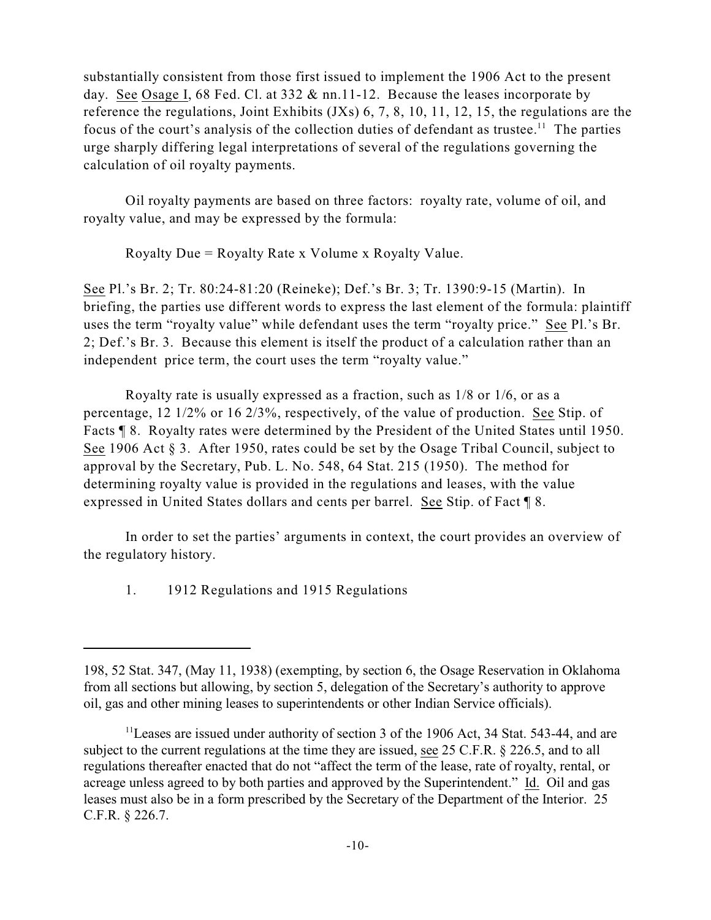substantially consistent from those first issued to implement the 1906 Act to the present day. See Osage I, 68 Fed. Cl. at 332 & nn.11-12. Because the leases incorporate by reference the regulations, Joint Exhibits (JXs) 6, 7, 8, 10, 11, 12, 15, the regulations are the focus of the court's analysis of the collection duties of defendant as trustee.<sup>11</sup> The parties urge sharply differing legal interpretations of several of the regulations governing the calculation of oil royalty payments.

Oil royalty payments are based on three factors: royalty rate, volume of oil, and royalty value, and may be expressed by the formula:

Royalty Due = Royalty Rate x Volume x Royalty Value.

See Pl.'s Br. 2; Tr. 80:24-81:20 (Reineke); Def.'s Br. 3; Tr. 1390:9-15 (Martin). In briefing, the parties use different words to express the last element of the formula: plaintiff uses the term "royalty value" while defendant uses the term "royalty price." See Pl.'s Br. 2; Def.'s Br. 3. Because this element is itself the product of a calculation rather than an independent price term, the court uses the term "royalty value."

Royalty rate is usually expressed as a fraction, such as 1/8 or 1/6, or as a percentage, 12 1/2% or 16 2/3%, respectively, of the value of production. See Stip. of Facts ¶ 8. Royalty rates were determined by the President of the United States until 1950. See 1906 Act § 3. After 1950, rates could be set by the Osage Tribal Council, subject to approval by the Secretary, Pub. L. No. 548, 64 Stat. 215 (1950). The method for determining royalty value is provided in the regulations and leases, with the value expressed in United States dollars and cents per barrel. See Stip. of Fact ¶ 8.

In order to set the parties' arguments in context, the court provides an overview of the regulatory history.

1. 1912 Regulations and 1915 Regulations

<sup>198, 52</sup> Stat. 347, (May 11, 1938) (exempting, by section 6, the Osage Reservation in Oklahoma from all sections but allowing, by section 5, delegation of the Secretary's authority to approve oil, gas and other mining leases to superintendents or other Indian Service officials).

 $11$  Leases are issued under authority of section 3 of the 1906 Act, 34 Stat. 543-44, and are subject to the current regulations at the time they are issued, see 25 C.F.R. § 226.5, and to all regulations thereafter enacted that do not "affect the term of the lease, rate of royalty, rental, or acreage unless agreed to by both parties and approved by the Superintendent." Id. Oil and gas leases must also be in a form prescribed by the Secretary of the Department of the Interior. 25 C.F.R. § 226.7.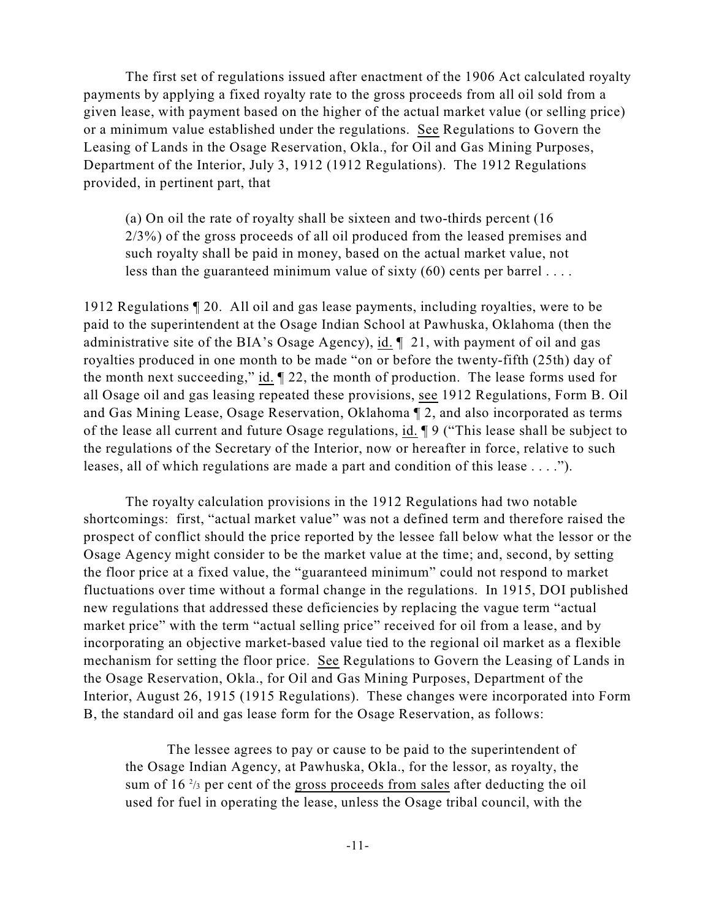The first set of regulations issued after enactment of the 1906 Act calculated royalty payments by applying a fixed royalty rate to the gross proceeds from all oil sold from a given lease, with payment based on the higher of the actual market value (or selling price) or a minimum value established under the regulations. See Regulations to Govern the Leasing of Lands in the Osage Reservation, Okla., for Oil and Gas Mining Purposes, Department of the Interior, July 3, 1912 (1912 Regulations). The 1912 Regulations provided, in pertinent part, that

(a) On oil the rate of royalty shall be sixteen and two-thirds percent (16 2/3%) of the gross proceeds of all oil produced from the leased premises and such royalty shall be paid in money, based on the actual market value, not less than the guaranteed minimum value of sixty  $(60)$  cents per barrel ...

1912 Regulations ¶ 20. All oil and gas lease payments, including royalties, were to be paid to the superintendent at the Osage Indian School at Pawhuska, Oklahoma (then the administrative site of the BIA's Osage Agency), id. ¶ 21, with payment of oil and gas royalties produced in one month to be made "on or before the twenty-fifth (25th) day of the month next succeeding," id. ¶ 22, the month of production. The lease forms used for all Osage oil and gas leasing repeated these provisions, see 1912 Regulations, Form B. Oil and Gas Mining Lease, Osage Reservation, Oklahoma ¶ 2, and also incorporated as terms of the lease all current and future Osage regulations, id. ¶ 9 ("This lease shall be subject to the regulations of the Secretary of the Interior, now or hereafter in force, relative to such leases, all of which regulations are made a part and condition of this lease . . . .").

The royalty calculation provisions in the 1912 Regulations had two notable shortcomings: first, "actual market value" was not a defined term and therefore raised the prospect of conflict should the price reported by the lessee fall below what the lessor or the Osage Agency might consider to be the market value at the time; and, second, by setting the floor price at a fixed value, the "guaranteed minimum" could not respond to market fluctuations over time without a formal change in the regulations. In 1915, DOI published new regulations that addressed these deficiencies by replacing the vague term "actual market price" with the term "actual selling price" received for oil from a lease, and by incorporating an objective market-based value tied to the regional oil market as a flexible mechanism for setting the floor price. See Regulations to Govern the Leasing of Lands in the Osage Reservation, Okla., for Oil and Gas Mining Purposes, Department of the Interior, August 26, 1915 (1915 Regulations). These changes were incorporated into Form B, the standard oil and gas lease form for the Osage Reservation, as follows:

The lessee agrees to pay or cause to be paid to the superintendent of the Osage Indian Agency, at Pawhuska, Okla., for the lessor, as royalty, the sum of  $16\frac{2}{3}$  per cent of the gross proceeds from sales after deducting the oil used for fuel in operating the lease, unless the Osage tribal council, with the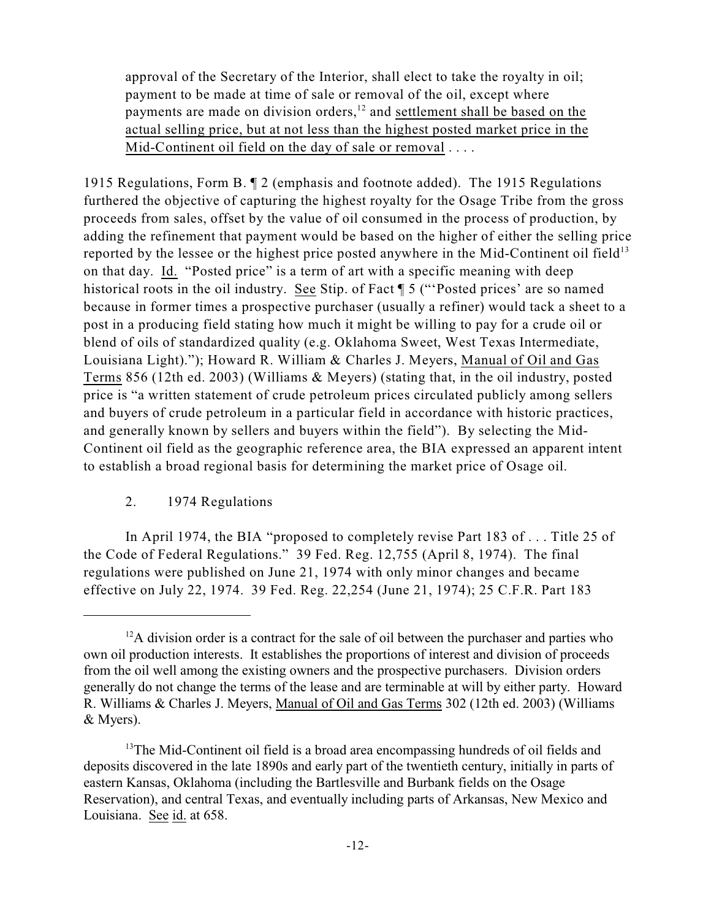approval of the Secretary of the Interior, shall elect to take the royalty in oil; payment to be made at time of sale or removal of the oil, except where payments are made on division orders,  $\frac{12}{2}$  and settlement shall be based on the actual selling price, but at not less than the highest posted market price in the Mid-Continent oil field on the day of sale or removal ....

1915 Regulations, Form B. ¶ 2 (emphasis and footnote added). The 1915 Regulations furthered the objective of capturing the highest royalty for the Osage Tribe from the gross proceeds from sales, offset by the value of oil consumed in the process of production, by adding the refinement that payment would be based on the higher of either the selling price reported by the lessee or the highest price posted anywhere in the Mid-Continent oil field<sup>13</sup> on that day. Id. "Posted price" is a term of art with a specific meaning with deep historical roots in the oil industry. See Stip. of Fact  $\P$  5 ("Posted prices' are so named because in former times a prospective purchaser (usually a refiner) would tack a sheet to a post in a producing field stating how much it might be willing to pay for a crude oil or blend of oils of standardized quality (e.g. Oklahoma Sweet, West Texas Intermediate, Louisiana Light)."); Howard R. William & Charles J. Meyers, Manual of Oil and Gas Terms 856 (12th ed. 2003) (Williams & Meyers) (stating that, in the oil industry, posted price is "a written statement of crude petroleum prices circulated publicly among sellers and buyers of crude petroleum in a particular field in accordance with historic practices, and generally known by sellers and buyers within the field"). By selecting the Mid-Continent oil field as the geographic reference area, the BIA expressed an apparent intent to establish a broad regional basis for determining the market price of Osage oil.

# 2. 1974 Regulations

In April 1974, the BIA "proposed to completely revise Part 183 of . . . Title 25 of the Code of Federal Regulations." 39 Fed. Reg. 12,755 (April 8, 1974). The final regulations were published on June 21, 1974 with only minor changes and became effective on July 22, 1974. 39 Fed. Reg. 22,254 (June 21, 1974); 25 C.F.R. Part 183

 $^{12}$ A division order is a contract for the sale of oil between the purchaser and parties who own oil production interests. It establishes the proportions of interest and division of proceeds from the oil well among the existing owners and the prospective purchasers. Division orders generally do not change the terms of the lease and are terminable at will by either party. Howard R. Williams & Charles J. Meyers, Manual of Oil and Gas Terms 302 (12th ed. 2003) (Williams & Myers).

 $13$ The Mid-Continent oil field is a broad area encompassing hundreds of oil fields and deposits discovered in the late 1890s and early part of the twentieth century, initially in parts of eastern Kansas, Oklahoma (including the Bartlesville and Burbank fields on the Osage Reservation), and central Texas, and eventually including parts of Arkansas, New Mexico and Louisiana. See id. at 658.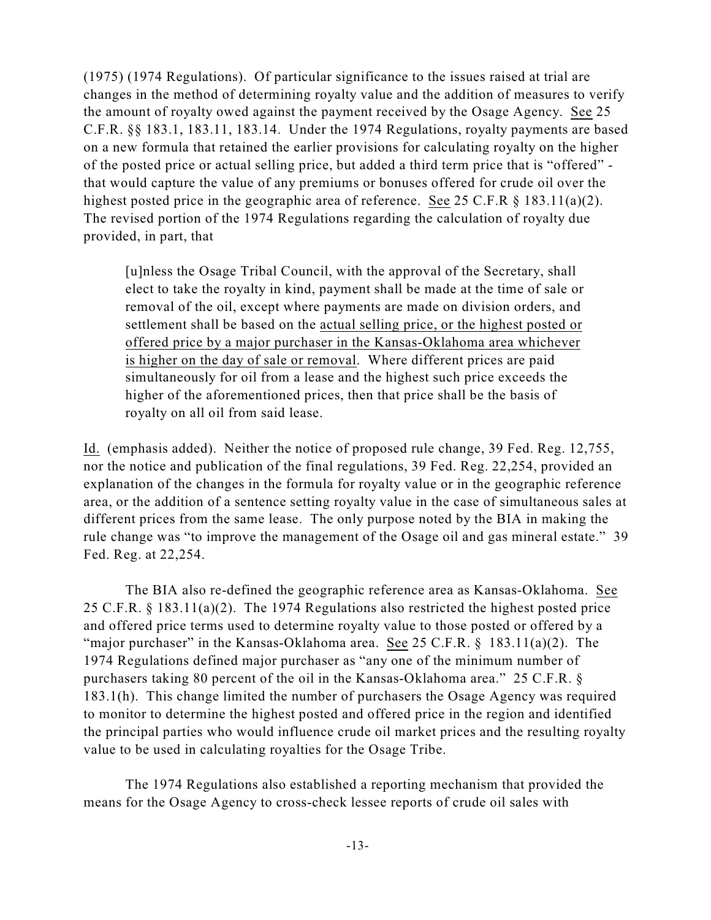(1975) (1974 Regulations). Of particular significance to the issues raised at trial are changes in the method of determining royalty value and the addition of measures to verify the amount of royalty owed against the payment received by the Osage Agency. See 25 C.F.R. §§ 183.1, 183.11, 183.14. Under the 1974 Regulations, royalty payments are based on a new formula that retained the earlier provisions for calculating royalty on the higher of the posted price or actual selling price, but added a third term price that is "offered" that would capture the value of any premiums or bonuses offered for crude oil over the highest posted price in the geographic area of reference. See 25 C.F.R § 183.11(a)(2). The revised portion of the 1974 Regulations regarding the calculation of royalty due provided, in part, that

[u]nless the Osage Tribal Council, with the approval of the Secretary, shall elect to take the royalty in kind, payment shall be made at the time of sale or removal of the oil, except where payments are made on division orders, and settlement shall be based on the actual selling price, or the highest posted or offered price by a major purchaser in the Kansas-Oklahoma area whichever is higher on the day of sale or removal. Where different prices are paid simultaneously for oil from a lease and the highest such price exceeds the higher of the aforementioned prices, then that price shall be the basis of royalty on all oil from said lease.

Id. (emphasis added). Neither the notice of proposed rule change, 39 Fed. Reg. 12,755, nor the notice and publication of the final regulations, 39 Fed. Reg. 22,254, provided an explanation of the changes in the formula for royalty value or in the geographic reference area, or the addition of a sentence setting royalty value in the case of simultaneous sales at different prices from the same lease. The only purpose noted by the BIA in making the rule change was "to improve the management of the Osage oil and gas mineral estate." 39 Fed. Reg. at 22,254.

The BIA also re-defined the geographic reference area as Kansas-Oklahoma. See 25 C.F.R. § 183.11(a)(2). The 1974 Regulations also restricted the highest posted price and offered price terms used to determine royalty value to those posted or offered by a "major purchaser" in the Kansas-Oklahoma area. See 25 C.F.R.  $\S$  183.11(a)(2). The 1974 Regulations defined major purchaser as "any one of the minimum number of purchasers taking 80 percent of the oil in the Kansas-Oklahoma area." 25 C.F.R. § 183.1(h). This change limited the number of purchasers the Osage Agency was required to monitor to determine the highest posted and offered price in the region and identified the principal parties who would influence crude oil market prices and the resulting royalty value to be used in calculating royalties for the Osage Tribe.

The 1974 Regulations also established a reporting mechanism that provided the means for the Osage Agency to cross-check lessee reports of crude oil sales with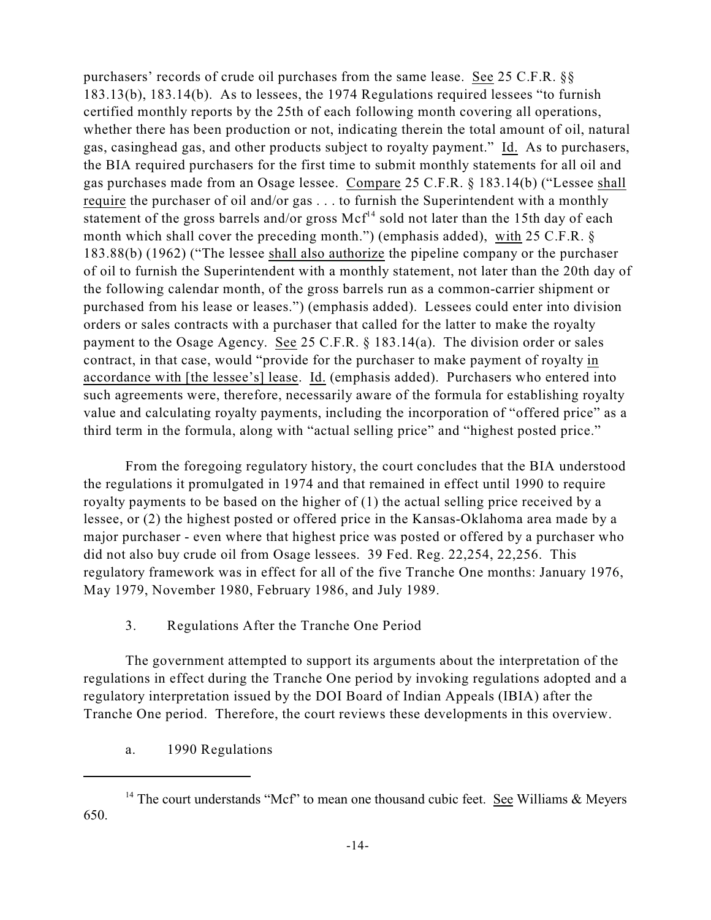purchasers' records of crude oil purchases from the same lease. See 25 C.F.R. §§ 183.13(b), 183.14(b). As to lessees, the 1974 Regulations required lessees "to furnish certified monthly reports by the 25th of each following month covering all operations, whether there has been production or not, indicating therein the total amount of oil, natural gas, casinghead gas, and other products subject to royalty payment." Id. As to purchasers, the BIA required purchasers for the first time to submit monthly statements for all oil and gas purchases made from an Osage lessee. Compare 25 C.F.R. § 183.14(b) ("Lessee shall require the purchaser of oil and/or gas . . . to furnish the Superintendent with a monthly statement of the gross barrels and/or gross  $Mcf<sup>14</sup>$  sold not later than the 15th day of each month which shall cover the preceding month.") (emphasis added), with 25 C.F.R. § 183.88(b) (1962) ("The lessee shall also authorize the pipeline company or the purchaser of oil to furnish the Superintendent with a monthly statement, not later than the 20th day of the following calendar month, of the gross barrels run as a common-carrier shipment or purchased from his lease or leases.") (emphasis added). Lessees could enter into division orders or sales contracts with a purchaser that called for the latter to make the royalty payment to the Osage Agency. See 25 C.F.R. § 183.14(a). The division order or sales contract, in that case, would "provide for the purchaser to make payment of royalty in accordance with [the lessee's] lease. Id. (emphasis added). Purchasers who entered into such agreements were, therefore, necessarily aware of the formula for establishing royalty value and calculating royalty payments, including the incorporation of "offered price" as a third term in the formula, along with "actual selling price" and "highest posted price."

From the foregoing regulatory history, the court concludes that the BIA understood the regulations it promulgated in 1974 and that remained in effect until 1990 to require royalty payments to be based on the higher of (1) the actual selling price received by a lessee, or (2) the highest posted or offered price in the Kansas-Oklahoma area made by a major purchaser - even where that highest price was posted or offered by a purchaser who did not also buy crude oil from Osage lessees. 39 Fed. Reg. 22,254, 22,256. This regulatory framework was in effect for all of the five Tranche One months: January 1976, May 1979, November 1980, February 1986, and July 1989.

3. Regulations After the Tranche One Period

The government attempted to support its arguments about the interpretation of the regulations in effect during the Tranche One period by invoking regulations adopted and a regulatory interpretation issued by the DOI Board of Indian Appeals (IBIA) after the Tranche One period. Therefore, the court reviews these developments in this overview.

a. 1990 Regulations

<sup>&</sup>lt;sup>14</sup> The court understands "Mcf" to mean one thousand cubic feet. See Williams  $\&$  Meyers 650.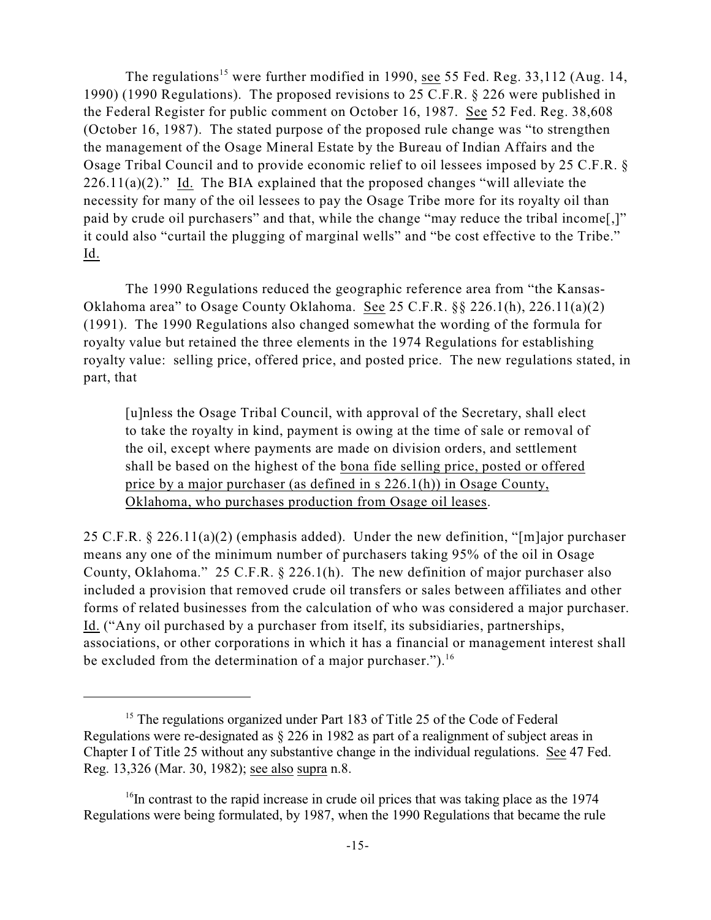The regulations<sup>15</sup> were further modified in 1990, see 55 Fed. Reg. 33,112 (Aug. 14, 1990) (1990 Regulations). The proposed revisions to 25 C.F.R. § 226 were published in the Federal Register for public comment on October 16, 1987. See 52 Fed. Reg. 38,608 (October 16, 1987). The stated purpose of the proposed rule change was "to strengthen the management of the Osage Mineral Estate by the Bureau of Indian Affairs and the Osage Tribal Council and to provide economic relief to oil lessees imposed by 25 C.F.R. §  $226.11(a)(2)$ ." Id. The BIA explained that the proposed changes "will alleviate the necessity for many of the oil lessees to pay the Osage Tribe more for its royalty oil than paid by crude oil purchasers" and that, while the change "may reduce the tribal income[,]" it could also "curtail the plugging of marginal wells" and "be cost effective to the Tribe." Id.

The 1990 Regulations reduced the geographic reference area from "the Kansas-Oklahoma area" to Osage County Oklahoma. See 25 C.F.R. §§ 226.1(h), 226.11(a)(2) (1991). The 1990 Regulations also changed somewhat the wording of the formula for royalty value but retained the three elements in the 1974 Regulations for establishing royalty value: selling price, offered price, and posted price. The new regulations stated, in part, that

[u]nless the Osage Tribal Council, with approval of the Secretary, shall elect to take the royalty in kind, payment is owing at the time of sale or removal of the oil, except where payments are made on division orders, and settlement shall be based on the highest of the bona fide selling price, posted or offered price by a major purchaser (as defined in s 226.1(h)) in Osage County, Oklahoma, who purchases production from Osage oil leases.

25 C.F.R. § 226.11(a)(2) (emphasis added). Under the new definition, "[m]ajor purchaser means any one of the minimum number of purchasers taking 95% of the oil in Osage County, Oklahoma." 25 C.F.R. § 226.1(h). The new definition of major purchaser also included a provision that removed crude oil transfers or sales between affiliates and other forms of related businesses from the calculation of who was considered a major purchaser. Id. ("Any oil purchased by a purchaser from itself, its subsidiaries, partnerships, associations, or other corporations in which it has a financial or management interest shall be excluded from the determination of a major purchaser.").<sup>16</sup>

<sup>&</sup>lt;sup>15</sup> The regulations organized under Part 183 of Title 25 of the Code of Federal Regulations were re-designated as § 226 in 1982 as part of a realignment of subject areas in Chapter I of Title 25 without any substantive change in the individual regulations. See 47 Fed. Reg. 13,326 (Mar. 30, 1982); see also supra n.8.

 $16$ In contrast to the rapid increase in crude oil prices that was taking place as the 1974 Regulations were being formulated, by 1987, when the 1990 Regulations that became the rule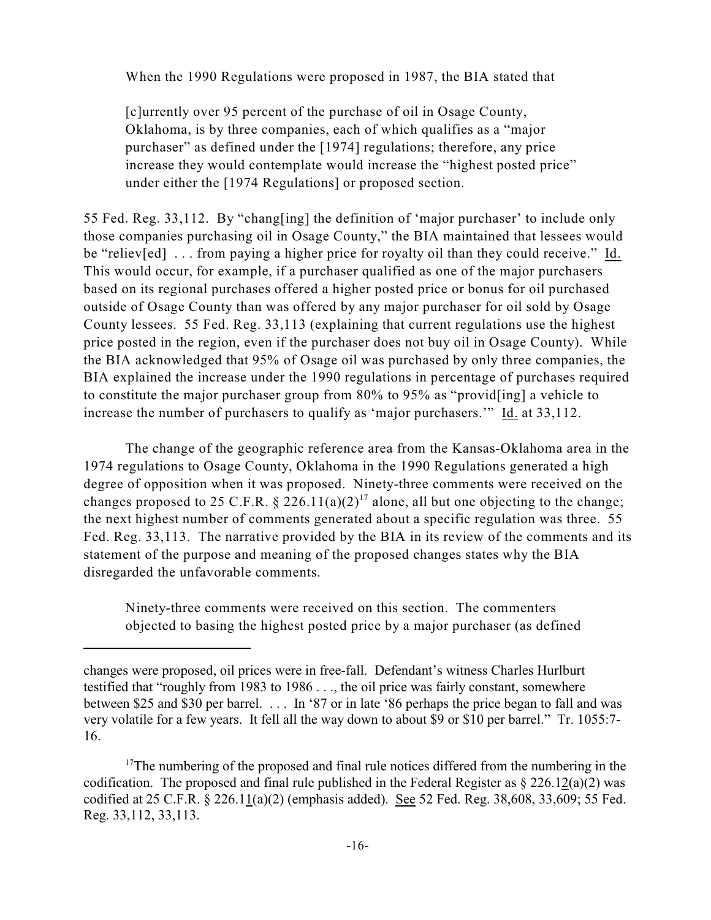When the 1990 Regulations were proposed in 1987, the BIA stated that

[c]urrently over 95 percent of the purchase of oil in Osage County, Oklahoma, is by three companies, each of which qualifies as a "major purchaser" as defined under the [1974] regulations; therefore, any price increase they would contemplate would increase the "highest posted price" under either the [1974 Regulations] or proposed section.

55 Fed. Reg. 33,112. By "chang[ing] the definition of 'major purchaser' to include only those companies purchasing oil in Osage County," the BIA maintained that lessees would be "reliev[ed] . . . from paying a higher price for royalty oil than they could receive." Id. This would occur, for example, if a purchaser qualified as one of the major purchasers based on its regional purchases offered a higher posted price or bonus for oil purchased outside of Osage County than was offered by any major purchaser for oil sold by Osage County lessees. 55 Fed. Reg. 33,113 (explaining that current regulations use the highest price posted in the region, even if the purchaser does not buy oil in Osage County). While the BIA acknowledged that 95% of Osage oil was purchased by only three companies, the BIA explained the increase under the 1990 regulations in percentage of purchases required to constitute the major purchaser group from 80% to 95% as "provid[ing] a vehicle to increase the number of purchasers to qualify as 'major purchasers.'" Id. at 33,112.

The change of the geographic reference area from the Kansas-Oklahoma area in the 1974 regulations to Osage County, Oklahoma in the 1990 Regulations generated a high degree of opposition when it was proposed. Ninety-three comments were received on the changes proposed to 25 C.F.R. § 226.11(a)(2)<sup>17</sup> alone, all but one objecting to the change; the next highest number of comments generated about a specific regulation was three. 55 Fed. Reg. 33,113. The narrative provided by the BIA in its review of the comments and its statement of the purpose and meaning of the proposed changes states why the BIA disregarded the unfavorable comments.

Ninety-three comments were received on this section. The commenters objected to basing the highest posted price by a major purchaser (as defined

changes were proposed, oil prices were in free-fall. Defendant's witness Charles Hurlburt testified that "roughly from 1983 to 1986 . . ., the oil price was fairly constant, somewhere between \$25 and \$30 per barrel. . . . In '87 or in late '86 perhaps the price began to fall and was very volatile for a few years. It fell all the way down to about \$9 or \$10 per barrel." Tr. 1055:7- 16.

 $17$ The numbering of the proposed and final rule notices differed from the numbering in the codification. The proposed and final rule published in the Federal Register as § 226.12(a)(2) was codified at 25 C.F.R. § 226.11(a)(2) (emphasis added). See 52 Fed. Reg. 38,608, 33,609; 55 Fed. Reg. 33,112, 33,113.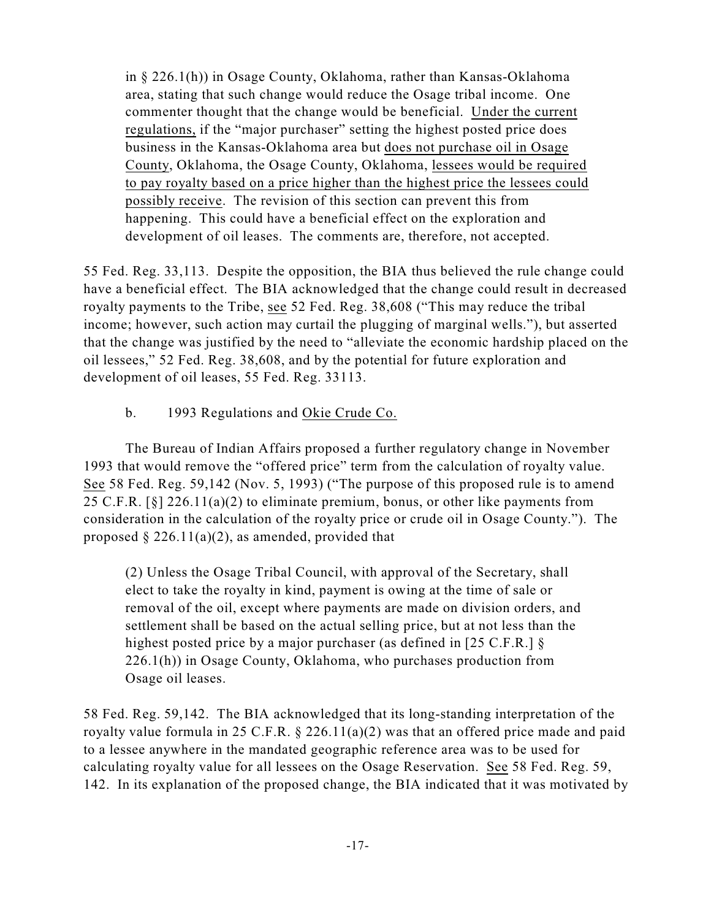in § 226.1(h)) in Osage County, Oklahoma, rather than Kansas-Oklahoma area, stating that such change would reduce the Osage tribal income. One commenter thought that the change would be beneficial. Under the current regulations, if the "major purchaser" setting the highest posted price does business in the Kansas-Oklahoma area but does not purchase oil in Osage County, Oklahoma, the Osage County, Oklahoma, lessees would be required to pay royalty based on a price higher than the highest price the lessees could possibly receive. The revision of this section can prevent this from happening. This could have a beneficial effect on the exploration and development of oil leases. The comments are, therefore, not accepted.

55 Fed. Reg. 33,113. Despite the opposition, the BIA thus believed the rule change could have a beneficial effect. The BIA acknowledged that the change could result in decreased royalty payments to the Tribe, see 52 Fed. Reg. 38,608 ("This may reduce the tribal income; however, such action may curtail the plugging of marginal wells."), but asserted that the change was justified by the need to "alleviate the economic hardship placed on the oil lessees," 52 Fed. Reg. 38,608, and by the potential for future exploration and development of oil leases, 55 Fed. Reg. 33113.

# b. 1993 Regulations and Okie Crude Co.

The Bureau of Indian Affairs proposed a further regulatory change in November 1993 that would remove the "offered price" term from the calculation of royalty value. See 58 Fed. Reg. 59,142 (Nov. 5, 1993) ("The purpose of this proposed rule is to amend 25 C.F.R. [§] 226.11(a)(2) to eliminate premium, bonus, or other like payments from consideration in the calculation of the royalty price or crude oil in Osage County."). The proposed  $\S 226.11(a)(2)$ , as amended, provided that

(2) Unless the Osage Tribal Council, with approval of the Secretary, shall elect to take the royalty in kind, payment is owing at the time of sale or removal of the oil, except where payments are made on division orders, and settlement shall be based on the actual selling price, but at not less than the highest posted price by a major purchaser (as defined in [25 C.F.R.] § 226.1(h)) in Osage County, Oklahoma, who purchases production from Osage oil leases.

58 Fed. Reg. 59,142. The BIA acknowledged that its long-standing interpretation of the royalty value formula in 25 C.F.R.  $\S$  226.11(a)(2) was that an offered price made and paid to a lessee anywhere in the mandated geographic reference area was to be used for calculating royalty value for all lessees on the Osage Reservation. See 58 Fed. Reg. 59, 142. In its explanation of the proposed change, the BIA indicated that it was motivated by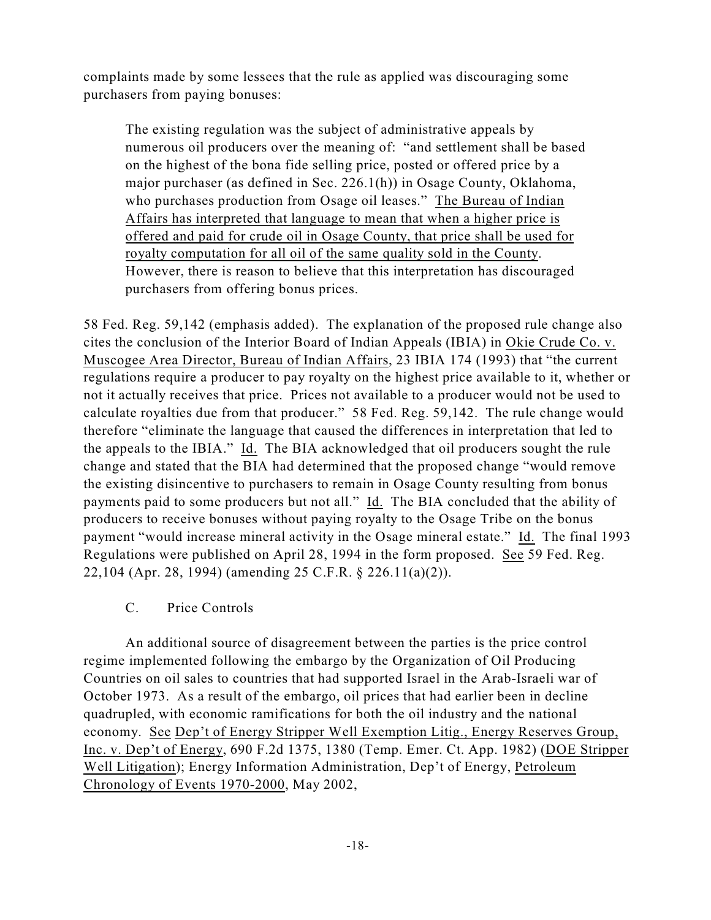complaints made by some lessees that the rule as applied was discouraging some purchasers from paying bonuses:

The existing regulation was the subject of administrative appeals by numerous oil producers over the meaning of: "and settlement shall be based on the highest of the bona fide selling price, posted or offered price by a major purchaser (as defined in Sec. 226.1(h)) in Osage County, Oklahoma, who purchases production from Osage oil leases." The Bureau of Indian Affairs has interpreted that language to mean that when a higher price is offered and paid for crude oil in Osage County, that price shall be used for royalty computation for all oil of the same quality sold in the County. However, there is reason to believe that this interpretation has discouraged purchasers from offering bonus prices.

58 Fed. Reg. 59,142 (emphasis added). The explanation of the proposed rule change also cites the conclusion of the Interior Board of Indian Appeals (IBIA) in Okie Crude Co. v. Muscogee Area Director, Bureau of Indian Affairs, 23 IBIA 174 (1993) that "the current regulations require a producer to pay royalty on the highest price available to it, whether or not it actually receives that price. Prices not available to a producer would not be used to calculate royalties due from that producer." 58 Fed. Reg. 59,142. The rule change would therefore "eliminate the language that caused the differences in interpretation that led to the appeals to the IBIA." Id. The BIA acknowledged that oil producers sought the rule change and stated that the BIA had determined that the proposed change "would remove the existing disincentive to purchasers to remain in Osage County resulting from bonus payments paid to some producers but not all." Id. The BIA concluded that the ability of producers to receive bonuses without paying royalty to the Osage Tribe on the bonus payment "would increase mineral activity in the Osage mineral estate." Id. The final 1993 Regulations were published on April 28, 1994 in the form proposed. See 59 Fed. Reg. 22,104 (Apr. 28, 1994) (amending 25 C.F.R. § 226.11(a)(2)).

C. Price Controls

An additional source of disagreement between the parties is the price control regime implemented following the embargo by the Organization of Oil Producing Countries on oil sales to countries that had supported Israel in the Arab-Israeli war of October 1973. As a result of the embargo, oil prices that had earlier been in decline quadrupled, with economic ramifications for both the oil industry and the national economy. See Dep't of Energy Stripper Well Exemption Litig., Energy Reserves Group, Inc. v. Dep't of Energy, 690 F.2d 1375, 1380 (Temp. Emer. Ct. App. 1982) (DOE Stripper Well Litigation); Energy Information Administration, Dep't of Energy, Petroleum Chronology of Events 1970-2000, May 2002,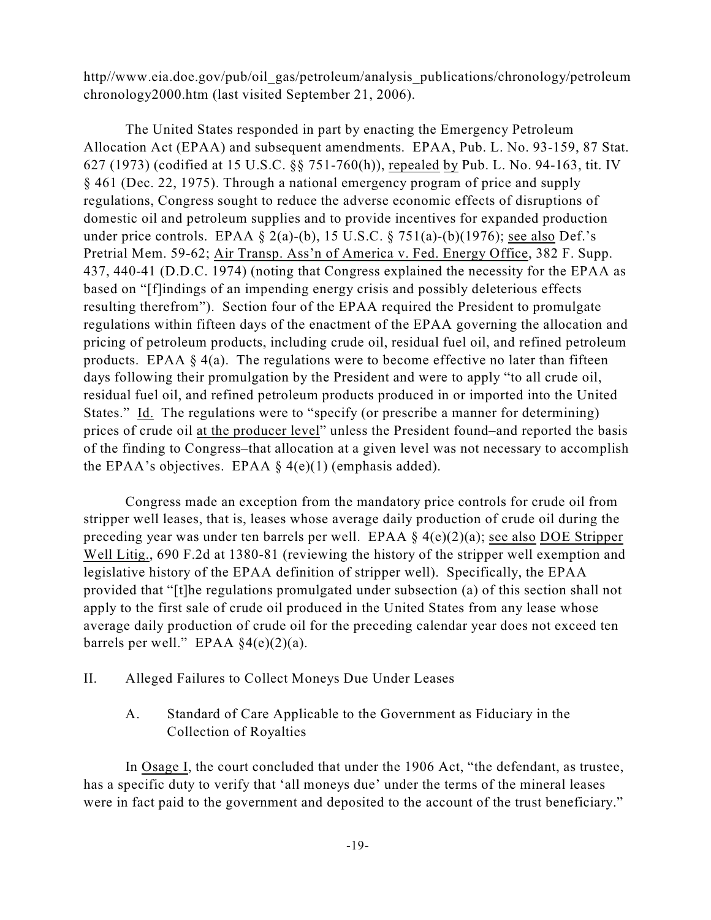http//www.eia.doe.gov/pub/oil\_gas/petroleum/analysis\_publications/chronology/petroleum chronology2000.htm (last visited September 21, 2006).

The United States responded in part by enacting the Emergency Petroleum Allocation Act (EPAA) and subsequent amendments. EPAA, Pub. L. No. 93-159, 87 Stat. 627 (1973) (codified at 15 U.S.C. §§ 751-760(h)), repealed by Pub. L. No. 94-163, tit. IV § 461 (Dec. 22, 1975). Through a national emergency program of price and supply regulations, Congress sought to reduce the adverse economic effects of disruptions of domestic oil and petroleum supplies and to provide incentives for expanded production under price controls. EPAA § 2(a)-(b), 15 U.S.C. § 751(a)-(b)(1976); see also Def.'s Pretrial Mem. 59-62; Air Transp. Ass'n of America v. Fed. Energy Office, 382 F. Supp. 437, 440-41 (D.D.C. 1974) (noting that Congress explained the necessity for the EPAA as based on "[f]indings of an impending energy crisis and possibly deleterious effects resulting therefrom"). Section four of the EPAA required the President to promulgate regulations within fifteen days of the enactment of the EPAA governing the allocation and pricing of petroleum products, including crude oil, residual fuel oil, and refined petroleum products. EPAA  $\S$  4(a). The regulations were to become effective no later than fifteen days following their promulgation by the President and were to apply "to all crude oil, residual fuel oil, and refined petroleum products produced in or imported into the United States." Id. The regulations were to "specify (or prescribe a manner for determining) prices of crude oil at the producer level" unless the President found–and reported the basis of the finding to Congress–that allocation at a given level was not necessary to accomplish the EPAA's objectives. EPAA  $\S$  4(e)(1) (emphasis added).

Congress made an exception from the mandatory price controls for crude oil from stripper well leases, that is, leases whose average daily production of crude oil during the preceding year was under ten barrels per well. EPAA § 4(e)(2)(a); see also DOE Stripper Well Litig., 690 F.2d at 1380-81 (reviewing the history of the stripper well exemption and legislative history of the EPAA definition of stripper well). Specifically, the EPAA provided that "[t]he regulations promulgated under subsection (a) of this section shall not apply to the first sale of crude oil produced in the United States from any lease whose average daily production of crude oil for the preceding calendar year does not exceed ten barrels per well." EPAA  $§4(e)(2)(a)$ .

- II. Alleged Failures to Collect Moneys Due Under Leases
	- A. Standard of Care Applicable to the Government as Fiduciary in the Collection of Royalties

In Osage I, the court concluded that under the 1906 Act, "the defendant, as trustee, has a specific duty to verify that 'all moneys due' under the terms of the mineral leases were in fact paid to the government and deposited to the account of the trust beneficiary."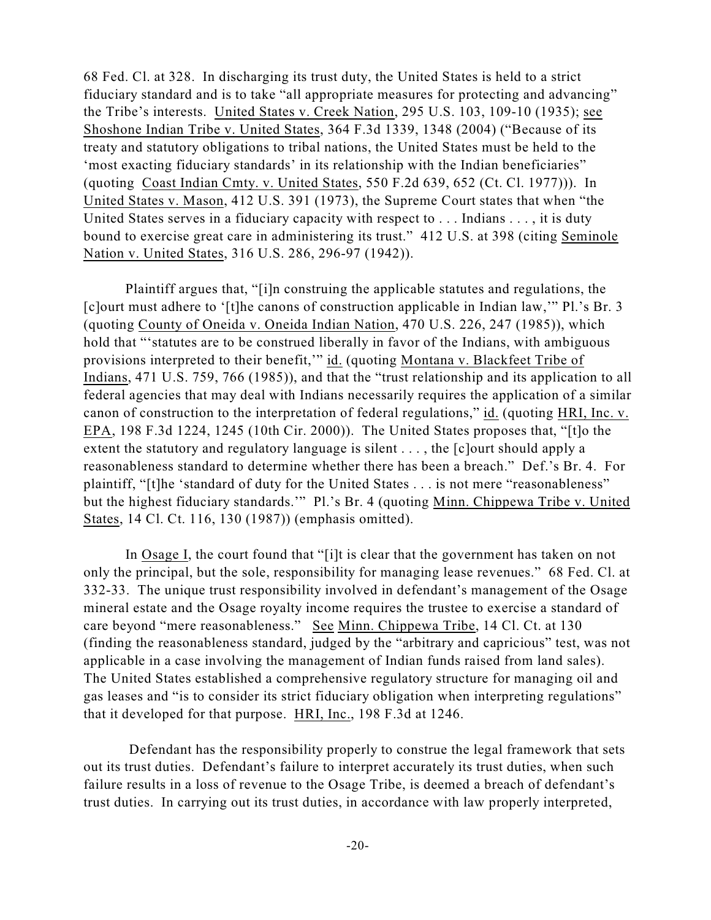68 Fed. Cl. at 328. In discharging its trust duty, the United States is held to a strict fiduciary standard and is to take "all appropriate measures for protecting and advancing" the Tribe's interests. United States v. Creek Nation, 295 U.S. 103, 109-10 (1935); see Shoshone Indian Tribe v. United States, 364 F.3d 1339, 1348 (2004) ("Because of its treaty and statutory obligations to tribal nations, the United States must be held to the 'most exacting fiduciary standards' in its relationship with the Indian beneficiaries" (quoting Coast Indian Cmty. v. United States, 550 F.2d 639, 652 (Ct. Cl. 1977))). In United States v. Mason, 412 U.S. 391 (1973), the Supreme Court states that when "the United States serves in a fiduciary capacity with respect to . . . Indians . . . , it is duty bound to exercise great care in administering its trust." 412 U.S. at 398 (citing Seminole Nation v. United States, 316 U.S. 286, 296-97 (1942)).

Plaintiff argues that, "[i]n construing the applicable statutes and regulations, the [c]ourt must adhere to '[t]he canons of construction applicable in Indian law,'" Pl.'s Br. 3 (quoting County of Oneida v. Oneida Indian Nation, 470 U.S. 226, 247 (1985)), which hold that "'statutes are to be construed liberally in favor of the Indians, with ambiguous provisions interpreted to their benefit,'" id. (quoting Montana v. Blackfeet Tribe of Indians, 471 U.S. 759, 766 (1985)), and that the "trust relationship and its application to all federal agencies that may deal with Indians necessarily requires the application of a similar canon of construction to the interpretation of federal regulations," id. (quoting HRI, Inc. v. EPA, 198 F.3d 1224, 1245 (10th Cir. 2000)). The United States proposes that, "[t]o the extent the statutory and regulatory language is silent . . . , the [c]ourt should apply a reasonableness standard to determine whether there has been a breach." Def.'s Br. 4. For plaintiff, "[t]he 'standard of duty for the United States . . . is not mere "reasonableness" but the highest fiduciary standards.'" Pl.'s Br. 4 (quoting Minn. Chippewa Tribe v. United States, 14 Cl. Ct. 116, 130 (1987)) (emphasis omitted).

In Osage I, the court found that "[i]t is clear that the government has taken on not only the principal, but the sole, responsibility for managing lease revenues." 68 Fed. Cl. at 332-33. The unique trust responsibility involved in defendant's management of the Osage mineral estate and the Osage royalty income requires the trustee to exercise a standard of care beyond "mere reasonableness." See Minn. Chippewa Tribe, 14 Cl. Ct. at 130 (finding the reasonableness standard, judged by the "arbitrary and capricious" test, was not applicable in a case involving the management of Indian funds raised from land sales). The United States established a comprehensive regulatory structure for managing oil and gas leases and "is to consider its strict fiduciary obligation when interpreting regulations" that it developed for that purpose. HRI, Inc., 198 F.3d at 1246.

 Defendant has the responsibility properly to construe the legal framework that sets out its trust duties. Defendant's failure to interpret accurately its trust duties, when such failure results in a loss of revenue to the Osage Tribe, is deemed a breach of defendant's trust duties. In carrying out its trust duties, in accordance with law properly interpreted,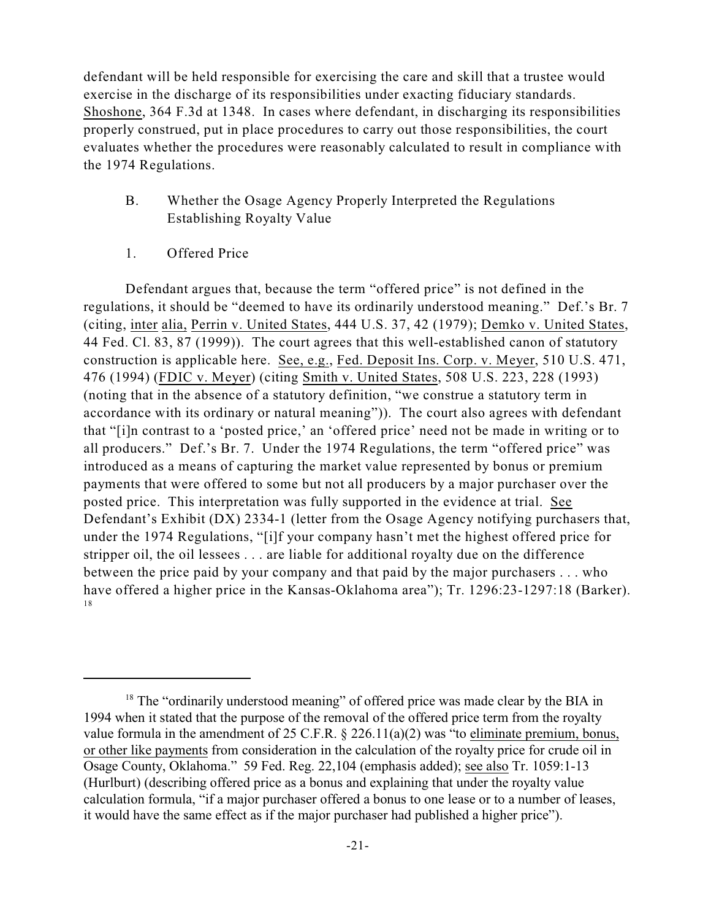defendant will be held responsible for exercising the care and skill that a trustee would exercise in the discharge of its responsibilities under exacting fiduciary standards. Shoshone, 364 F.3d at 1348. In cases where defendant, in discharging its responsibilities properly construed, put in place procedures to carry out those responsibilities, the court evaluates whether the procedures were reasonably calculated to result in compliance with the 1974 Regulations.

- B. Whether the Osage Agency Properly Interpreted the Regulations Establishing Royalty Value
- 1. Offered Price

Defendant argues that, because the term "offered price" is not defined in the regulations, it should be "deemed to have its ordinarily understood meaning." Def.'s Br. 7 (citing, inter alia, Perrin v. United States, 444 U.S. 37, 42 (1979); Demko v. United States, 44 Fed. Cl. 83, 87 (1999)). The court agrees that this well-established canon of statutory construction is applicable here. See, e.g., Fed. Deposit Ins. Corp. v. Meyer, 510 U.S. 471, 476 (1994) (FDIC v. Meyer) (citing Smith v. United States, 508 U.S. 223, 228 (1993) (noting that in the absence of a statutory definition, "we construe a statutory term in accordance with its ordinary or natural meaning")). The court also agrees with defendant that "[i]n contrast to a 'posted price,' an 'offered price' need not be made in writing or to all producers." Def.'s Br. 7. Under the 1974 Regulations, the term "offered price" was introduced as a means of capturing the market value represented by bonus or premium payments that were offered to some but not all producers by a major purchaser over the posted price. This interpretation was fully supported in the evidence at trial. See Defendant's Exhibit (DX) 2334-1 (letter from the Osage Agency notifying purchasers that, under the 1974 Regulations, "[i]f your company hasn't met the highest offered price for stripper oil, the oil lessees . . . are liable for additional royalty due on the difference between the price paid by your company and that paid by the major purchasers . . . who have offered a higher price in the Kansas-Oklahoma area"); Tr. 1296:23-1297:18 (Barker). 18

<sup>&</sup>lt;sup>18</sup> The "ordinarily understood meaning" of offered price was made clear by the BIA in 1994 when it stated that the purpose of the removal of the offered price term from the royalty value formula in the amendment of 25 C.F.R. § 226.11(a)(2) was "to eliminate premium, bonus, or other like payments from consideration in the calculation of the royalty price for crude oil in Osage County, Oklahoma." 59 Fed. Reg. 22,104 (emphasis added); see also Tr. 1059:1-13 (Hurlburt) (describing offered price as a bonus and explaining that under the royalty value calculation formula, "if a major purchaser offered a bonus to one lease or to a number of leases, it would have the same effect as if the major purchaser had published a higher price").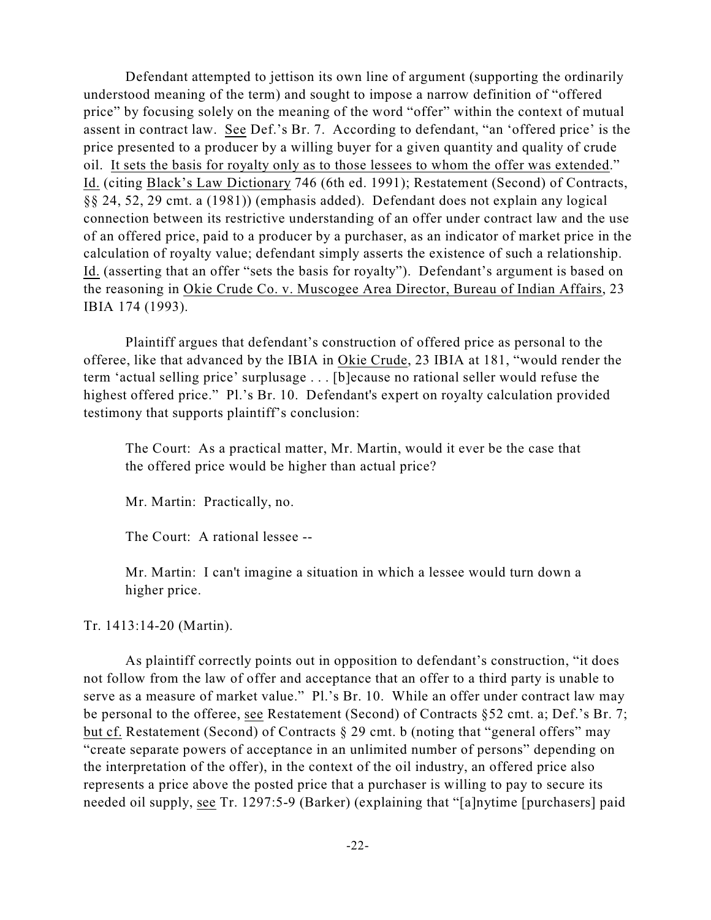Defendant attempted to jettison its own line of argument (supporting the ordinarily understood meaning of the term) and sought to impose a narrow definition of "offered price" by focusing solely on the meaning of the word "offer" within the context of mutual assent in contract law. See Def.'s Br. 7. According to defendant, "an 'offered price' is the price presented to a producer by a willing buyer for a given quantity and quality of crude oil. It sets the basis for royalty only as to those lessees to whom the offer was extended." Id. (citing Black's Law Dictionary 746 (6th ed. 1991); Restatement (Second) of Contracts, §§ 24, 52, 29 cmt. a (1981)) (emphasis added). Defendant does not explain any logical connection between its restrictive understanding of an offer under contract law and the use of an offered price, paid to a producer by a purchaser, as an indicator of market price in the calculation of royalty value; defendant simply asserts the existence of such a relationship. Id. (asserting that an offer "sets the basis for royalty"). Defendant's argument is based on the reasoning in Okie Crude Co. v. Muscogee Area Director, Bureau of Indian Affairs, 23 IBIA 174 (1993).

Plaintiff argues that defendant's construction of offered price as personal to the offeree, like that advanced by the IBIA in Okie Crude, 23 IBIA at 181, "would render the term 'actual selling price' surplusage . . . [b]ecause no rational seller would refuse the highest offered price." Pl.'s Br. 10. Defendant's expert on royalty calculation provided testimony that supports plaintiff's conclusion:

The Court: As a practical matter, Mr. Martin, would it ever be the case that the offered price would be higher than actual price?

Mr. Martin: Practically, no.

The Court: A rational lessee --

Mr. Martin: I can't imagine a situation in which a lessee would turn down a higher price.

Tr. 1413:14-20 (Martin).

As plaintiff correctly points out in opposition to defendant's construction, "it does not follow from the law of offer and acceptance that an offer to a third party is unable to serve as a measure of market value." Pl.'s Br. 10. While an offer under contract law may be personal to the offeree, see Restatement (Second) of Contracts §52 cmt. a; Def.'s Br. 7; but cf. Restatement (Second) of Contracts § 29 cmt. b (noting that "general offers" may "create separate powers of acceptance in an unlimited number of persons" depending on the interpretation of the offer), in the context of the oil industry, an offered price also represents a price above the posted price that a purchaser is willing to pay to secure its needed oil supply, see Tr. 1297:5-9 (Barker) (explaining that "[a]nytime [purchasers] paid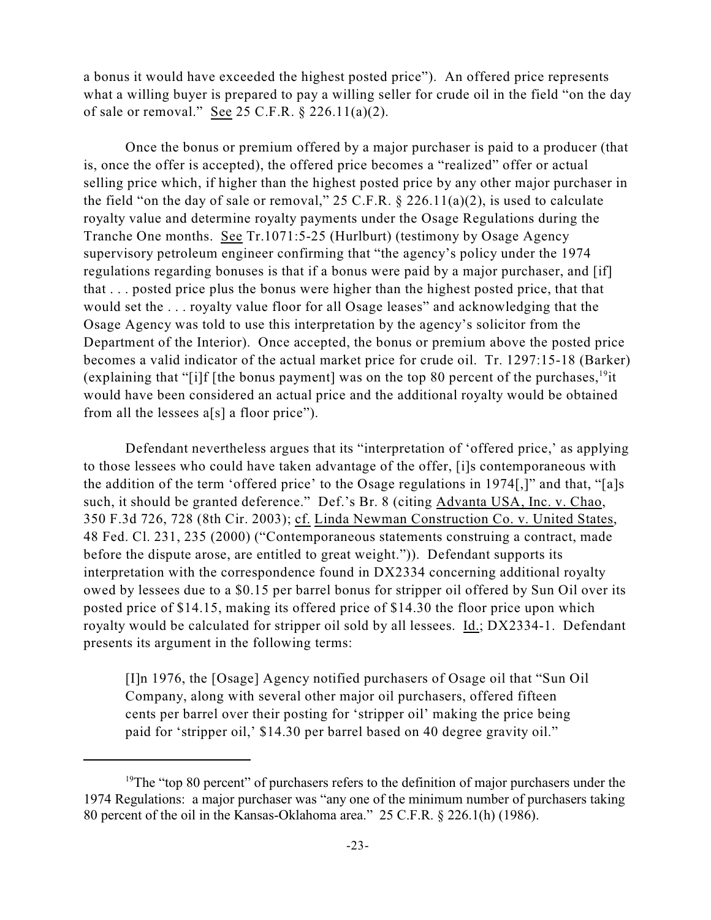a bonus it would have exceeded the highest posted price"). An offered price represents what a willing buyer is prepared to pay a willing seller for crude oil in the field "on the day of sale or removal." See 25 C.F.R. § 226.11(a)(2).

Once the bonus or premium offered by a major purchaser is paid to a producer (that is, once the offer is accepted), the offered price becomes a "realized" offer or actual selling price which, if higher than the highest posted price by any other major purchaser in the field "on the day of sale or removal," 25 C.F.R.  $\S$  226.11(a)(2), is used to calculate royalty value and determine royalty payments under the Osage Regulations during the Tranche One months. See Tr.1071:5-25 (Hurlburt) (testimony by Osage Agency supervisory petroleum engineer confirming that "the agency's policy under the 1974 regulations regarding bonuses is that if a bonus were paid by a major purchaser, and [if] that . . . posted price plus the bonus were higher than the highest posted price, that that would set the . . . royalty value floor for all Osage leases" and acknowledging that the Osage Agency was told to use this interpretation by the agency's solicitor from the Department of the Interior). Once accepted, the bonus or premium above the posted price becomes a valid indicator of the actual market price for crude oil. Tr. 1297:15-18 (Barker) (explaining that "[i]f [the bonus payment] was on the top 80 percent of the purchases,  $19$ <sup>1</sup> would have been considered an actual price and the additional royalty would be obtained from all the lessees a[s] a floor price").

Defendant nevertheless argues that its "interpretation of 'offered price,' as applying to those lessees who could have taken advantage of the offer, [i]s contemporaneous with the addition of the term 'offered price' to the Osage regulations in 1974[,]" and that, "[a]s such, it should be granted deference." Def.'s Br. 8 (citing Advanta USA, Inc. v. Chao, 350 F.3d 726, 728 (8th Cir. 2003); cf. Linda Newman Construction Co. v. United States, 48 Fed. Cl. 231, 235 (2000) ("Contemporaneous statements construing a contract, made before the dispute arose, are entitled to great weight.")). Defendant supports its interpretation with the correspondence found in DX2334 concerning additional royalty owed by lessees due to a \$0.15 per barrel bonus for stripper oil offered by Sun Oil over its posted price of \$14.15, making its offered price of \$14.30 the floor price upon which royalty would be calculated for stripper oil sold by all lessees. Id.; DX2334-1. Defendant presents its argument in the following terms:

[I]n 1976, the [Osage] Agency notified purchasers of Osage oil that "Sun Oil Company, along with several other major oil purchasers, offered fifteen cents per barrel over their posting for 'stripper oil' making the price being paid for 'stripper oil,' \$14.30 per barrel based on 40 degree gravity oil."

<sup>&</sup>lt;sup>19</sup>The "top 80 percent" of purchasers refers to the definition of major purchasers under the 1974 Regulations: a major purchaser was "any one of the minimum number of purchasers taking 80 percent of the oil in the Kansas-Oklahoma area." 25 C.F.R. § 226.1(h) (1986).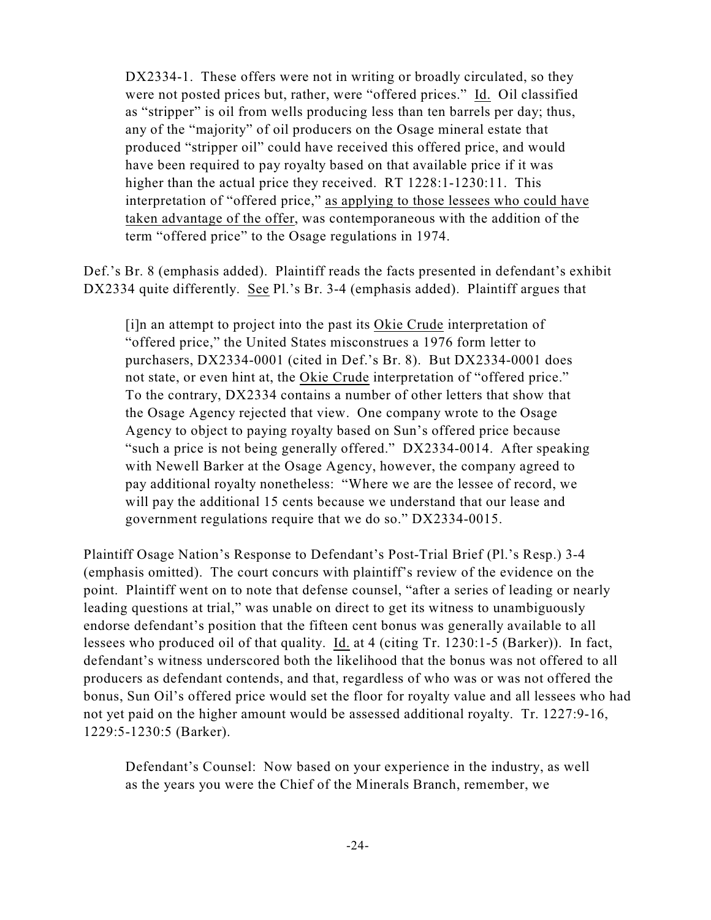DX2334-1. These offers were not in writing or broadly circulated, so they were not posted prices but, rather, were "offered prices." Id. Oil classified as "stripper" is oil from wells producing less than ten barrels per day; thus, any of the "majority" of oil producers on the Osage mineral estate that produced "stripper oil" could have received this offered price, and would have been required to pay royalty based on that available price if it was higher than the actual price they received. RT 1228:1-1230:11. This interpretation of "offered price," as applying to those lessees who could have taken advantage of the offer, was contemporaneous with the addition of the term "offered price" to the Osage regulations in 1974.

Def.'s Br. 8 (emphasis added). Plaintiff reads the facts presented in defendant's exhibit DX2334 quite differently. See Pl.'s Br. 3-4 (emphasis added). Plaintiff argues that

[i]n an attempt to project into the past its Okie Crude interpretation of "offered price," the United States misconstrues a 1976 form letter to purchasers, DX2334-0001 (cited in Def.'s Br. 8). But DX2334-0001 does not state, or even hint at, the Okie Crude interpretation of "offered price." To the contrary, DX2334 contains a number of other letters that show that the Osage Agency rejected that view. One company wrote to the Osage Agency to object to paying royalty based on Sun's offered price because "such a price is not being generally offered." DX2334-0014. After speaking with Newell Barker at the Osage Agency, however, the company agreed to pay additional royalty nonetheless: "Where we are the lessee of record, we will pay the additional 15 cents because we understand that our lease and government regulations require that we do so." DX2334-0015.

Plaintiff Osage Nation's Response to Defendant's Post-Trial Brief (Pl.'s Resp.) 3-4 (emphasis omitted). The court concurs with plaintiff's review of the evidence on the point. Plaintiff went on to note that defense counsel, "after a series of leading or nearly leading questions at trial," was unable on direct to get its witness to unambiguously endorse defendant's position that the fifteen cent bonus was generally available to all lessees who produced oil of that quality. Id. at 4 (citing Tr. 1230:1-5 (Barker)). In fact, defendant's witness underscored both the likelihood that the bonus was not offered to all producers as defendant contends, and that, regardless of who was or was not offered the bonus, Sun Oil's offered price would set the floor for royalty value and all lessees who had not yet paid on the higher amount would be assessed additional royalty. Tr. 1227:9-16, 1229:5-1230:5 (Barker).

Defendant's Counsel: Now based on your experience in the industry, as well as the years you were the Chief of the Minerals Branch, remember, we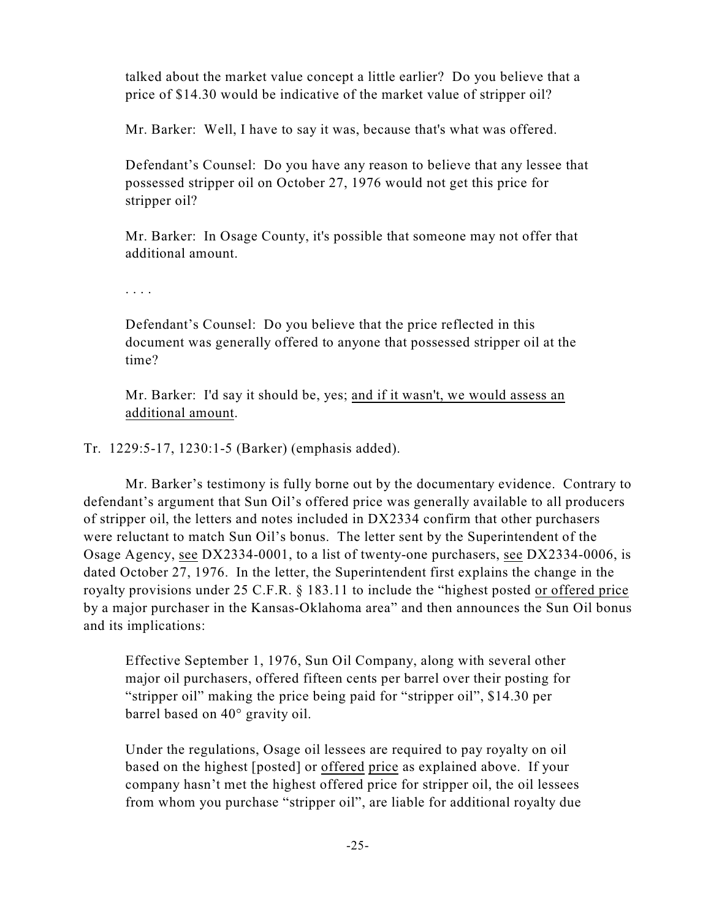talked about the market value concept a little earlier? Do you believe that a price of \$14.30 would be indicative of the market value of stripper oil?

Mr. Barker: Well, I have to say it was, because that's what was offered.

Defendant's Counsel: Do you have any reason to believe that any lessee that possessed stripper oil on October 27, 1976 would not get this price for stripper oil?

Mr. Barker: In Osage County, it's possible that someone may not offer that additional amount.

. . . .

Defendant's Counsel: Do you believe that the price reflected in this document was generally offered to anyone that possessed stripper oil at the time?

Mr. Barker: I'd say it should be, yes; and if it wasn't, we would assess an additional amount.

Tr. 1229:5-17, 1230:1-5 (Barker) (emphasis added).

Mr. Barker's testimony is fully borne out by the documentary evidence. Contrary to defendant's argument that Sun Oil's offered price was generally available to all producers of stripper oil, the letters and notes included in DX2334 confirm that other purchasers were reluctant to match Sun Oil's bonus. The letter sent by the Superintendent of the Osage Agency, see DX2334-0001, to a list of twenty-one purchasers, see DX2334-0006, is dated October 27, 1976. In the letter, the Superintendent first explains the change in the royalty provisions under 25 C.F.R. § 183.11 to include the "highest posted or offered price by a major purchaser in the Kansas-Oklahoma area" and then announces the Sun Oil bonus and its implications:

Effective September 1, 1976, Sun Oil Company, along with several other major oil purchasers, offered fifteen cents per barrel over their posting for "stripper oil" making the price being paid for "stripper oil", \$14.30 per barrel based on 40° gravity oil.

Under the regulations, Osage oil lessees are required to pay royalty on oil based on the highest [posted] or offered price as explained above. If your company hasn't met the highest offered price for stripper oil, the oil lessees from whom you purchase "stripper oil", are liable for additional royalty due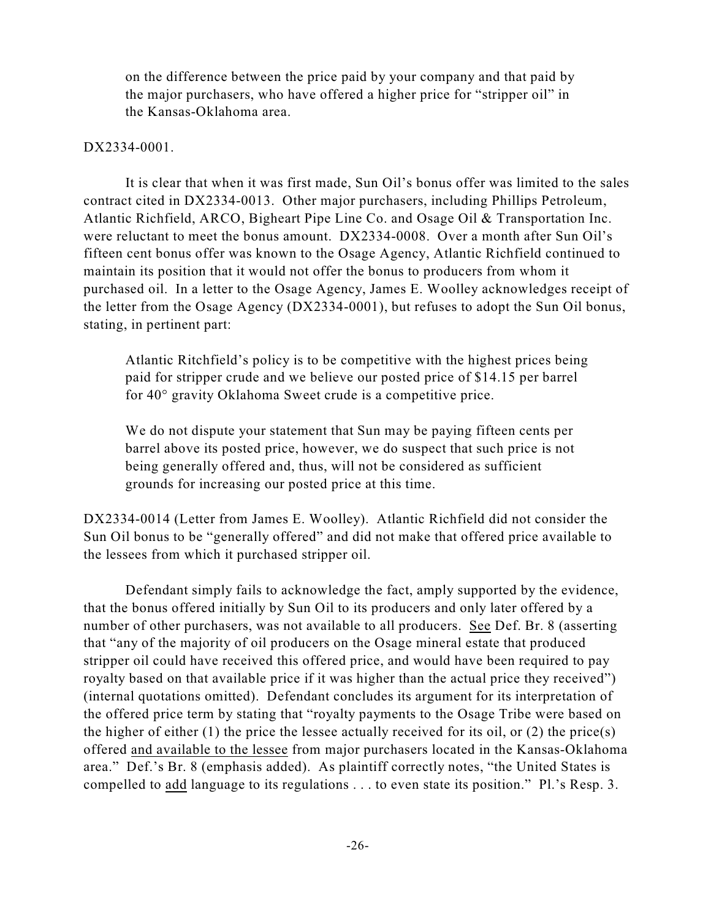on the difference between the price paid by your company and that paid by the major purchasers, who have offered a higher price for "stripper oil" in the Kansas-Oklahoma area.

#### DX2334-0001.

It is clear that when it was first made, Sun Oil's bonus offer was limited to the sales contract cited in DX2334-0013. Other major purchasers, including Phillips Petroleum, Atlantic Richfield, ARCO, Bigheart Pipe Line Co. and Osage Oil & Transportation Inc. were reluctant to meet the bonus amount. DX2334-0008. Over a month after Sun Oil's fifteen cent bonus offer was known to the Osage Agency, Atlantic Richfield continued to maintain its position that it would not offer the bonus to producers from whom it purchased oil. In a letter to the Osage Agency, James E. Woolley acknowledges receipt of the letter from the Osage Agency (DX2334-0001), but refuses to adopt the Sun Oil bonus, stating, in pertinent part:

Atlantic Ritchfield's policy is to be competitive with the highest prices being paid for stripper crude and we believe our posted price of \$14.15 per barrel for 40° gravity Oklahoma Sweet crude is a competitive price.

We do not dispute your statement that Sun may be paying fifteen cents per barrel above its posted price, however, we do suspect that such price is not being generally offered and, thus, will not be considered as sufficient grounds for increasing our posted price at this time.

DX2334-0014 (Letter from James E. Woolley). Atlantic Richfield did not consider the Sun Oil bonus to be "generally offered" and did not make that offered price available to the lessees from which it purchased stripper oil.

Defendant simply fails to acknowledge the fact, amply supported by the evidence, that the bonus offered initially by Sun Oil to its producers and only later offered by a number of other purchasers, was not available to all producers. See Def. Br. 8 (asserting that "any of the majority of oil producers on the Osage mineral estate that produced stripper oil could have received this offered price, and would have been required to pay royalty based on that available price if it was higher than the actual price they received") (internal quotations omitted). Defendant concludes its argument for its interpretation of the offered price term by stating that "royalty payments to the Osage Tribe were based on the higher of either  $(1)$  the price the lessee actually received for its oil, or  $(2)$  the price(s) offered and available to the lessee from major purchasers located in the Kansas-Oklahoma area." Def.'s Br. 8 (emphasis added). As plaintiff correctly notes, "the United States is compelled to add language to its regulations . . . to even state its position." Pl.'s Resp. 3.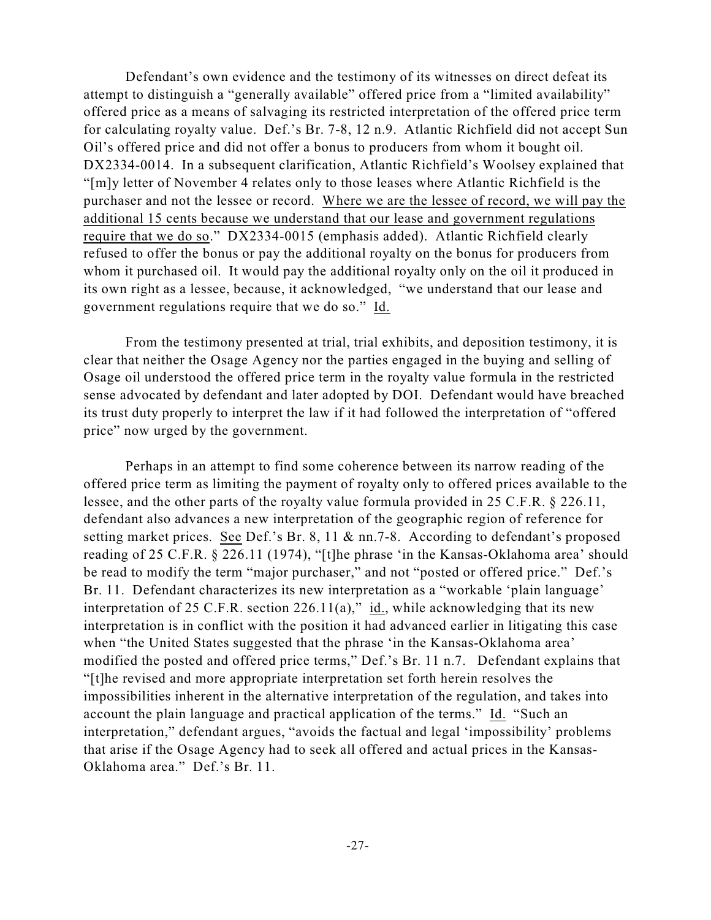Defendant's own evidence and the testimony of its witnesses on direct defeat its attempt to distinguish a "generally available" offered price from a "limited availability" offered price as a means of salvaging its restricted interpretation of the offered price term for calculating royalty value. Def.'s Br. 7-8, 12 n.9. Atlantic Richfield did not accept Sun Oil's offered price and did not offer a bonus to producers from whom it bought oil. DX2334-0014. In a subsequent clarification, Atlantic Richfield's Woolsey explained that "[m]y letter of November 4 relates only to those leases where Atlantic Richfield is the purchaser and not the lessee or record. Where we are the lessee of record, we will pay the additional 15 cents because we understand that our lease and government regulations require that we do so." DX2334-0015 (emphasis added). Atlantic Richfield clearly refused to offer the bonus or pay the additional royalty on the bonus for producers from whom it purchased oil. It would pay the additional royalty only on the oil it produced in its own right as a lessee, because, it acknowledged, "we understand that our lease and government regulations require that we do so." Id.

From the testimony presented at trial, trial exhibits, and deposition testimony, it is clear that neither the Osage Agency nor the parties engaged in the buying and selling of Osage oil understood the offered price term in the royalty value formula in the restricted sense advocated by defendant and later adopted by DOI. Defendant would have breached its trust duty properly to interpret the law if it had followed the interpretation of "offered price" now urged by the government.

Perhaps in an attempt to find some coherence between its narrow reading of the offered price term as limiting the payment of royalty only to offered prices available to the lessee, and the other parts of the royalty value formula provided in 25 C.F.R. § 226.11, defendant also advances a new interpretation of the geographic region of reference for setting market prices. See Def.'s Br. 8, 11 & nn.7-8. According to defendant's proposed reading of 25 C.F.R. § 226.11 (1974), "[t]he phrase 'in the Kansas-Oklahoma area' should be read to modify the term "major purchaser," and not "posted or offered price." Def.'s Br. 11. Defendant characterizes its new interpretation as a "workable 'plain language' interpretation of 25 C.F.R. section 226.11(a)," id., while acknowledging that its new interpretation is in conflict with the position it had advanced earlier in litigating this case when "the United States suggested that the phrase 'in the Kansas-Oklahoma area' modified the posted and offered price terms," Def.'s Br. 11 n.7. Defendant explains that "[t]he revised and more appropriate interpretation set forth herein resolves the impossibilities inherent in the alternative interpretation of the regulation, and takes into account the plain language and practical application of the terms." Id. "Such an interpretation," defendant argues, "avoids the factual and legal 'impossibility' problems that arise if the Osage Agency had to seek all offered and actual prices in the Kansas-Oklahoma area." Def.'s Br. 11.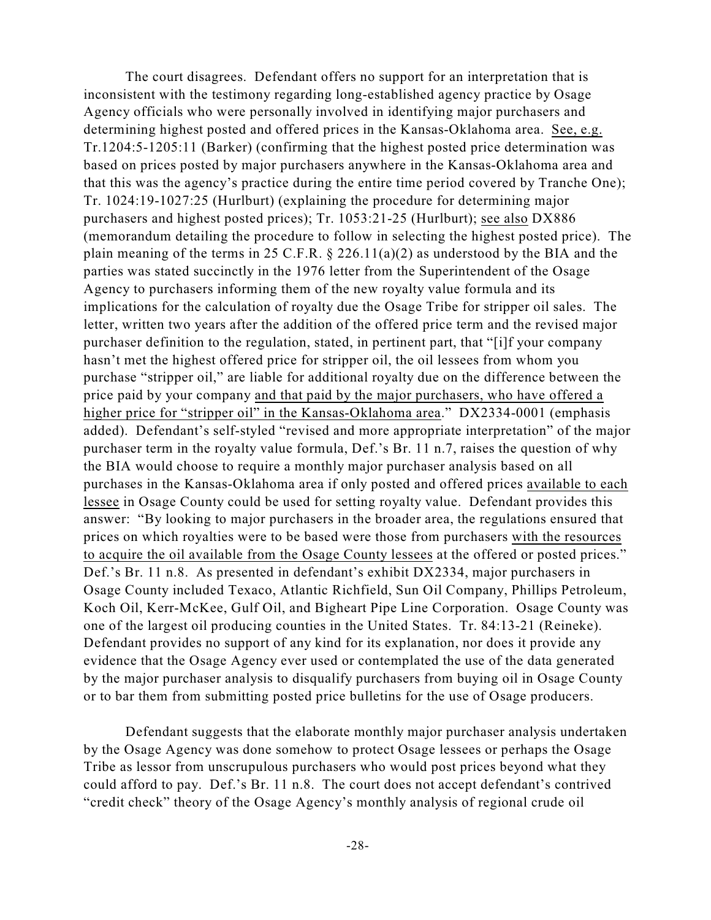The court disagrees. Defendant offers no support for an interpretation that is inconsistent with the testimony regarding long-established agency practice by Osage Agency officials who were personally involved in identifying major purchasers and determining highest posted and offered prices in the Kansas-Oklahoma area. See, e.g. Tr.1204:5-1205:11 (Barker) (confirming that the highest posted price determination was based on prices posted by major purchasers anywhere in the Kansas-Oklahoma area and that this was the agency's practice during the entire time period covered by Tranche One); Tr. 1024:19-1027:25 (Hurlburt) (explaining the procedure for determining major purchasers and highest posted prices); Tr. 1053:21-25 (Hurlburt); see also DX886 (memorandum detailing the procedure to follow in selecting the highest posted price). The plain meaning of the terms in 25 C.F.R.  $\S$  226.11(a)(2) as understood by the BIA and the parties was stated succinctly in the 1976 letter from the Superintendent of the Osage Agency to purchasers informing them of the new royalty value formula and its implications for the calculation of royalty due the Osage Tribe for stripper oil sales. The letter, written two years after the addition of the offered price term and the revised major purchaser definition to the regulation, stated, in pertinent part, that "[i]f your company hasn't met the highest offered price for stripper oil, the oil lessees from whom you purchase "stripper oil," are liable for additional royalty due on the difference between the price paid by your company and that paid by the major purchasers, who have offered a higher price for "stripper oil" in the Kansas-Oklahoma area." DX2334-0001 (emphasis added). Defendant's self-styled "revised and more appropriate interpretation" of the major purchaser term in the royalty value formula, Def.'s Br. 11 n.7, raises the question of why the BIA would choose to require a monthly major purchaser analysis based on all purchases in the Kansas-Oklahoma area if only posted and offered prices available to each lessee in Osage County could be used for setting royalty value. Defendant provides this answer: "By looking to major purchasers in the broader area, the regulations ensured that prices on which royalties were to be based were those from purchasers with the resources to acquire the oil available from the Osage County lessees at the offered or posted prices." Def.'s Br. 11 n.8. As presented in defendant's exhibit DX2334, major purchasers in Osage County included Texaco, Atlantic Richfield, Sun Oil Company, Phillips Petroleum, Koch Oil, Kerr-McKee, Gulf Oil, and Bigheart Pipe Line Corporation. Osage County was one of the largest oil producing counties in the United States. Tr. 84:13-21 (Reineke). Defendant provides no support of any kind for its explanation, nor does it provide any evidence that the Osage Agency ever used or contemplated the use of the data generated by the major purchaser analysis to disqualify purchasers from buying oil in Osage County or to bar them from submitting posted price bulletins for the use of Osage producers.

Defendant suggests that the elaborate monthly major purchaser analysis undertaken by the Osage Agency was done somehow to protect Osage lessees or perhaps the Osage Tribe as lessor from unscrupulous purchasers who would post prices beyond what they could afford to pay. Def.'s Br. 11 n.8. The court does not accept defendant's contrived "credit check" theory of the Osage Agency's monthly analysis of regional crude oil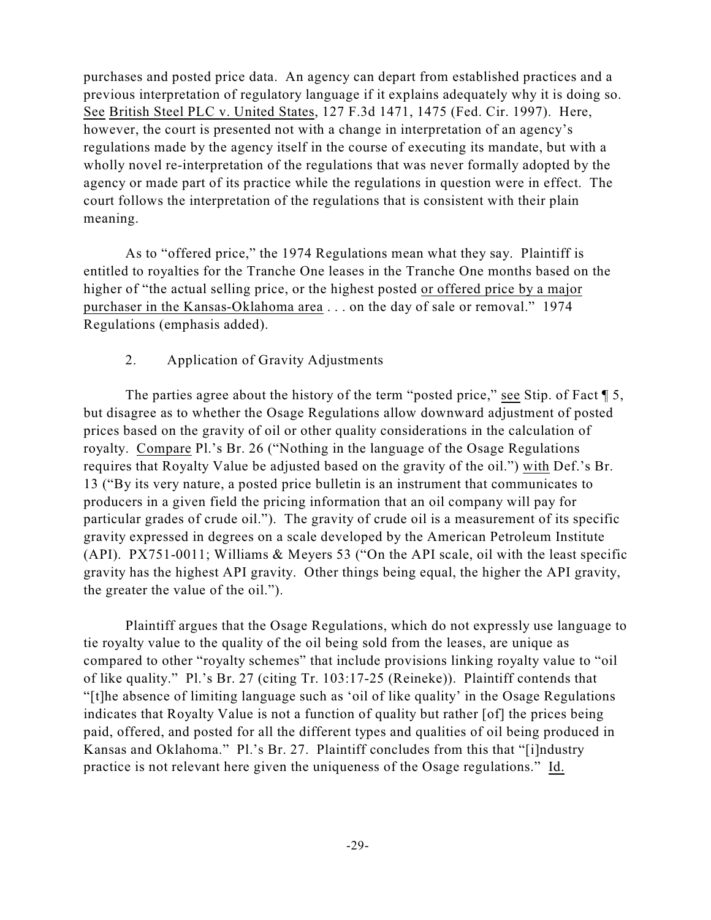purchases and posted price data. An agency can depart from established practices and a previous interpretation of regulatory language if it explains adequately why it is doing so. See British Steel PLC v. United States, 127 F.3d 1471, 1475 (Fed. Cir. 1997). Here, however, the court is presented not with a change in interpretation of an agency's regulations made by the agency itself in the course of executing its mandate, but with a wholly novel re-interpretation of the regulations that was never formally adopted by the agency or made part of its practice while the regulations in question were in effect. The court follows the interpretation of the regulations that is consistent with their plain meaning.

As to "offered price," the 1974 Regulations mean what they say. Plaintiff is entitled to royalties for the Tranche One leases in the Tranche One months based on the higher of "the actual selling price, or the highest posted or offered price by a major purchaser in the Kansas-Oklahoma area . . . on the day of sale or removal." 1974 Regulations (emphasis added).

## 2. Application of Gravity Adjustments

The parties agree about the history of the term "posted price," see Stip. of Fact  $\P$  5, but disagree as to whether the Osage Regulations allow downward adjustment of posted prices based on the gravity of oil or other quality considerations in the calculation of royalty. Compare Pl.'s Br. 26 ("Nothing in the language of the Osage Regulations requires that Royalty Value be adjusted based on the gravity of the oil.") with Def.'s Br. 13 ("By its very nature, a posted price bulletin is an instrument that communicates to producers in a given field the pricing information that an oil company will pay for particular grades of crude oil."). The gravity of crude oil is a measurement of its specific gravity expressed in degrees on a scale developed by the American Petroleum Institute (API). PX751-0011; Williams & Meyers 53 ("On the API scale, oil with the least specific gravity has the highest API gravity. Other things being equal, the higher the API gravity, the greater the value of the oil.").

Plaintiff argues that the Osage Regulations, which do not expressly use language to tie royalty value to the quality of the oil being sold from the leases, are unique as compared to other "royalty schemes" that include provisions linking royalty value to "oil of like quality." Pl.'s Br. 27 (citing Tr. 103:17-25 (Reineke)). Plaintiff contends that "[t]he absence of limiting language such as 'oil of like quality' in the Osage Regulations indicates that Royalty Value is not a function of quality but rather [of] the prices being paid, offered, and posted for all the different types and qualities of oil being produced in Kansas and Oklahoma." Pl.'s Br. 27. Plaintiff concludes from this that "[i]ndustry practice is not relevant here given the uniqueness of the Osage regulations." Id.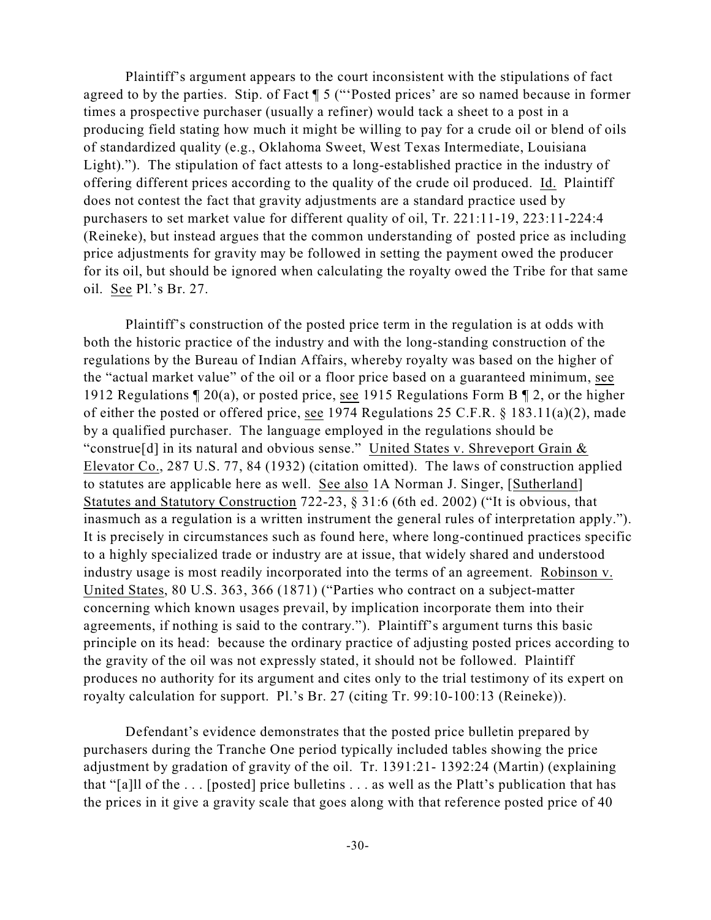Plaintiff's argument appears to the court inconsistent with the stipulations of fact agreed to by the parties. Stip. of Fact ¶ 5 ("'Posted prices' are so named because in former times a prospective purchaser (usually a refiner) would tack a sheet to a post in a producing field stating how much it might be willing to pay for a crude oil or blend of oils of standardized quality (e.g., Oklahoma Sweet, West Texas Intermediate, Louisiana Light)."). The stipulation of fact attests to a long-established practice in the industry of offering different prices according to the quality of the crude oil produced. Id. Plaintiff does not contest the fact that gravity adjustments are a standard practice used by purchasers to set market value for different quality of oil, Tr. 221:11-19, 223:11-224:4 (Reineke), but instead argues that the common understanding of posted price as including price adjustments for gravity may be followed in setting the payment owed the producer for its oil, but should be ignored when calculating the royalty owed the Tribe for that same oil. See Pl.'s Br. 27.

Plaintiff's construction of the posted price term in the regulation is at odds with both the historic practice of the industry and with the long-standing construction of the regulations by the Bureau of Indian Affairs, whereby royalty was based on the higher of the "actual market value" of the oil or a floor price based on a guaranteed minimum, see 1912 Regulations ¶ 20(a), or posted price, see 1915 Regulations Form B ¶ 2, or the higher of either the posted or offered price, see 1974 Regulations 25 C.F.R. § 183.11(a)(2), made by a qualified purchaser. The language employed in the regulations should be "construe[d] in its natural and obvious sense." United States v. Shreveport Grain & Elevator Co., 287 U.S. 77, 84 (1932) (citation omitted). The laws of construction applied to statutes are applicable here as well. See also 1A Norman J. Singer, [Sutherland] Statutes and Statutory Construction 722-23, § 31:6 (6th ed. 2002) ("It is obvious, that inasmuch as a regulation is a written instrument the general rules of interpretation apply."). It is precisely in circumstances such as found here, where long-continued practices specific to a highly specialized trade or industry are at issue, that widely shared and understood industry usage is most readily incorporated into the terms of an agreement. Robinson v. United States, 80 U.S. 363, 366 (1871) ("Parties who contract on a subject-matter concerning which known usages prevail, by implication incorporate them into their agreements, if nothing is said to the contrary."). Plaintiff's argument turns this basic principle on its head: because the ordinary practice of adjusting posted prices according to the gravity of the oil was not expressly stated, it should not be followed. Plaintiff produces no authority for its argument and cites only to the trial testimony of its expert on royalty calculation for support. Pl.'s Br. 27 (citing Tr. 99:10-100:13 (Reineke)).

Defendant's evidence demonstrates that the posted price bulletin prepared by purchasers during the Tranche One period typically included tables showing the price adjustment by gradation of gravity of the oil. Tr. 1391:21- 1392:24 (Martin) (explaining that "[a]ll of the . . . [posted] price bulletins . . . as well as the Platt's publication that has the prices in it give a gravity scale that goes along with that reference posted price of 40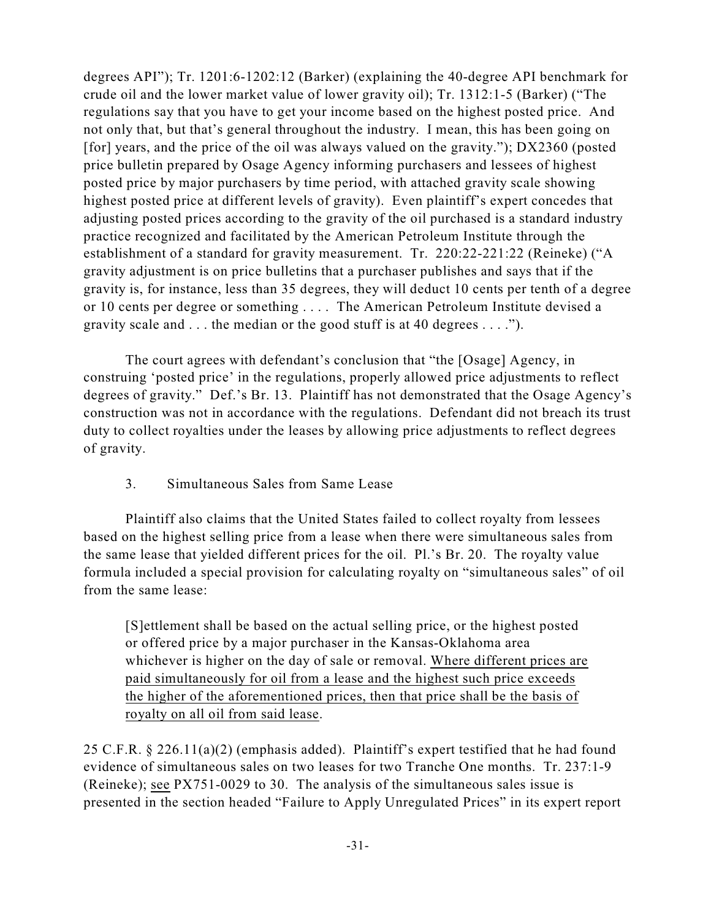degrees API"); Tr. 1201:6-1202:12 (Barker) (explaining the 40-degree API benchmark for crude oil and the lower market value of lower gravity oil); Tr. 1312:1-5 (Barker) ("The regulations say that you have to get your income based on the highest posted price. And not only that, but that's general throughout the industry. I mean, this has been going on [for] years, and the price of the oil was always valued on the gravity."); DX2360 (posted price bulletin prepared by Osage Agency informing purchasers and lessees of highest posted price by major purchasers by time period, with attached gravity scale showing highest posted price at different levels of gravity). Even plaintiff's expert concedes that adjusting posted prices according to the gravity of the oil purchased is a standard industry practice recognized and facilitated by the American Petroleum Institute through the establishment of a standard for gravity measurement. Tr. 220:22-221:22 (Reineke) ("A gravity adjustment is on price bulletins that a purchaser publishes and says that if the gravity is, for instance, less than 35 degrees, they will deduct 10 cents per tenth of a degree or 10 cents per degree or something . . . . The American Petroleum Institute devised a gravity scale and . . . the median or the good stuff is at 40 degrees . . . .").

The court agrees with defendant's conclusion that "the [Osage] Agency, in construing 'posted price' in the regulations, properly allowed price adjustments to reflect degrees of gravity." Def.'s Br. 13. Plaintiff has not demonstrated that the Osage Agency's construction was not in accordance with the regulations. Defendant did not breach its trust duty to collect royalties under the leases by allowing price adjustments to reflect degrees of gravity.

3. Simultaneous Sales from Same Lease

Plaintiff also claims that the United States failed to collect royalty from lessees based on the highest selling price from a lease when there were simultaneous sales from the same lease that yielded different prices for the oil. Pl.'s Br. 20. The royalty value formula included a special provision for calculating royalty on "simultaneous sales" of oil from the same lease:

[S]ettlement shall be based on the actual selling price, or the highest posted or offered price by a major purchaser in the Kansas-Oklahoma area whichever is higher on the day of sale or removal. Where different prices are paid simultaneously for oil from a lease and the highest such price exceeds the higher of the aforementioned prices, then that price shall be the basis of royalty on all oil from said lease.

25 C.F.R. § 226.11(a)(2) (emphasis added). Plaintiff's expert testified that he had found evidence of simultaneous sales on two leases for two Tranche One months. Tr. 237:1-9 (Reineke); see PX751-0029 to 30. The analysis of the simultaneous sales issue is presented in the section headed "Failure to Apply Unregulated Prices" in its expert report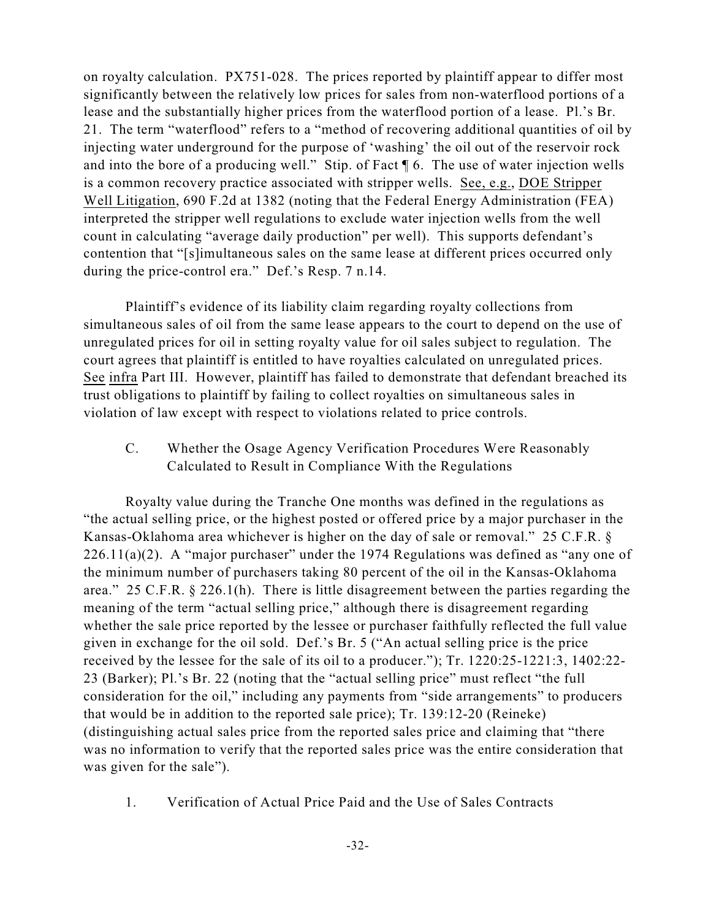on royalty calculation. PX751-028. The prices reported by plaintiff appear to differ most significantly between the relatively low prices for sales from non-waterflood portions of a lease and the substantially higher prices from the waterflood portion of a lease. Pl.'s Br. 21. The term "waterflood" refers to a "method of recovering additional quantities of oil by injecting water underground for the purpose of 'washing' the oil out of the reservoir rock and into the bore of a producing well." Stip. of Fact ¶ 6. The use of water injection wells is a common recovery practice associated with stripper wells. See, e.g., DOE Stripper Well Litigation, 690 F.2d at 1382 (noting that the Federal Energy Administration (FEA) interpreted the stripper well regulations to exclude water injection wells from the well count in calculating "average daily production" per well). This supports defendant's contention that "[s]imultaneous sales on the same lease at different prices occurred only during the price-control era." Def.'s Resp. 7 n.14.

Plaintiff's evidence of its liability claim regarding royalty collections from simultaneous sales of oil from the same lease appears to the court to depend on the use of unregulated prices for oil in setting royalty value for oil sales subject to regulation. The court agrees that plaintiff is entitled to have royalties calculated on unregulated prices. See infra Part III. However, plaintiff has failed to demonstrate that defendant breached its trust obligations to plaintiff by failing to collect royalties on simultaneous sales in violation of law except with respect to violations related to price controls.

C. Whether the Osage Agency Verification Procedures Were Reasonably Calculated to Result in Compliance With the Regulations

Royalty value during the Tranche One months was defined in the regulations as "the actual selling price, or the highest posted or offered price by a major purchaser in the Kansas-Oklahoma area whichever is higher on the day of sale or removal." 25 C.F.R. §  $226.11(a)(2)$ . A "major purchaser" under the 1974 Regulations was defined as "any one of the minimum number of purchasers taking 80 percent of the oil in the Kansas-Oklahoma area." 25 C.F.R. § 226.1(h). There is little disagreement between the parties regarding the meaning of the term "actual selling price," although there is disagreement regarding whether the sale price reported by the lessee or purchaser faithfully reflected the full value given in exchange for the oil sold. Def.'s Br. 5 ("An actual selling price is the price received by the lessee for the sale of its oil to a producer."); Tr. 1220:25-1221:3, 1402:22- 23 (Barker); Pl.'s Br. 22 (noting that the "actual selling price" must reflect "the full consideration for the oil," including any payments from "side arrangements" to producers that would be in addition to the reported sale price); Tr. 139:12-20 (Reineke) (distinguishing actual sales price from the reported sales price and claiming that "there was no information to verify that the reported sales price was the entire consideration that was given for the sale").

1. Verification of Actual Price Paid and the Use of Sales Contracts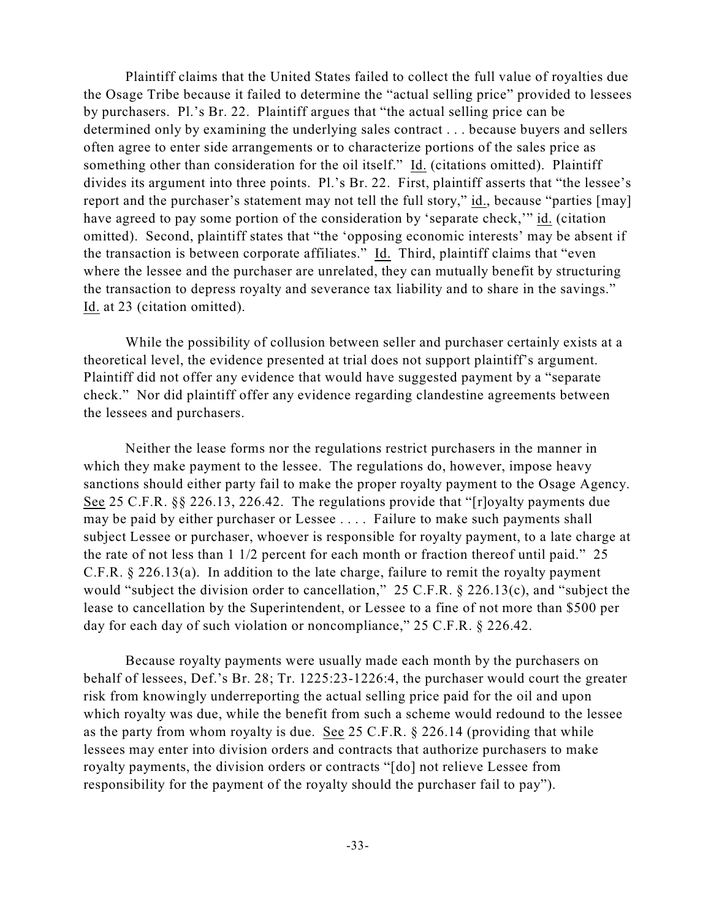Plaintiff claims that the United States failed to collect the full value of royalties due the Osage Tribe because it failed to determine the "actual selling price" provided to lessees by purchasers. Pl.'s Br. 22. Plaintiff argues that "the actual selling price can be determined only by examining the underlying sales contract . . . because buyers and sellers often agree to enter side arrangements or to characterize portions of the sales price as something other than consideration for the oil itself." Id. (citations omitted). Plaintiff divides its argument into three points. Pl.'s Br. 22. First, plaintiff asserts that "the lessee's report and the purchaser's statement may not tell the full story," id., because "parties [may] have agreed to pay some portion of the consideration by 'separate check,'" id. (citation omitted). Second, plaintiff states that "the 'opposing economic interests' may be absent if the transaction is between corporate affiliates." Id. Third, plaintiff claims that "even where the lessee and the purchaser are unrelated, they can mutually benefit by structuring the transaction to depress royalty and severance tax liability and to share in the savings." Id. at 23 (citation omitted).

While the possibility of collusion between seller and purchaser certainly exists at a theoretical level, the evidence presented at trial does not support plaintiff's argument. Plaintiff did not offer any evidence that would have suggested payment by a "separate check." Nor did plaintiff offer any evidence regarding clandestine agreements between the lessees and purchasers.

Neither the lease forms nor the regulations restrict purchasers in the manner in which they make payment to the lessee. The regulations do, however, impose heavy sanctions should either party fail to make the proper royalty payment to the Osage Agency. See 25 C.F.R. §§ 226.13, 226.42. The regulations provide that "[r]oyalty payments due may be paid by either purchaser or Lessee . . . . Failure to make such payments shall subject Lessee or purchaser, whoever is responsible for royalty payment, to a late charge at the rate of not less than 1 1/2 percent for each month or fraction thereof until paid." 25 C.F.R.  $\S$  226.13(a). In addition to the late charge, failure to remit the royalty payment would "subject the division order to cancellation," 25 C.F.R. § 226.13(c), and "subject the lease to cancellation by the Superintendent, or Lessee to a fine of not more than \$500 per day for each day of such violation or noncompliance," 25 C.F.R. § 226.42.

Because royalty payments were usually made each month by the purchasers on behalf of lessees, Def.'s Br. 28; Tr. 1225:23-1226:4, the purchaser would court the greater risk from knowingly underreporting the actual selling price paid for the oil and upon which royalty was due, while the benefit from such a scheme would redound to the lessee as the party from whom royalty is due. See 25 C.F.R. § 226.14 (providing that while lessees may enter into division orders and contracts that authorize purchasers to make royalty payments, the division orders or contracts "[do] not relieve Lessee from responsibility for the payment of the royalty should the purchaser fail to pay").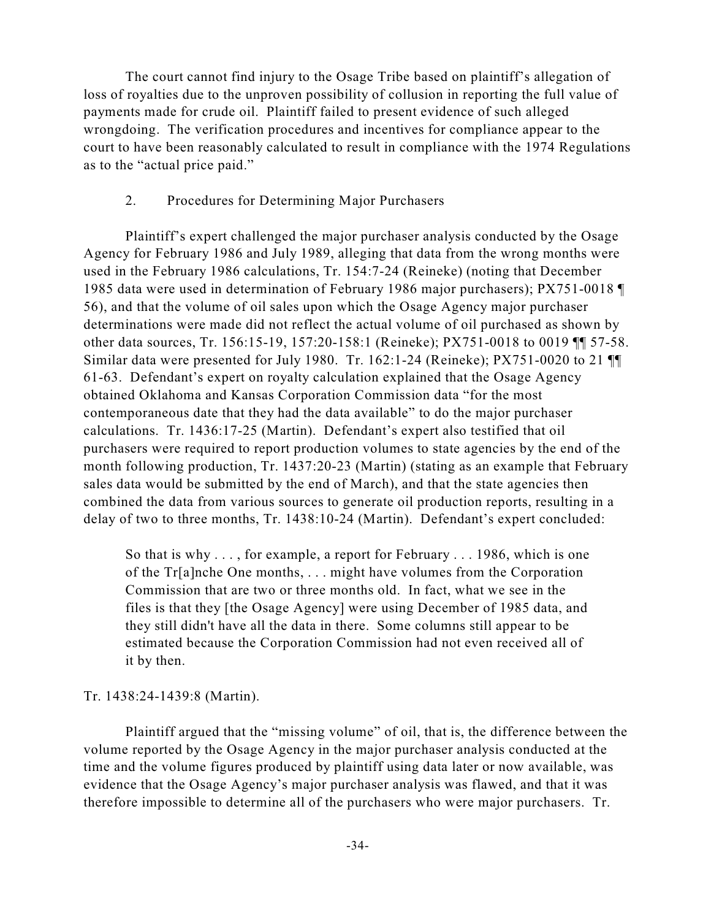The court cannot find injury to the Osage Tribe based on plaintiff's allegation of loss of royalties due to the unproven possibility of collusion in reporting the full value of payments made for crude oil. Plaintiff failed to present evidence of such alleged wrongdoing. The verification procedures and incentives for compliance appear to the court to have been reasonably calculated to result in compliance with the 1974 Regulations as to the "actual price paid."

## 2. Procedures for Determining Major Purchasers

Plaintiff's expert challenged the major purchaser analysis conducted by the Osage Agency for February 1986 and July 1989, alleging that data from the wrong months were used in the February 1986 calculations, Tr. 154:7-24 (Reineke) (noting that December 1985 data were used in determination of February 1986 major purchasers); PX751-0018 ¶ 56), and that the volume of oil sales upon which the Osage Agency major purchaser determinations were made did not reflect the actual volume of oil purchased as shown by other data sources, Tr. 156:15-19, 157:20-158:1 (Reineke); PX751-0018 to 0019 ¶¶ 57-58. Similar data were presented for July 1980. Tr. 162:1-24 (Reineke); PX751-0020 to 21 ¶¶ 61-63. Defendant's expert on royalty calculation explained that the Osage Agency obtained Oklahoma and Kansas Corporation Commission data "for the most contemporaneous date that they had the data available" to do the major purchaser calculations. Tr. 1436:17-25 (Martin). Defendant's expert also testified that oil purchasers were required to report production volumes to state agencies by the end of the month following production, Tr. 1437:20-23 (Martin) (stating as an example that February sales data would be submitted by the end of March), and that the state agencies then combined the data from various sources to generate oil production reports, resulting in a delay of two to three months, Tr. 1438:10-24 (Martin). Defendant's expert concluded:

So that is why . . . , for example, a report for February . . . 1986, which is one of the Tr[a]nche One months, . . . might have volumes from the Corporation Commission that are two or three months old. In fact, what we see in the files is that they [the Osage Agency] were using December of 1985 data, and they still didn't have all the data in there. Some columns still appear to be estimated because the Corporation Commission had not even received all of it by then.

### Tr. 1438:24-1439:8 (Martin).

Plaintiff argued that the "missing volume" of oil, that is, the difference between the volume reported by the Osage Agency in the major purchaser analysis conducted at the time and the volume figures produced by plaintiff using data later or now available, was evidence that the Osage Agency's major purchaser analysis was flawed, and that it was therefore impossible to determine all of the purchasers who were major purchasers. Tr.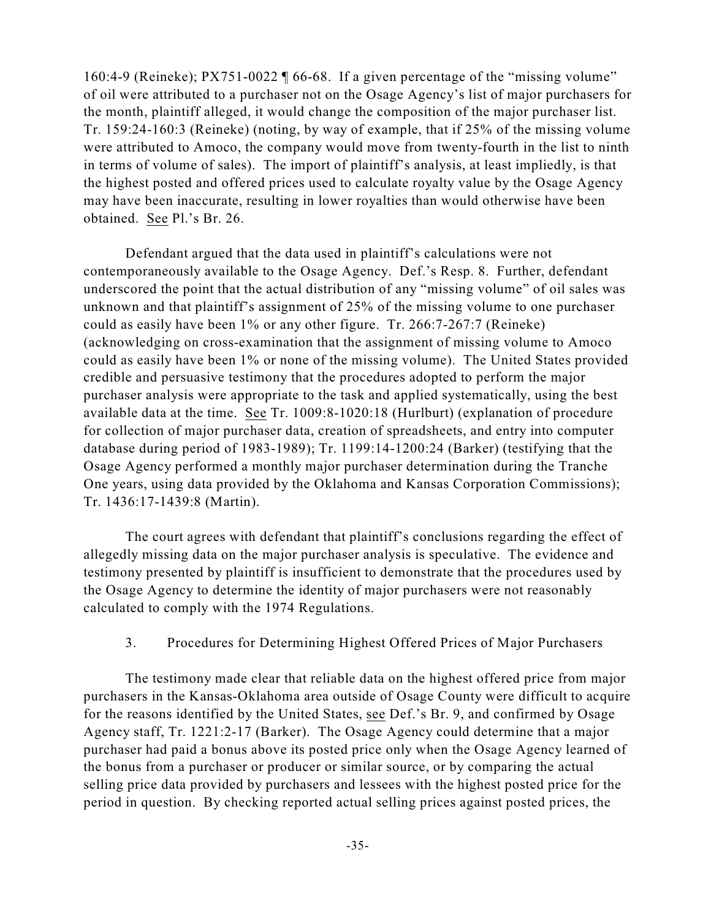160:4-9 (Reineke); PX751-0022 ¶ 66-68. If a given percentage of the "missing volume" of oil were attributed to a purchaser not on the Osage Agency's list of major purchasers for the month, plaintiff alleged, it would change the composition of the major purchaser list. Tr. 159:24-160:3 (Reineke) (noting, by way of example, that if 25% of the missing volume were attributed to Amoco, the company would move from twenty-fourth in the list to ninth in terms of volume of sales). The import of plaintiff's analysis, at least impliedly, is that the highest posted and offered prices used to calculate royalty value by the Osage Agency may have been inaccurate, resulting in lower royalties than would otherwise have been obtained. See Pl.'s Br. 26.

Defendant argued that the data used in plaintiff's calculations were not contemporaneously available to the Osage Agency. Def.'s Resp. 8. Further, defendant underscored the point that the actual distribution of any "missing volume" of oil sales was unknown and that plaintiff's assignment of 25% of the missing volume to one purchaser could as easily have been 1% or any other figure. Tr. 266:7-267:7 (Reineke) (acknowledging on cross-examination that the assignment of missing volume to Amoco could as easily have been 1% or none of the missing volume). The United States provided credible and persuasive testimony that the procedures adopted to perform the major purchaser analysis were appropriate to the task and applied systematically, using the best available data at the time. See Tr. 1009:8-1020:18 (Hurlburt) (explanation of procedure for collection of major purchaser data, creation of spreadsheets, and entry into computer database during period of 1983-1989); Tr. 1199:14-1200:24 (Barker) (testifying that the Osage Agency performed a monthly major purchaser determination during the Tranche One years, using data provided by the Oklahoma and Kansas Corporation Commissions); Tr. 1436:17-1439:8 (Martin).

The court agrees with defendant that plaintiff's conclusions regarding the effect of allegedly missing data on the major purchaser analysis is speculative. The evidence and testimony presented by plaintiff is insufficient to demonstrate that the procedures used by the Osage Agency to determine the identity of major purchasers were not reasonably calculated to comply with the 1974 Regulations.

### 3. Procedures for Determining Highest Offered Prices of Major Purchasers

The testimony made clear that reliable data on the highest offered price from major purchasers in the Kansas-Oklahoma area outside of Osage County were difficult to acquire for the reasons identified by the United States, see Def.'s Br. 9, and confirmed by Osage Agency staff, Tr. 1221:2-17 (Barker). The Osage Agency could determine that a major purchaser had paid a bonus above its posted price only when the Osage Agency learned of the bonus from a purchaser or producer or similar source, or by comparing the actual selling price data provided by purchasers and lessees with the highest posted price for the period in question. By checking reported actual selling prices against posted prices, the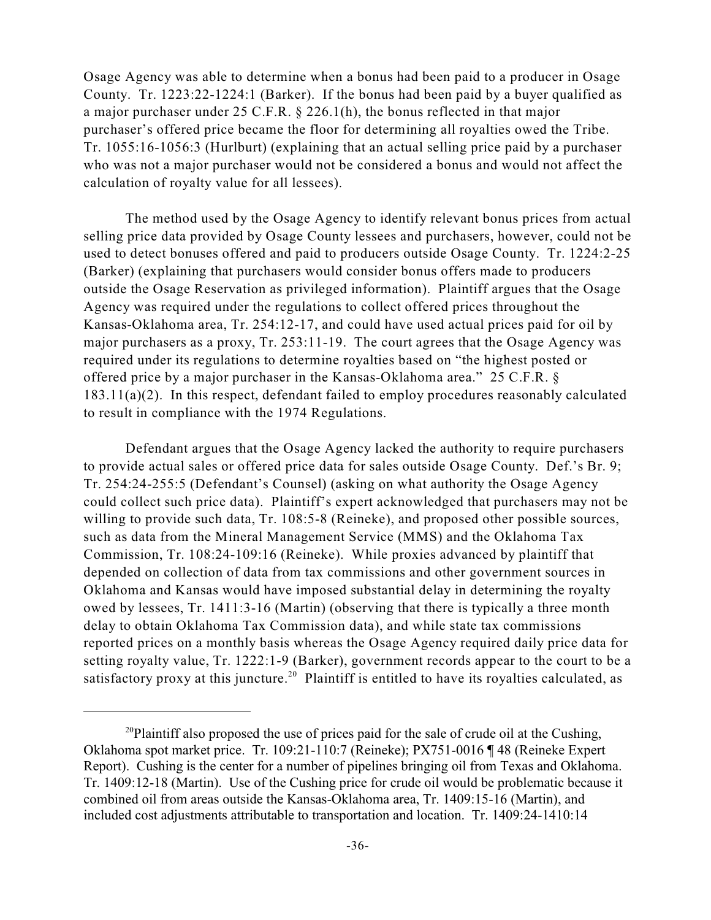Osage Agency was able to determine when a bonus had been paid to a producer in Osage County. Tr. 1223:22-1224:1 (Barker). If the bonus had been paid by a buyer qualified as a major purchaser under 25 C.F.R. § 226.1(h), the bonus reflected in that major purchaser's offered price became the floor for determining all royalties owed the Tribe. Tr. 1055:16-1056:3 (Hurlburt) (explaining that an actual selling price paid by a purchaser who was not a major purchaser would not be considered a bonus and would not affect the calculation of royalty value for all lessees).

The method used by the Osage Agency to identify relevant bonus prices from actual selling price data provided by Osage County lessees and purchasers, however, could not be used to detect bonuses offered and paid to producers outside Osage County. Tr. 1224:2-25 (Barker) (explaining that purchasers would consider bonus offers made to producers outside the Osage Reservation as privileged information). Plaintiff argues that the Osage Agency was required under the regulations to collect offered prices throughout the Kansas-Oklahoma area, Tr. 254:12-17, and could have used actual prices paid for oil by major purchasers as a proxy, Tr. 253:11-19. The court agrees that the Osage Agency was required under its regulations to determine royalties based on "the highest posted or offered price by a major purchaser in the Kansas-Oklahoma area." 25 C.F.R. § 183.11(a)(2). In this respect, defendant failed to employ procedures reasonably calculated to result in compliance with the 1974 Regulations.

Defendant argues that the Osage Agency lacked the authority to require purchasers to provide actual sales or offered price data for sales outside Osage County. Def.'s Br. 9; Tr. 254:24-255:5 (Defendant's Counsel) (asking on what authority the Osage Agency could collect such price data). Plaintiff's expert acknowledged that purchasers may not be willing to provide such data, Tr. 108:5-8 (Reineke), and proposed other possible sources, such as data from the Mineral Management Service (MMS) and the Oklahoma Tax Commission, Tr. 108:24-109:16 (Reineke). While proxies advanced by plaintiff that depended on collection of data from tax commissions and other government sources in Oklahoma and Kansas would have imposed substantial delay in determining the royalty owed by lessees, Tr. 1411:3-16 (Martin) (observing that there is typically a three month delay to obtain Oklahoma Tax Commission data), and while state tax commissions reported prices on a monthly basis whereas the Osage Agency required daily price data for setting royalty value, Tr. 1222:1-9 (Barker), government records appear to the court to be a satisfactory proxy at this juncture.<sup>20</sup> Plaintiff is entitled to have its royalties calculated, as

<sup>&</sup>lt;sup>20</sup>Plaintiff also proposed the use of prices paid for the sale of crude oil at the Cushing, Oklahoma spot market price. Tr. 109:21-110:7 (Reineke); PX751-0016 ¶ 48 (Reineke Expert Report). Cushing is the center for a number of pipelines bringing oil from Texas and Oklahoma. Tr. 1409:12-18 (Martin). Use of the Cushing price for crude oil would be problematic because it combined oil from areas outside the Kansas-Oklahoma area, Tr. 1409:15-16 (Martin), and included cost adjustments attributable to transportation and location. Tr. 1409:24-1410:14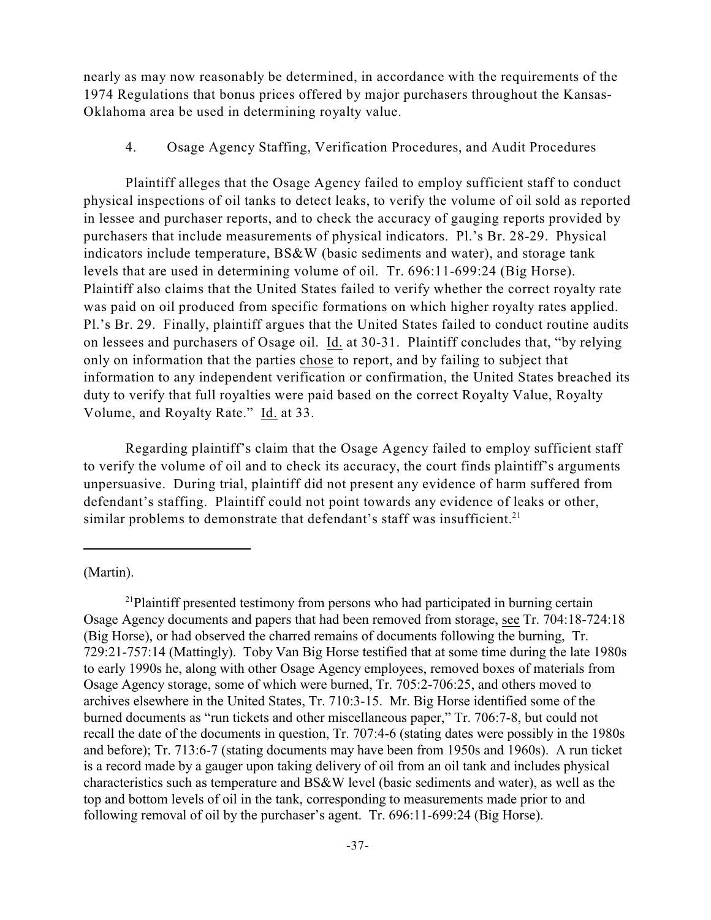nearly as may now reasonably be determined, in accordance with the requirements of the 1974 Regulations that bonus prices offered by major purchasers throughout the Kansas-Oklahoma area be used in determining royalty value.

## 4. Osage Agency Staffing, Verification Procedures, and Audit Procedures

Plaintiff alleges that the Osage Agency failed to employ sufficient staff to conduct physical inspections of oil tanks to detect leaks, to verify the volume of oil sold as reported in lessee and purchaser reports, and to check the accuracy of gauging reports provided by purchasers that include measurements of physical indicators. Pl.'s Br. 28-29. Physical indicators include temperature, BS&W (basic sediments and water), and storage tank levels that are used in determining volume of oil. Tr. 696:11-699:24 (Big Horse). Plaintiff also claims that the United States failed to verify whether the correct royalty rate was paid on oil produced from specific formations on which higher royalty rates applied. Pl.'s Br. 29. Finally, plaintiff argues that the United States failed to conduct routine audits on lessees and purchasers of Osage oil. Id. at 30-31. Plaintiff concludes that, "by relying only on information that the parties chose to report, and by failing to subject that information to any independent verification or confirmation, the United States breached its duty to verify that full royalties were paid based on the correct Royalty Value, Royalty Volume, and Royalty Rate." Id. at 33.

Regarding plaintiff's claim that the Osage Agency failed to employ sufficient staff to verify the volume of oil and to check its accuracy, the court finds plaintiff's arguments unpersuasive. During trial, plaintiff did not present any evidence of harm suffered from defendant's staffing. Plaintiff could not point towards any evidence of leaks or other, similar problems to demonstrate that defendant's staff was insufficient.<sup>21</sup>

(Martin).

 $^{21}$ Plaintiff presented testimony from persons who had participated in burning certain Osage Agency documents and papers that had been removed from storage, see Tr. 704:18-724:18 (Big Horse), or had observed the charred remains of documents following the burning, Tr. 729:21-757:14 (Mattingly). Toby Van Big Horse testified that at some time during the late 1980s to early 1990s he, along with other Osage Agency employees, removed boxes of materials from Osage Agency storage, some of which were burned, Tr. 705:2-706:25, and others moved to archives elsewhere in the United States, Tr. 710:3-15. Mr. Big Horse identified some of the burned documents as "run tickets and other miscellaneous paper," Tr. 706:7-8, but could not recall the date of the documents in question, Tr. 707:4-6 (stating dates were possibly in the 1980s and before); Tr. 713:6-7 (stating documents may have been from 1950s and 1960s). A run ticket is a record made by a gauger upon taking delivery of oil from an oil tank and includes physical characteristics such as temperature and BS&W level (basic sediments and water), as well as the top and bottom levels of oil in the tank, corresponding to measurements made prior to and following removal of oil by the purchaser's agent. Tr. 696:11-699:24 (Big Horse).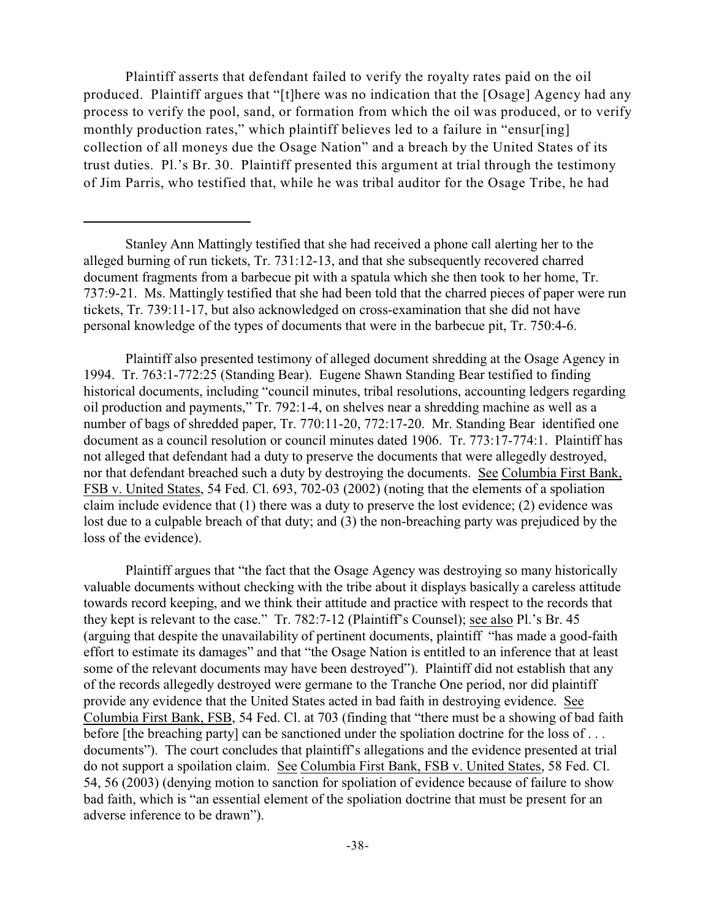Plaintiff asserts that defendant failed to verify the royalty rates paid on the oil produced. Plaintiff argues that "[t]here was no indication that the [Osage] Agency had any process to verify the pool, sand, or formation from which the oil was produced, or to verify monthly production rates," which plaintiff believes led to a failure in "ensur[ing] collection of all moneys due the Osage Nation" and a breach by the United States of its trust duties. Pl.'s Br. 30. Plaintiff presented this argument at trial through the testimony of Jim Parris, who testified that, while he was tribal auditor for the Osage Tribe, he had

Plaintiff also presented testimony of alleged document shredding at the Osage Agency in 1994. Tr. 763:1-772:25 (Standing Bear). Eugene Shawn Standing Bear testified to finding historical documents, including "council minutes, tribal resolutions, accounting ledgers regarding oil production and payments," Tr. 792:1-4, on shelves near a shredding machine as well as a number of bags of shredded paper, Tr. 770:11-20, 772:17-20. Mr. Standing Bear identified one document as a council resolution or council minutes dated 1906. Tr. 773:17-774:1. Plaintiff has not alleged that defendant had a duty to preserve the documents that were allegedly destroyed, nor that defendant breached such a duty by destroying the documents. See Columbia First Bank, FSB v. United States, 54 Fed. Cl. 693, 702-03 (2002) (noting that the elements of a spoliation claim include evidence that (1) there was a duty to preserve the lost evidence; (2) evidence was lost due to a culpable breach of that duty; and (3) the non-breaching party was prejudiced by the loss of the evidence).

Plaintiff argues that "the fact that the Osage Agency was destroying so many historically valuable documents without checking with the tribe about it displays basically a careless attitude towards record keeping, and we think their attitude and practice with respect to the records that they kept is relevant to the case." Tr. 782:7-12 (Plaintiff's Counsel); see also Pl.'s Br. 45 (arguing that despite the unavailability of pertinent documents, plaintiff "has made a good-faith effort to estimate its damages" and that "the Osage Nation is entitled to an inference that at least some of the relevant documents may have been destroyed"). Plaintiff did not establish that any of the records allegedly destroyed were germane to the Tranche One period, nor did plaintiff provide any evidence that the United States acted in bad faith in destroying evidence. See Columbia First Bank, FSB, 54 Fed. Cl. at 703 (finding that "there must be a showing of bad faith before [the breaching party] can be sanctioned under the spoliation doctrine for the loss of ... documents"). The court concludes that plaintiff's allegations and the evidence presented at trial do not support a spoilation claim. See Columbia First Bank, FSB v. United States, 58 Fed. Cl. 54, 56 (2003) (denying motion to sanction for spoliation of evidence because of failure to show bad faith, which is "an essential element of the spoliation doctrine that must be present for an adverse inference to be drawn").

Stanley Ann Mattingly testified that she had received a phone call alerting her to the alleged burning of run tickets, Tr. 731:12-13, and that she subsequently recovered charred document fragments from a barbecue pit with a spatula which she then took to her home, Tr. 737:9-21. Ms. Mattingly testified that she had been told that the charred pieces of paper were run tickets, Tr. 739:11-17, but also acknowledged on cross-examination that she did not have personal knowledge of the types of documents that were in the barbecue pit, Tr. 750:4-6.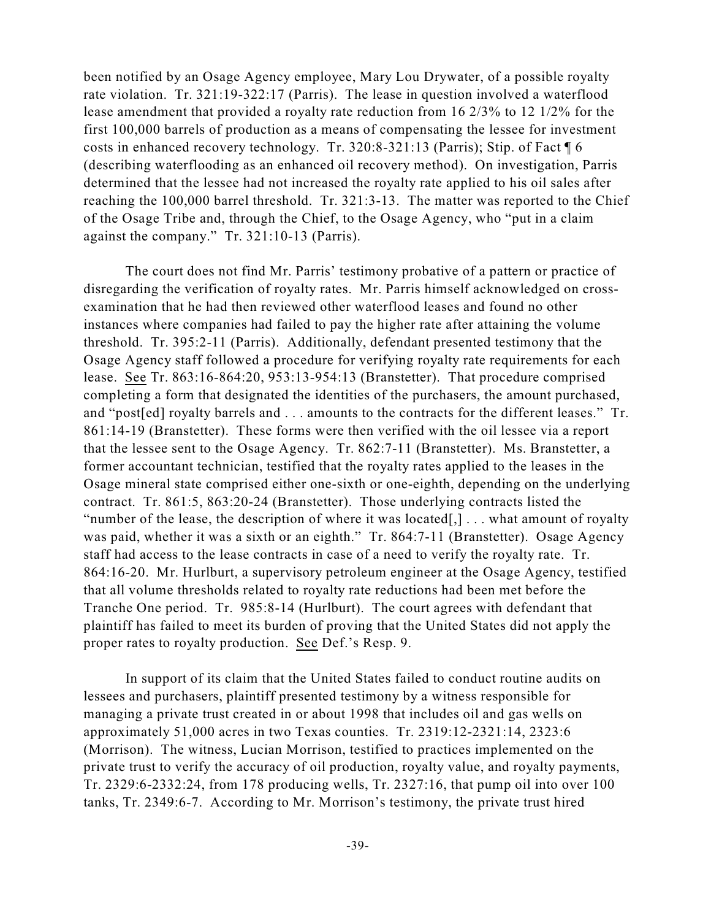been notified by an Osage Agency employee, Mary Lou Drywater, of a possible royalty rate violation. Tr. 321:19-322:17 (Parris). The lease in question involved a waterflood lease amendment that provided a royalty rate reduction from 16 2/3% to 12 1/2% for the first 100,000 barrels of production as a means of compensating the lessee for investment costs in enhanced recovery technology. Tr. 320:8-321:13 (Parris); Stip. of Fact ¶ 6 (describing waterflooding as an enhanced oil recovery method). On investigation, Parris determined that the lessee had not increased the royalty rate applied to his oil sales after reaching the 100,000 barrel threshold. Tr. 321:3-13. The matter was reported to the Chief of the Osage Tribe and, through the Chief, to the Osage Agency, who "put in a claim against the company." Tr. 321:10-13 (Parris).

The court does not find Mr. Parris' testimony probative of a pattern or practice of disregarding the verification of royalty rates. Mr. Parris himself acknowledged on crossexamination that he had then reviewed other waterflood leases and found no other instances where companies had failed to pay the higher rate after attaining the volume threshold. Tr. 395:2-11 (Parris). Additionally, defendant presented testimony that the Osage Agency staff followed a procedure for verifying royalty rate requirements for each lease. See Tr. 863:16-864:20, 953:13-954:13 (Branstetter). That procedure comprised completing a form that designated the identities of the purchasers, the amount purchased, and "post[ed] royalty barrels and . . . amounts to the contracts for the different leases." Tr. 861:14-19 (Branstetter). These forms were then verified with the oil lessee via a report that the lessee sent to the Osage Agency. Tr. 862:7-11 (Branstetter). Ms. Branstetter, a former accountant technician, testified that the royalty rates applied to the leases in the Osage mineral state comprised either one-sixth or one-eighth, depending on the underlying contract. Tr. 861:5, 863:20-24 (Branstetter). Those underlying contracts listed the "number of the lease, the description of where it was located[,] . . . what amount of royalty was paid, whether it was a sixth or an eighth." Tr. 864:7-11 (Branstetter). Osage Agency staff had access to the lease contracts in case of a need to verify the royalty rate. Tr. 864:16-20. Mr. Hurlburt, a supervisory petroleum engineer at the Osage Agency, testified that all volume thresholds related to royalty rate reductions had been met before the Tranche One period. Tr. 985:8-14 (Hurlburt). The court agrees with defendant that plaintiff has failed to meet its burden of proving that the United States did not apply the proper rates to royalty production. See Def.'s Resp. 9.

In support of its claim that the United States failed to conduct routine audits on lessees and purchasers, plaintiff presented testimony by a witness responsible for managing a private trust created in or about 1998 that includes oil and gas wells on approximately 51,000 acres in two Texas counties. Tr. 2319:12-2321:14, 2323:6 (Morrison). The witness, Lucian Morrison, testified to practices implemented on the private trust to verify the accuracy of oil production, royalty value, and royalty payments, Tr. 2329:6-2332:24, from 178 producing wells, Tr. 2327:16, that pump oil into over 100 tanks, Tr. 2349:6-7. According to Mr. Morrison's testimony, the private trust hired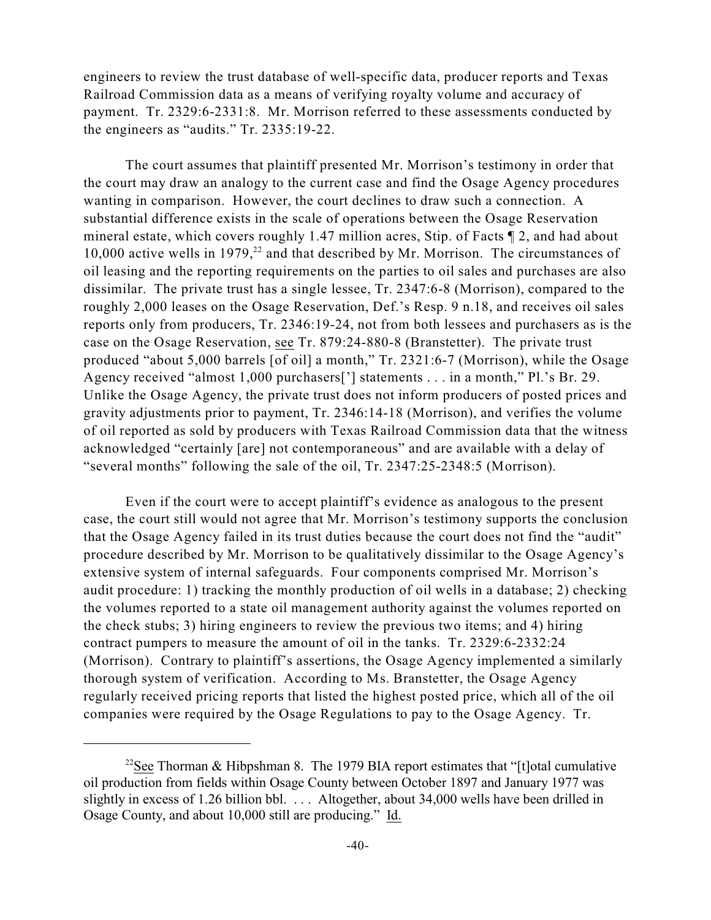engineers to review the trust database of well-specific data, producer reports and Texas Railroad Commission data as a means of verifying royalty volume and accuracy of payment. Tr. 2329:6-2331:8. Mr. Morrison referred to these assessments conducted by the engineers as "audits." Tr. 2335:19-22.

The court assumes that plaintiff presented Mr. Morrison's testimony in order that the court may draw an analogy to the current case and find the Osage Agency procedures wanting in comparison. However, the court declines to draw such a connection. A substantial difference exists in the scale of operations between the Osage Reservation mineral estate, which covers roughly 1.47 million acres, Stip. of Facts ¶ 2, and had about 10,000 active wells in 1979,<sup>22</sup> and that described by Mr. Morrison. The circumstances of oil leasing and the reporting requirements on the parties to oil sales and purchases are also dissimilar. The private trust has a single lessee, Tr. 2347:6-8 (Morrison), compared to the roughly 2,000 leases on the Osage Reservation, Def.'s Resp. 9 n.18, and receives oil sales reports only from producers, Tr. 2346:19-24, not from both lessees and purchasers as is the case on the Osage Reservation, see Tr. 879:24-880-8 (Branstetter). The private trust produced "about 5,000 barrels [of oil] a month," Tr. 2321:6-7 (Morrison), while the Osage Agency received "almost 1,000 purchasers['] statements . . . in a month," Pl.'s Br. 29. Unlike the Osage Agency, the private trust does not inform producers of posted prices and gravity adjustments prior to payment, Tr. 2346:14-18 (Morrison), and verifies the volume of oil reported as sold by producers with Texas Railroad Commission data that the witness acknowledged "certainly [are] not contemporaneous" and are available with a delay of "several months" following the sale of the oil, Tr. 2347:25-2348:5 (Morrison).

Even if the court were to accept plaintiff's evidence as analogous to the present case, the court still would not agree that Mr. Morrison's testimony supports the conclusion that the Osage Agency failed in its trust duties because the court does not find the "audit" procedure described by Mr. Morrison to be qualitatively dissimilar to the Osage Agency's extensive system of internal safeguards. Four components comprised Mr. Morrison's audit procedure: 1) tracking the monthly production of oil wells in a database; 2) checking the volumes reported to a state oil management authority against the volumes reported on the check stubs; 3) hiring engineers to review the previous two items; and 4) hiring contract pumpers to measure the amount of oil in the tanks. Tr. 2329:6-2332:24 (Morrison). Contrary to plaintiff's assertions, the Osage Agency implemented a similarly thorough system of verification. According to Ms. Branstetter, the Osage Agency regularly received pricing reports that listed the highest posted price, which all of the oil companies were required by the Osage Regulations to pay to the Osage Agency. Tr.

<sup>&</sup>lt;sup>22</sup>See Thorman & Hibpshman 8. The 1979 BIA report estimates that "[t]otal cumulative oil production from fields within Osage County between October 1897 and January 1977 was slightly in excess of 1.26 billion bbl. . . . Altogether, about 34,000 wells have been drilled in Osage County, and about 10,000 still are producing." Id.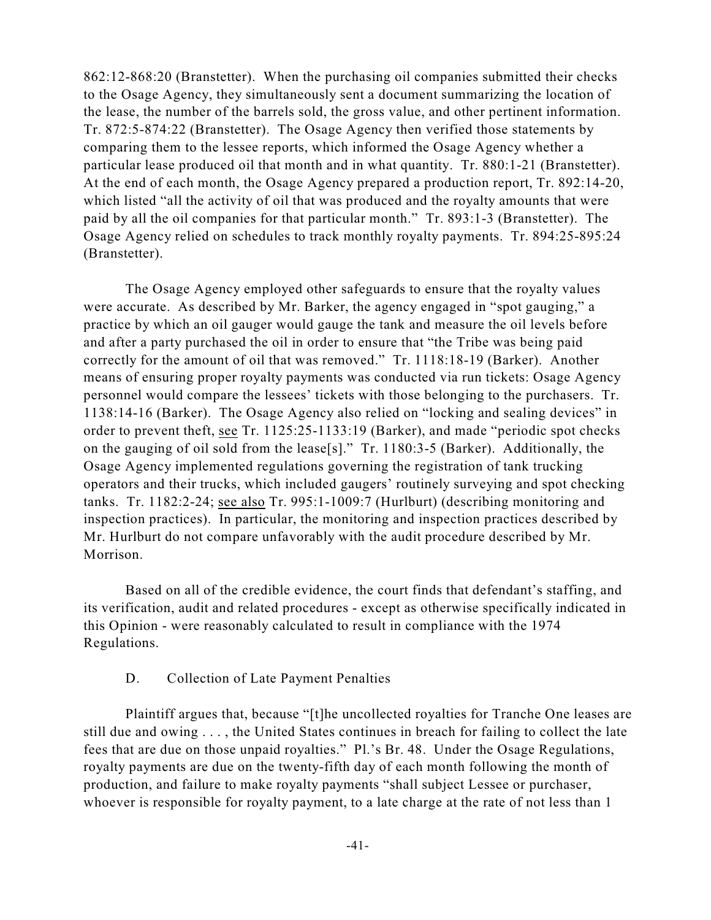862:12-868:20 (Branstetter). When the purchasing oil companies submitted their checks to the Osage Agency, they simultaneously sent a document summarizing the location of the lease, the number of the barrels sold, the gross value, and other pertinent information. Tr. 872:5-874:22 (Branstetter). The Osage Agency then verified those statements by comparing them to the lessee reports, which informed the Osage Agency whether a particular lease produced oil that month and in what quantity. Tr. 880:1-21 (Branstetter). At the end of each month, the Osage Agency prepared a production report, Tr. 892:14-20, which listed "all the activity of oil that was produced and the royalty amounts that were paid by all the oil companies for that particular month." Tr. 893:1-3 (Branstetter). The Osage Agency relied on schedules to track monthly royalty payments. Tr. 894:25-895:24 (Branstetter).

The Osage Agency employed other safeguards to ensure that the royalty values were accurate. As described by Mr. Barker, the agency engaged in "spot gauging," a practice by which an oil gauger would gauge the tank and measure the oil levels before and after a party purchased the oil in order to ensure that "the Tribe was being paid correctly for the amount of oil that was removed." Tr. 1118:18-19 (Barker). Another means of ensuring proper royalty payments was conducted via run tickets: Osage Agency personnel would compare the lessees' tickets with those belonging to the purchasers. Tr. 1138:14-16 (Barker). The Osage Agency also relied on "locking and sealing devices" in order to prevent theft, see Tr. 1125:25-1133:19 (Barker), and made "periodic spot checks on the gauging of oil sold from the lease[s]." Tr. 1180:3-5 (Barker). Additionally, the Osage Agency implemented regulations governing the registration of tank trucking operators and their trucks, which included gaugers' routinely surveying and spot checking tanks. Tr. 1182:2-24; see also Tr. 995:1-1009:7 (Hurlburt) (describing monitoring and inspection practices). In particular, the monitoring and inspection practices described by Mr. Hurlburt do not compare unfavorably with the audit procedure described by Mr. Morrison.

Based on all of the credible evidence, the court finds that defendant's staffing, and its verification, audit and related procedures - except as otherwise specifically indicated in this Opinion - were reasonably calculated to result in compliance with the 1974 Regulations.

#### D. Collection of Late Payment Penalties

Plaintiff argues that, because "[t]he uncollected royalties for Tranche One leases are still due and owing . . . , the United States continues in breach for failing to collect the late fees that are due on those unpaid royalties." Pl.'s Br. 48. Under the Osage Regulations, royalty payments are due on the twenty-fifth day of each month following the month of production, and failure to make royalty payments "shall subject Lessee or purchaser, whoever is responsible for royalty payment, to a late charge at the rate of not less than 1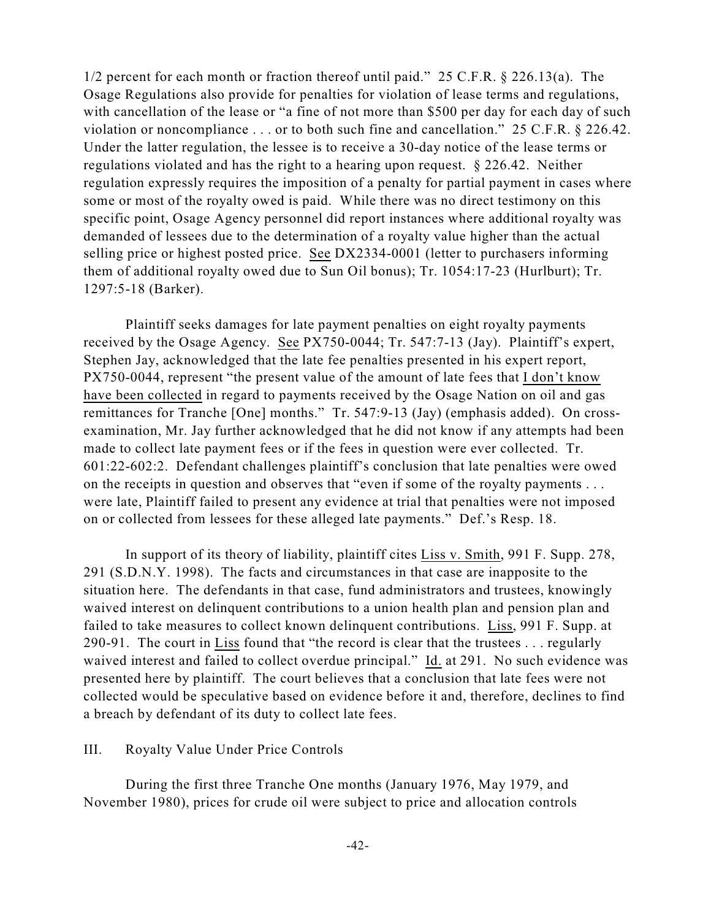1/2 percent for each month or fraction thereof until paid." 25 C.F.R. § 226.13(a). The Osage Regulations also provide for penalties for violation of lease terms and regulations, with cancellation of the lease or "a fine of not more than \$500 per day for each day of such violation or noncompliance . . . or to both such fine and cancellation." 25 C.F.R. § 226.42. Under the latter regulation, the lessee is to receive a 30-day notice of the lease terms or regulations violated and has the right to a hearing upon request. § 226.42. Neither regulation expressly requires the imposition of a penalty for partial payment in cases where some or most of the royalty owed is paid. While there was no direct testimony on this specific point, Osage Agency personnel did report instances where additional royalty was demanded of lessees due to the determination of a royalty value higher than the actual selling price or highest posted price. See DX2334-0001 (letter to purchasers informing them of additional royalty owed due to Sun Oil bonus); Tr. 1054:17-23 (Hurlburt); Tr. 1297:5-18 (Barker).

Plaintiff seeks damages for late payment penalties on eight royalty payments received by the Osage Agency. See PX750-0044; Tr. 547:7-13 (Jay). Plaintiff's expert, Stephen Jay, acknowledged that the late fee penalties presented in his expert report, PX750-0044, represent "the present value of the amount of late fees that I don't know have been collected in regard to payments received by the Osage Nation on oil and gas remittances for Tranche [One] months." Tr. 547:9-13 (Jay) (emphasis added). On crossexamination, Mr. Jay further acknowledged that he did not know if any attempts had been made to collect late payment fees or if the fees in question were ever collected. Tr. 601:22-602:2. Defendant challenges plaintiff's conclusion that late penalties were owed on the receipts in question and observes that "even if some of the royalty payments . . . were late, Plaintiff failed to present any evidence at trial that penalties were not imposed on or collected from lessees for these alleged late payments." Def.'s Resp. 18.

In support of its theory of liability, plaintiff cites Liss v. Smith, 991 F. Supp. 278, 291 (S.D.N.Y. 1998). The facts and circumstances in that case are inapposite to the situation here. The defendants in that case, fund administrators and trustees, knowingly waived interest on delinquent contributions to a union health plan and pension plan and failed to take measures to collect known delinquent contributions. Liss, 991 F. Supp. at 290-91. The court in Liss found that "the record is clear that the trustees . . . regularly waived interest and failed to collect overdue principal." Id. at 291. No such evidence was presented here by plaintiff. The court believes that a conclusion that late fees were not collected would be speculative based on evidence before it and, therefore, declines to find a breach by defendant of its duty to collect late fees.

#### III. Royalty Value Under Price Controls

During the first three Tranche One months (January 1976, May 1979, and November 1980), prices for crude oil were subject to price and allocation controls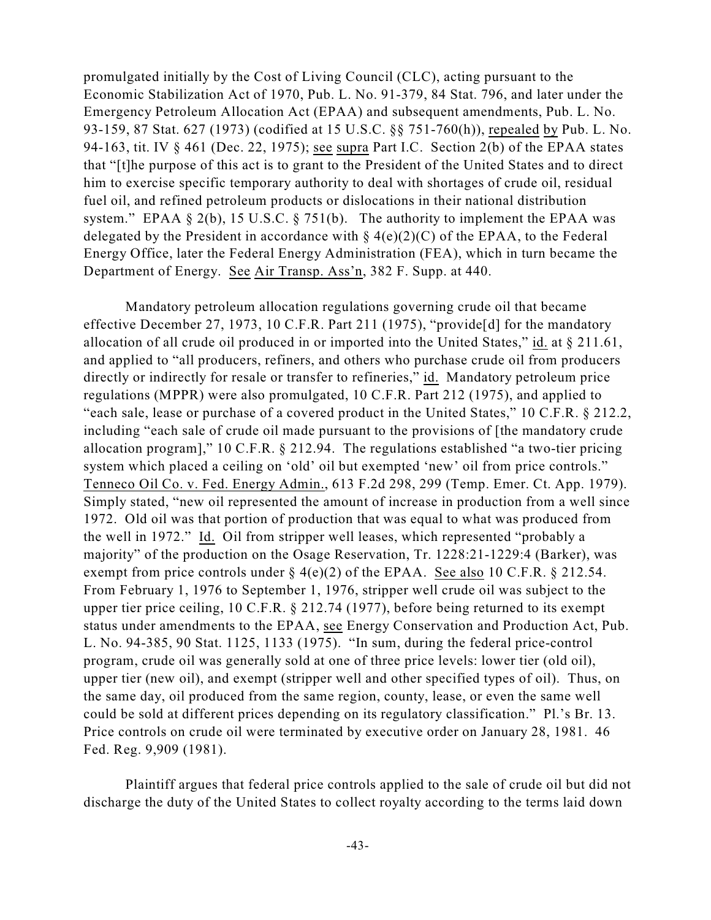promulgated initially by the Cost of Living Council (CLC), acting pursuant to the Economic Stabilization Act of 1970, Pub. L. No. 91-379, 84 Stat. 796, and later under the Emergency Petroleum Allocation Act (EPAA) and subsequent amendments, Pub. L. No. 93-159, 87 Stat. 627 (1973) (codified at 15 U.S.C. §§ 751-760(h)), repealed by Pub. L. No. 94-163, tit. IV § 461 (Dec. 22, 1975); see supra Part I.C. Section 2(b) of the EPAA states that "[t]he purpose of this act is to grant to the President of the United States and to direct him to exercise specific temporary authority to deal with shortages of crude oil, residual fuel oil, and refined petroleum products or dislocations in their national distribution system." EPAA § 2(b), 15 U.S.C. § 751(b). The authority to implement the EPAA was delegated by the President in accordance with  $\S 4(e)(2)(C)$  of the EPAA, to the Federal Energy Office, later the Federal Energy Administration (FEA), which in turn became the Department of Energy. See Air Transp. Ass'n, 382 F. Supp. at 440.

Mandatory petroleum allocation regulations governing crude oil that became effective December 27, 1973, 10 C.F.R. Part 211 (1975), "provide[d] for the mandatory allocation of all crude oil produced in or imported into the United States," id. at § 211.61, and applied to "all producers, refiners, and others who purchase crude oil from producers directly or indirectly for resale or transfer to refineries," id. Mandatory petroleum price regulations (MPPR) were also promulgated, 10 C.F.R. Part 212 (1975), and applied to "each sale, lease or purchase of a covered product in the United States," 10 C.F.R. § 212.2, including "each sale of crude oil made pursuant to the provisions of [the mandatory crude allocation program]," 10 C.F.R. § 212.94. The regulations established "a two-tier pricing system which placed a ceiling on 'old' oil but exempted 'new' oil from price controls." Tenneco Oil Co. v. Fed. Energy Admin., 613 F.2d 298, 299 (Temp. Emer. Ct. App. 1979). Simply stated, "new oil represented the amount of increase in production from a well since 1972. Old oil was that portion of production that was equal to what was produced from the well in 1972." Id. Oil from stripper well leases, which represented "probably a majority" of the production on the Osage Reservation, Tr. 1228:21-1229:4 (Barker), was exempt from price controls under  $\S$  4(e)(2) of the EPAA. See also 10 C.F.R.  $\S$  212.54. From February 1, 1976 to September 1, 1976, stripper well crude oil was subject to the upper tier price ceiling, 10 C.F.R. § 212.74 (1977), before being returned to its exempt status under amendments to the EPAA, see Energy Conservation and Production Act, Pub. L. No. 94-385, 90 Stat. 1125, 1133 (1975). "In sum, during the federal price-control program, crude oil was generally sold at one of three price levels: lower tier (old oil), upper tier (new oil), and exempt (stripper well and other specified types of oil). Thus, on the same day, oil produced from the same region, county, lease, or even the same well could be sold at different prices depending on its regulatory classification." Pl.'s Br. 13. Price controls on crude oil were terminated by executive order on January 28, 1981. 46 Fed. Reg. 9,909 (1981).

Plaintiff argues that federal price controls applied to the sale of crude oil but did not discharge the duty of the United States to collect royalty according to the terms laid down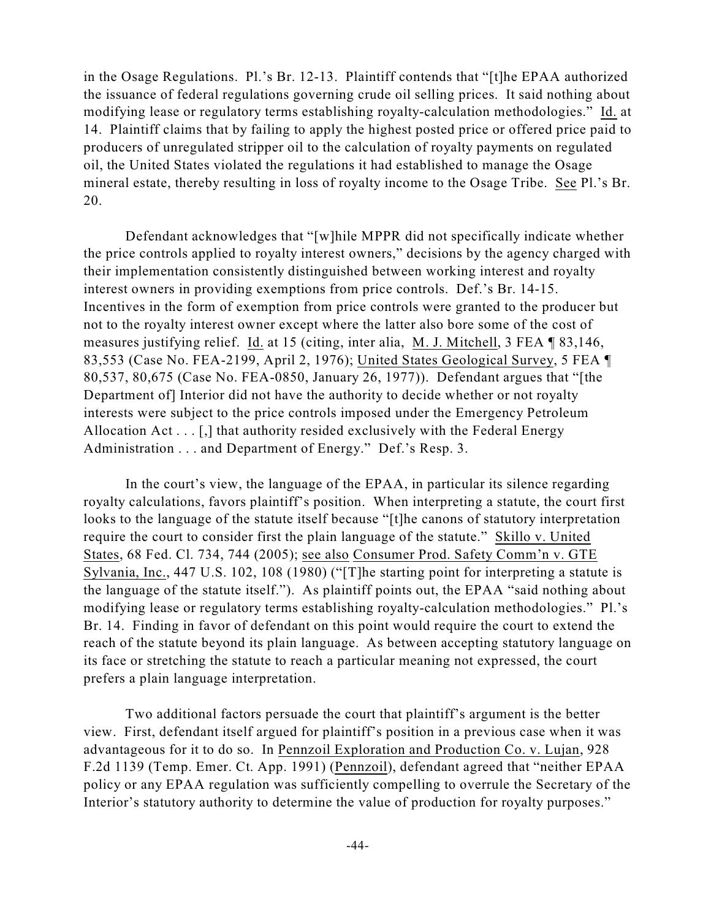in the Osage Regulations. Pl.'s Br. 12-13. Plaintiff contends that "[t]he EPAA authorized the issuance of federal regulations governing crude oil selling prices. It said nothing about modifying lease or regulatory terms establishing royalty-calculation methodologies." Id. at 14. Plaintiff claims that by failing to apply the highest posted price or offered price paid to producers of unregulated stripper oil to the calculation of royalty payments on regulated oil, the United States violated the regulations it had established to manage the Osage mineral estate, thereby resulting in loss of royalty income to the Osage Tribe. See Pl.'s Br. 20.

Defendant acknowledges that "[w]hile MPPR did not specifically indicate whether the price controls applied to royalty interest owners," decisions by the agency charged with their implementation consistently distinguished between working interest and royalty interest owners in providing exemptions from price controls. Def.'s Br. 14-15. Incentives in the form of exemption from price controls were granted to the producer but not to the royalty interest owner except where the latter also bore some of the cost of measures justifying relief. Id. at 15 (citing, inter alia, M. J. Mitchell, 3 FEA ¶ 83,146, 83,553 (Case No. FEA-2199, April 2, 1976); United States Geological Survey, 5 FEA ¶ 80,537, 80,675 (Case No. FEA-0850, January 26, 1977)). Defendant argues that "[the Department of] Interior did not have the authority to decide whether or not royalty interests were subject to the price controls imposed under the Emergency Petroleum Allocation Act . . . [,] that authority resided exclusively with the Federal Energy Administration . . . and Department of Energy." Def.'s Resp. 3.

In the court's view, the language of the EPAA, in particular its silence regarding royalty calculations, favors plaintiff's position. When interpreting a statute, the court first looks to the language of the statute itself because "[t]he canons of statutory interpretation require the court to consider first the plain language of the statute." Skillo v. United States, 68 Fed. Cl. 734, 744 (2005); see also Consumer Prod. Safety Comm'n v. GTE Sylvania, Inc., 447 U.S. 102, 108 (1980) ("[T]he starting point for interpreting a statute is the language of the statute itself."). As plaintiff points out, the EPAA "said nothing about modifying lease or regulatory terms establishing royalty-calculation methodologies." Pl.'s Br. 14. Finding in favor of defendant on this point would require the court to extend the reach of the statute beyond its plain language. As between accepting statutory language on its face or stretching the statute to reach a particular meaning not expressed, the court prefers a plain language interpretation.

Two additional factors persuade the court that plaintiff's argument is the better view. First, defendant itself argued for plaintiff's position in a previous case when it was advantageous for it to do so. In Pennzoil Exploration and Production Co. v. Lujan, 928 F.2d 1139 (Temp. Emer. Ct. App. 1991) (Pennzoil), defendant agreed that "neither EPAA policy or any EPAA regulation was sufficiently compelling to overrule the Secretary of the Interior's statutory authority to determine the value of production for royalty purposes."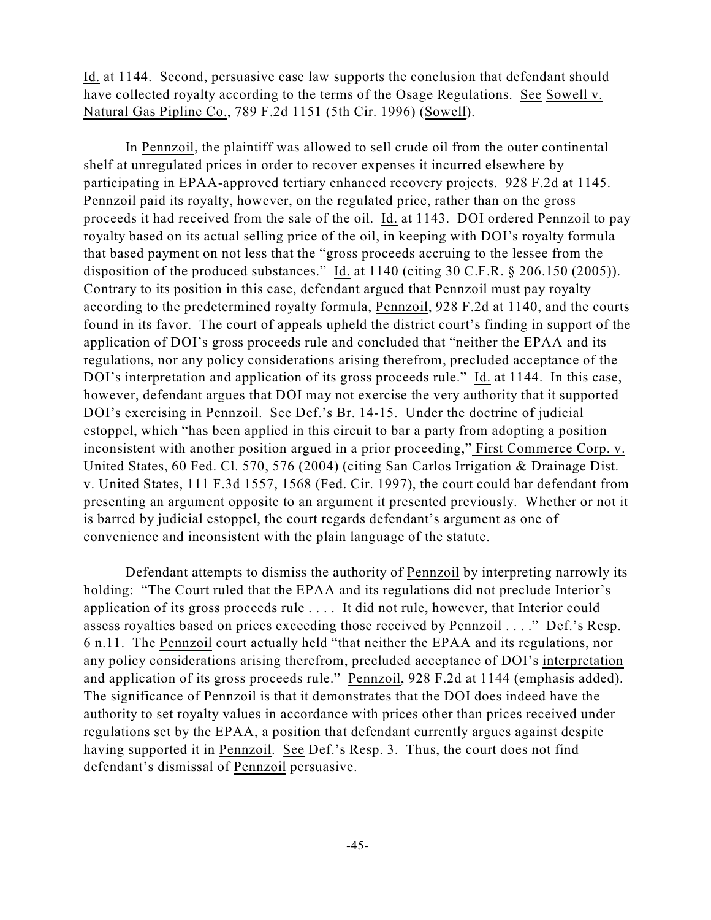Id. at 1144. Second, persuasive case law supports the conclusion that defendant should have collected royalty according to the terms of the Osage Regulations. See Sowell v. Natural Gas Pipline Co., 789 F.2d 1151 (5th Cir. 1996) (Sowell).

In Pennzoil, the plaintiff was allowed to sell crude oil from the outer continental shelf at unregulated prices in order to recover expenses it incurred elsewhere by participating in EPAA-approved tertiary enhanced recovery projects. 928 F.2d at 1145. Pennzoil paid its royalty, however, on the regulated price, rather than on the gross proceeds it had received from the sale of the oil. Id. at 1143. DOI ordered Pennzoil to pay royalty based on its actual selling price of the oil, in keeping with DOI's royalty formula that based payment on not less that the "gross proceeds accruing to the lessee from the disposition of the produced substances." Id. at 1140 (citing 30 C.F.R. § 206.150 (2005)). Contrary to its position in this case, defendant argued that Pennzoil must pay royalty according to the predetermined royalty formula, Pennzoil, 928 F.2d at 1140, and the courts found in its favor. The court of appeals upheld the district court's finding in support of the application of DOI's gross proceeds rule and concluded that "neither the EPAA and its regulations, nor any policy considerations arising therefrom, precluded acceptance of the DOI's interpretation and application of its gross proceeds rule." Id. at 1144. In this case, however, defendant argues that DOI may not exercise the very authority that it supported DOI's exercising in Pennzoil. See Def.'s Br. 14-15. Under the doctrine of judicial estoppel, which "has been applied in this circuit to bar a party from adopting a position inconsistent with another position argued in a prior proceeding," First Commerce Corp. v. United States, 60 Fed. Cl. 570, 576 (2004) (citing San Carlos Irrigation & Drainage Dist. v. United States, 111 F.3d 1557, 1568 (Fed. Cir. 1997), the court could bar defendant from presenting an argument opposite to an argument it presented previously. Whether or not it is barred by judicial estoppel, the court regards defendant's argument as one of convenience and inconsistent with the plain language of the statute.

Defendant attempts to dismiss the authority of Pennzoil by interpreting narrowly its holding: "The Court ruled that the EPAA and its regulations did not preclude Interior's application of its gross proceeds rule . . . . It did not rule, however, that Interior could assess royalties based on prices exceeding those received by Pennzoil . . . ." Def.'s Resp. 6 n.11. The Pennzoil court actually held "that neither the EPAA and its regulations, nor any policy considerations arising therefrom, precluded acceptance of DOI's interpretation and application of its gross proceeds rule." Pennzoil, 928 F.2d at 1144 (emphasis added). The significance of Pennzoil is that it demonstrates that the DOI does indeed have the authority to set royalty values in accordance with prices other than prices received under regulations set by the EPAA, a position that defendant currently argues against despite having supported it in Pennzoil. See Def.'s Resp. 3. Thus, the court does not find defendant's dismissal of Pennzoil persuasive.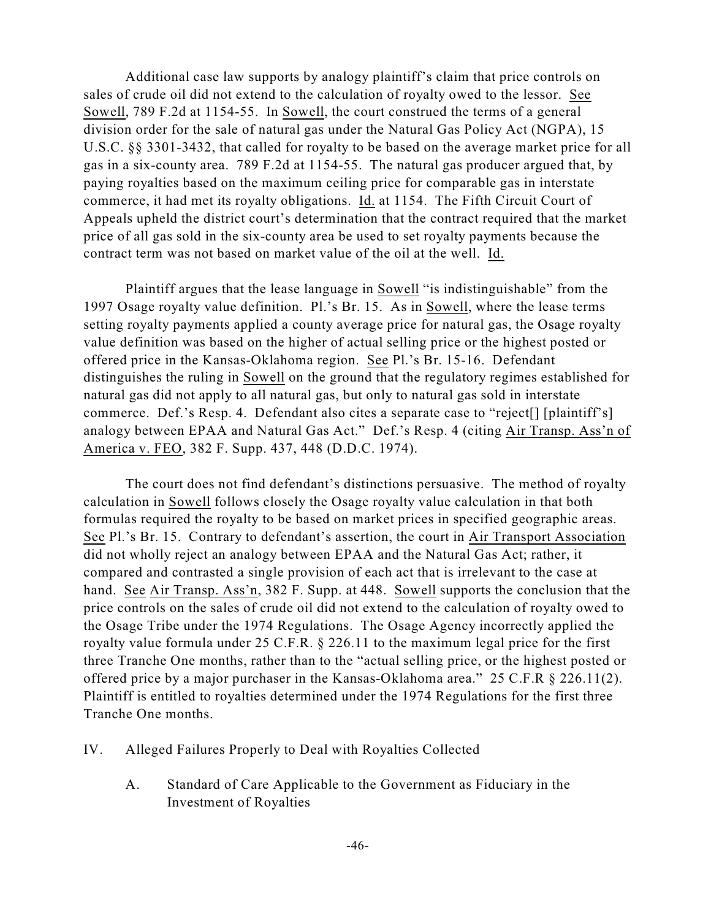Additional case law supports by analogy plaintiff's claim that price controls on sales of crude oil did not extend to the calculation of royalty owed to the lessor. See Sowell, 789 F.2d at 1154-55. In Sowell, the court construed the terms of a general division order for the sale of natural gas under the Natural Gas Policy Act (NGPA), 15 U.S.C. §§ 3301-3432, that called for royalty to be based on the average market price for all gas in a six-county area. 789 F.2d at 1154-55. The natural gas producer argued that, by paying royalties based on the maximum ceiling price for comparable gas in interstate commerce, it had met its royalty obligations. Id. at 1154. The Fifth Circuit Court of Appeals upheld the district court's determination that the contract required that the market price of all gas sold in the six-county area be used to set royalty payments because the contract term was not based on market value of the oil at the well. Id.

Plaintiff argues that the lease language in Sowell "is indistinguishable" from the 1997 Osage royalty value definition. Pl.'s Br. 15. As in Sowell, where the lease terms setting royalty payments applied a county average price for natural gas, the Osage royalty value definition was based on the higher of actual selling price or the highest posted or offered price in the Kansas-Oklahoma region. See Pl.'s Br. 15-16. Defendant distinguishes the ruling in Sowell on the ground that the regulatory regimes established for natural gas did not apply to all natural gas, but only to natural gas sold in interstate commerce. Def.'s Resp. 4. Defendant also cites a separate case to "reject[] [plaintiff's] analogy between EPAA and Natural Gas Act." Def.'s Resp. 4 (citing Air Transp. Ass'n of America v. FEO, 382 F. Supp. 437, 448 (D.D.C. 1974).

The court does not find defendant's distinctions persuasive. The method of royalty calculation in Sowell follows closely the Osage royalty value calculation in that both formulas required the royalty to be based on market prices in specified geographic areas. See Pl.'s Br. 15. Contrary to defendant's assertion, the court in Air Transport Association did not wholly reject an analogy between EPAA and the Natural Gas Act; rather, it compared and contrasted a single provision of each act that is irrelevant to the case at hand. See Air Transp. Ass'n, 382 F. Supp. at 448. Sowell supports the conclusion that the price controls on the sales of crude oil did not extend to the calculation of royalty owed to the Osage Tribe under the 1974 Regulations. The Osage Agency incorrectly applied the royalty value formula under 25 C.F.R. § 226.11 to the maximum legal price for the first three Tranche One months, rather than to the "actual selling price, or the highest posted or offered price by a major purchaser in the Kansas-Oklahoma area." 25 C.F.R § 226.11(2). Plaintiff is entitled to royalties determined under the 1974 Regulations for the first three Tranche One months.

- IV. Alleged Failures Properly to Deal with Royalties Collected
	- A. Standard of Care Applicable to the Government as Fiduciary in the Investment of Royalties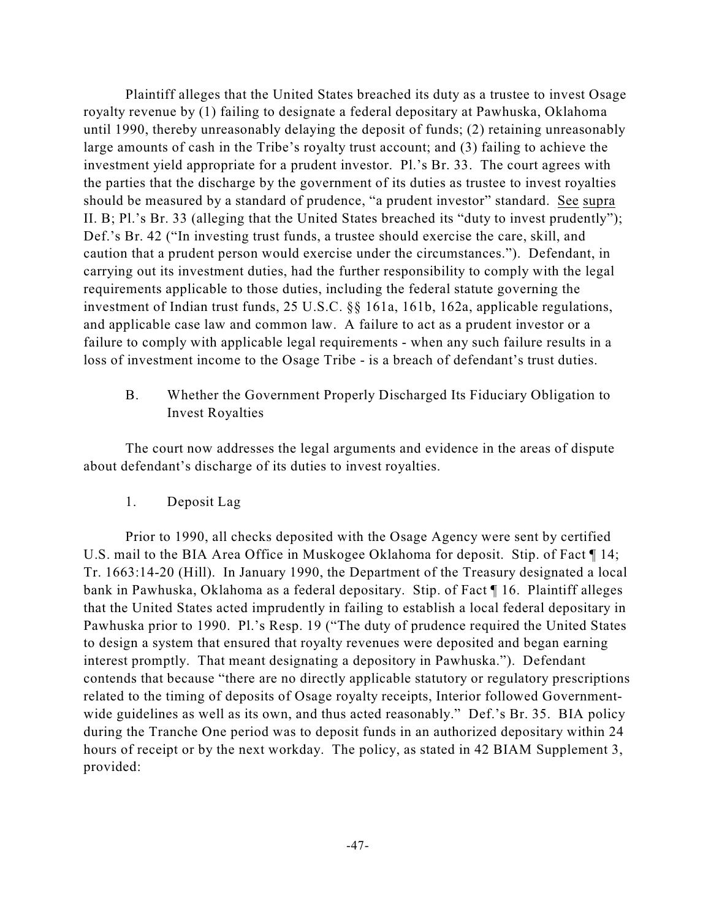Plaintiff alleges that the United States breached its duty as a trustee to invest Osage royalty revenue by (1) failing to designate a federal depositary at Pawhuska, Oklahoma until 1990, thereby unreasonably delaying the deposit of funds; (2) retaining unreasonably large amounts of cash in the Tribe's royalty trust account; and (3) failing to achieve the investment yield appropriate for a prudent investor. Pl.'s Br. 33. The court agrees with the parties that the discharge by the government of its duties as trustee to invest royalties should be measured by a standard of prudence, "a prudent investor" standard. See supra II. B; Pl.'s Br. 33 (alleging that the United States breached its "duty to invest prudently"); Def.'s Br. 42 ("In investing trust funds, a trustee should exercise the care, skill, and caution that a prudent person would exercise under the circumstances."). Defendant, in carrying out its investment duties, had the further responsibility to comply with the legal requirements applicable to those duties, including the federal statute governing the investment of Indian trust funds, 25 U.S.C. §§ 161a, 161b, 162a, applicable regulations, and applicable case law and common law. A failure to act as a prudent investor or a failure to comply with applicable legal requirements - when any such failure results in a loss of investment income to the Osage Tribe - is a breach of defendant's trust duties.

B. Whether the Government Properly Discharged Its Fiduciary Obligation to Invest Royalties

The court now addresses the legal arguments and evidence in the areas of dispute about defendant's discharge of its duties to invest royalties.

1. Deposit Lag

Prior to 1990, all checks deposited with the Osage Agency were sent by certified U.S. mail to the BIA Area Office in Muskogee Oklahoma for deposit. Stip. of Fact ¶ 14; Tr. 1663:14-20 (Hill). In January 1990, the Department of the Treasury designated a local bank in Pawhuska, Oklahoma as a federal depositary. Stip. of Fact ¶ 16. Plaintiff alleges that the United States acted imprudently in failing to establish a local federal depositary in Pawhuska prior to 1990. Pl.'s Resp. 19 ("The duty of prudence required the United States to design a system that ensured that royalty revenues were deposited and began earning interest promptly. That meant designating a depository in Pawhuska."). Defendant contends that because "there are no directly applicable statutory or regulatory prescriptions related to the timing of deposits of Osage royalty receipts, Interior followed Governmentwide guidelines as well as its own, and thus acted reasonably." Def.'s Br. 35. BIA policy during the Tranche One period was to deposit funds in an authorized depositary within 24 hours of receipt or by the next workday. The policy, as stated in 42 BIAM Supplement 3, provided: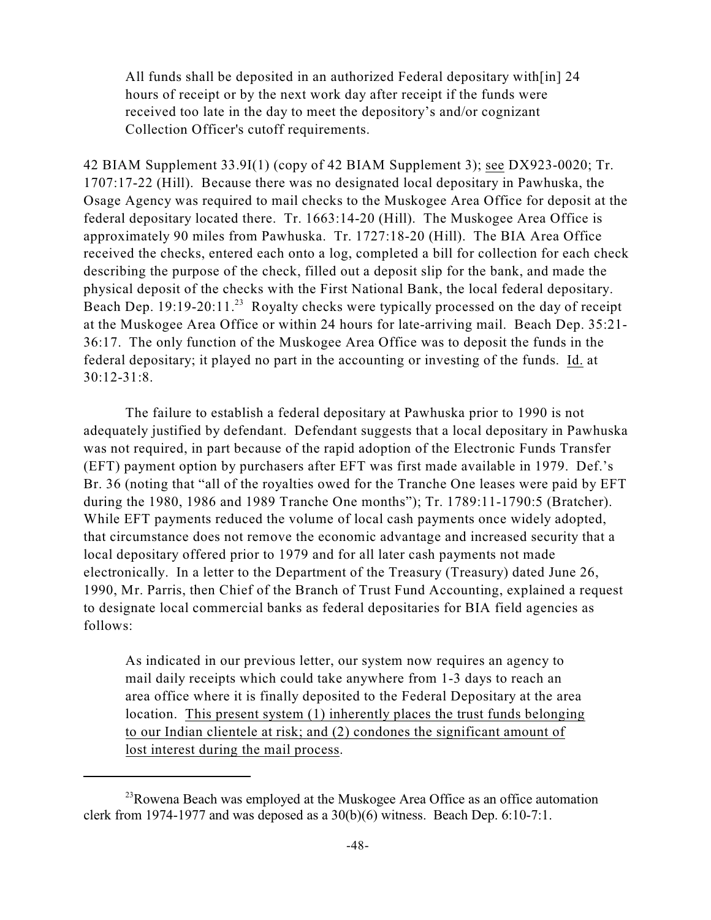All funds shall be deposited in an authorized Federal depositary with[in] 24 hours of receipt or by the next work day after receipt if the funds were received too late in the day to meet the depository's and/or cognizant Collection Officer's cutoff requirements.

42 BIAM Supplement 33.9I(1) (copy of 42 BIAM Supplement 3); see DX923-0020; Tr. 1707:17-22 (Hill). Because there was no designated local depositary in Pawhuska, the Osage Agency was required to mail checks to the Muskogee Area Office for deposit at the federal depositary located there. Tr. 1663:14-20 (Hill). The Muskogee Area Office is approximately 90 miles from Pawhuska. Tr. 1727:18-20 (Hill). The BIA Area Office received the checks, entered each onto a log, completed a bill for collection for each check describing the purpose of the check, filled out a deposit slip for the bank, and made the physical deposit of the checks with the First National Bank, the local federal depositary. Beach Dep. 19:19-20:11.<sup>23</sup> Royalty checks were typically processed on the day of receipt at the Muskogee Area Office or within 24 hours for late-arriving mail. Beach Dep. 35:21- 36:17. The only function of the Muskogee Area Office was to deposit the funds in the federal depositary; it played no part in the accounting or investing of the funds. Id. at 30:12-31:8.

The failure to establish a federal depositary at Pawhuska prior to 1990 is not adequately justified by defendant. Defendant suggests that a local depositary in Pawhuska was not required, in part because of the rapid adoption of the Electronic Funds Transfer (EFT) payment option by purchasers after EFT was first made available in 1979. Def.'s Br. 36 (noting that "all of the royalties owed for the Tranche One leases were paid by EFT during the 1980, 1986 and 1989 Tranche One months"); Tr. 1789:11-1790:5 (Bratcher). While EFT payments reduced the volume of local cash payments once widely adopted, that circumstance does not remove the economic advantage and increased security that a local depositary offered prior to 1979 and for all later cash payments not made electronically. In a letter to the Department of the Treasury (Treasury) dated June 26, 1990, Mr. Parris, then Chief of the Branch of Trust Fund Accounting, explained a request to designate local commercial banks as federal depositaries for BIA field agencies as follows:

As indicated in our previous letter, our system now requires an agency to mail daily receipts which could take anywhere from 1-3 days to reach an area office where it is finally deposited to the Federal Depositary at the area location. This present system (1) inherently places the trust funds belonging to our Indian clientele at risk; and (2) condones the significant amount of lost interest during the mail process.

<sup>&</sup>lt;sup>23</sup>Rowena Beach was employed at the Muskogee Area Office as an office automation clerk from 1974-1977 and was deposed as a  $30(b)(6)$  witness. Beach Dep. 6:10-7:1.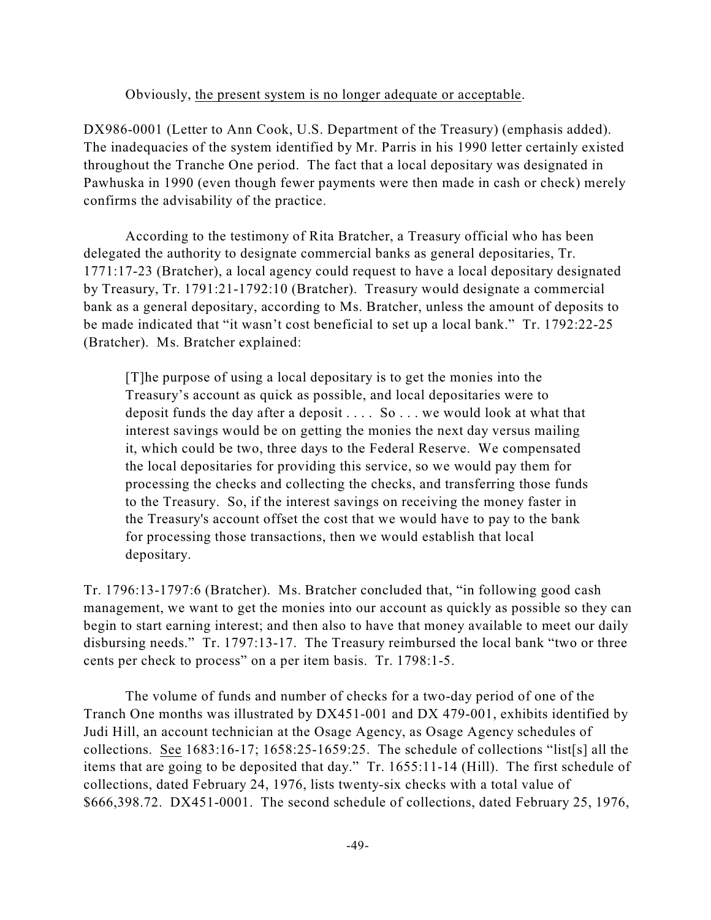#### Obviously, the present system is no longer adequate or acceptable.

DX986-0001 (Letter to Ann Cook, U.S. Department of the Treasury) (emphasis added). The inadequacies of the system identified by Mr. Parris in his 1990 letter certainly existed throughout the Tranche One period. The fact that a local depositary was designated in Pawhuska in 1990 (even though fewer payments were then made in cash or check) merely confirms the advisability of the practice.

According to the testimony of Rita Bratcher, a Treasury official who has been delegated the authority to designate commercial banks as general depositaries, Tr. 1771:17-23 (Bratcher), a local agency could request to have a local depositary designated by Treasury, Tr. 1791:21-1792:10 (Bratcher). Treasury would designate a commercial bank as a general depositary, according to Ms. Bratcher, unless the amount of deposits to be made indicated that "it wasn't cost beneficial to set up a local bank." Tr. 1792:22-25 (Bratcher). Ms. Bratcher explained:

[T]he purpose of using a local depositary is to get the monies into the Treasury's account as quick as possible, and local depositaries were to deposit funds the day after a deposit . . . . So . . . we would look at what that interest savings would be on getting the monies the next day versus mailing it, which could be two, three days to the Federal Reserve. We compensated the local depositaries for providing this service, so we would pay them for processing the checks and collecting the checks, and transferring those funds to the Treasury. So, if the interest savings on receiving the money faster in the Treasury's account offset the cost that we would have to pay to the bank for processing those transactions, then we would establish that local depositary.

Tr. 1796:13-1797:6 (Bratcher). Ms. Bratcher concluded that, "in following good cash management, we want to get the monies into our account as quickly as possible so they can begin to start earning interest; and then also to have that money available to meet our daily disbursing needs." Tr. 1797:13-17. The Treasury reimbursed the local bank "two or three cents per check to process" on a per item basis. Tr. 1798:1-5.

The volume of funds and number of checks for a two-day period of one of the Tranch One months was illustrated by DX451-001 and DX 479-001, exhibits identified by Judi Hill, an account technician at the Osage Agency, as Osage Agency schedules of collections. See 1683:16-17; 1658:25-1659:25. The schedule of collections "list[s] all the items that are going to be deposited that day." Tr. 1655:11-14 (Hill). The first schedule of collections, dated February 24, 1976, lists twenty-six checks with a total value of \$666,398.72. DX451-0001. The second schedule of collections, dated February 25, 1976,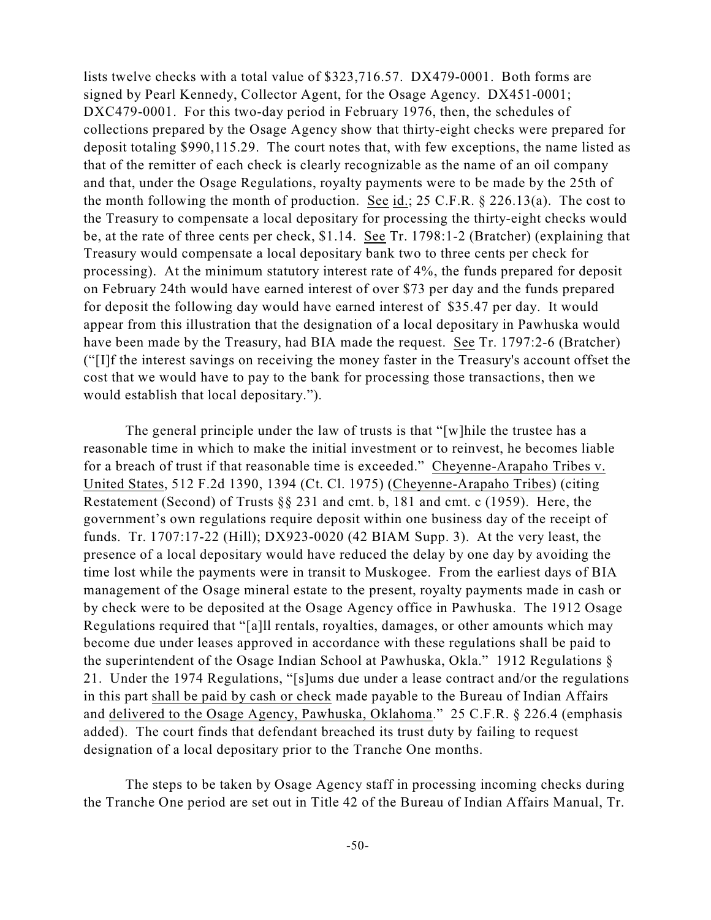lists twelve checks with a total value of \$323,716.57. DX479-0001. Both forms are signed by Pearl Kennedy, Collector Agent, for the Osage Agency. DX451-0001; DXC479-0001. For this two-day period in February 1976, then, the schedules of collections prepared by the Osage Agency show that thirty-eight checks were prepared for deposit totaling \$990,115.29. The court notes that, with few exceptions, the name listed as that of the remitter of each check is clearly recognizable as the name of an oil company and that, under the Osage Regulations, royalty payments were to be made by the 25th of the month following the month of production. See id.; 25 C.F.R. § 226.13(a). The cost to the Treasury to compensate a local depositary for processing the thirty-eight checks would be, at the rate of three cents per check, \$1.14. See Tr. 1798:1-2 (Bratcher) (explaining that Treasury would compensate a local depositary bank two to three cents per check for processing). At the minimum statutory interest rate of 4%, the funds prepared for deposit on February 24th would have earned interest of over \$73 per day and the funds prepared for deposit the following day would have earned interest of \$35.47 per day. It would appear from this illustration that the designation of a local depositary in Pawhuska would have been made by the Treasury, had BIA made the request. See Tr. 1797:2-6 (Bratcher) ("[I]f the interest savings on receiving the money faster in the Treasury's account offset the cost that we would have to pay to the bank for processing those transactions, then we would establish that local depositary.").

The general principle under the law of trusts is that "[w]hile the trustee has a reasonable time in which to make the initial investment or to reinvest, he becomes liable for a breach of trust if that reasonable time is exceeded." Cheyenne-Arapaho Tribes v. United States, 512 F.2d 1390, 1394 (Ct. Cl. 1975) (Cheyenne-Arapaho Tribes) (citing Restatement (Second) of Trusts §§ 231 and cmt. b, 181 and cmt. c (1959). Here, the government's own regulations require deposit within one business day of the receipt of funds. Tr. 1707:17-22 (Hill); DX923-0020 (42 BIAM Supp. 3). At the very least, the presence of a local depositary would have reduced the delay by one day by avoiding the time lost while the payments were in transit to Muskogee. From the earliest days of BIA management of the Osage mineral estate to the present, royalty payments made in cash or by check were to be deposited at the Osage Agency office in Pawhuska. The 1912 Osage Regulations required that "[a]ll rentals, royalties, damages, or other amounts which may become due under leases approved in accordance with these regulations shall be paid to the superintendent of the Osage Indian School at Pawhuska, Okla." 1912 Regulations § 21. Under the 1974 Regulations, "[s]ums due under a lease contract and/or the regulations in this part shall be paid by cash or check made payable to the Bureau of Indian Affairs and delivered to the Osage Agency, Pawhuska, Oklahoma." 25 C.F.R. § 226.4 (emphasis added). The court finds that defendant breached its trust duty by failing to request designation of a local depositary prior to the Tranche One months.

The steps to be taken by Osage Agency staff in processing incoming checks during the Tranche One period are set out in Title 42 of the Bureau of Indian Affairs Manual, Tr.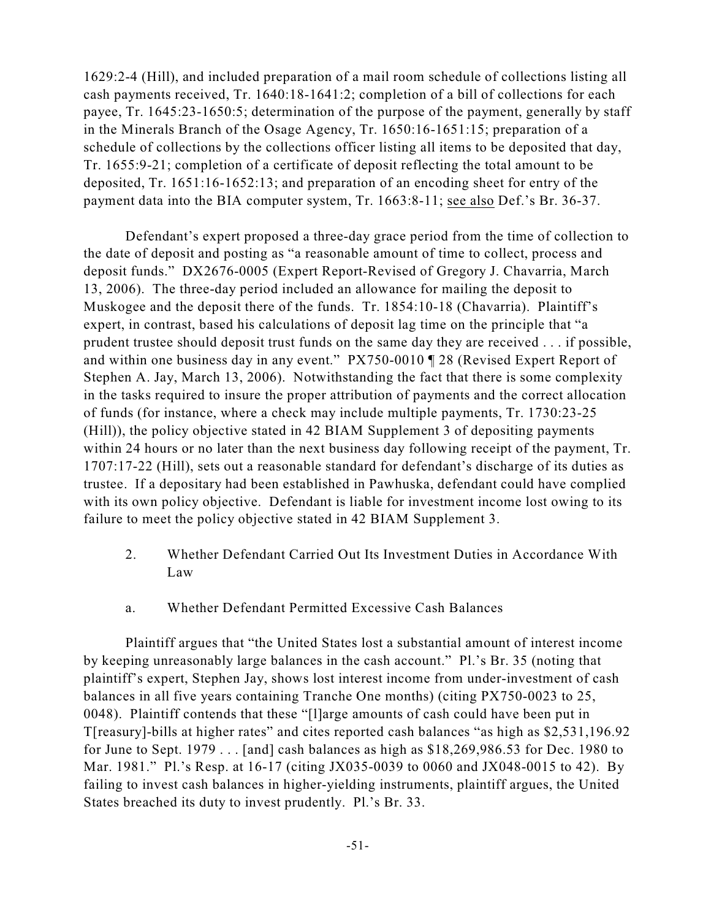1629:2-4 (Hill), and included preparation of a mail room schedule of collections listing all cash payments received, Tr. 1640:18-1641:2; completion of a bill of collections for each payee, Tr. 1645:23-1650:5; determination of the purpose of the payment, generally by staff in the Minerals Branch of the Osage Agency, Tr. 1650:16-1651:15; preparation of a schedule of collections by the collections officer listing all items to be deposited that day, Tr. 1655:9-21; completion of a certificate of deposit reflecting the total amount to be deposited, Tr. 1651:16-1652:13; and preparation of an encoding sheet for entry of the payment data into the BIA computer system, Tr. 1663:8-11; see also Def.'s Br. 36-37.

Defendant's expert proposed a three-day grace period from the time of collection to the date of deposit and posting as "a reasonable amount of time to collect, process and deposit funds." DX2676-0005 (Expert Report-Revised of Gregory J. Chavarria, March 13, 2006). The three-day period included an allowance for mailing the deposit to Muskogee and the deposit there of the funds. Tr. 1854:10-18 (Chavarria). Plaintiff's expert, in contrast, based his calculations of deposit lag time on the principle that "a prudent trustee should deposit trust funds on the same day they are received . . . if possible, and within one business day in any event." PX750-0010 ¶ 28 (Revised Expert Report of Stephen A. Jay, March 13, 2006). Notwithstanding the fact that there is some complexity in the tasks required to insure the proper attribution of payments and the correct allocation of funds (for instance, where a check may include multiple payments, Tr. 1730:23-25 (Hill)), the policy objective stated in 42 BIAM Supplement 3 of depositing payments within 24 hours or no later than the next business day following receipt of the payment, Tr. 1707:17-22 (Hill), sets out a reasonable standard for defendant's discharge of its duties as trustee. If a depositary had been established in Pawhuska, defendant could have complied with its own policy objective. Defendant is liable for investment income lost owing to its failure to meet the policy objective stated in 42 BIAM Supplement 3.

- 2. Whether Defendant Carried Out Its Investment Duties in Accordance With Law
- a. Whether Defendant Permitted Excessive Cash Balances

Plaintiff argues that "the United States lost a substantial amount of interest income by keeping unreasonably large balances in the cash account." Pl.'s Br. 35 (noting that plaintiff's expert, Stephen Jay, shows lost interest income from under-investment of cash balances in all five years containing Tranche One months) (citing PX750-0023 to 25, 0048). Plaintiff contends that these "[l]arge amounts of cash could have been put in T[reasury]-bills at higher rates" and cites reported cash balances "as high as \$2,531,196.92 for June to Sept. 1979 . . . [and] cash balances as high as \$18,269,986.53 for Dec. 1980 to Mar. 1981." Pl.'s Resp. at 16-17 (citing JX035-0039 to 0060 and JX048-0015 to 42). By failing to invest cash balances in higher-yielding instruments, plaintiff argues, the United States breached its duty to invest prudently. Pl.'s Br. 33.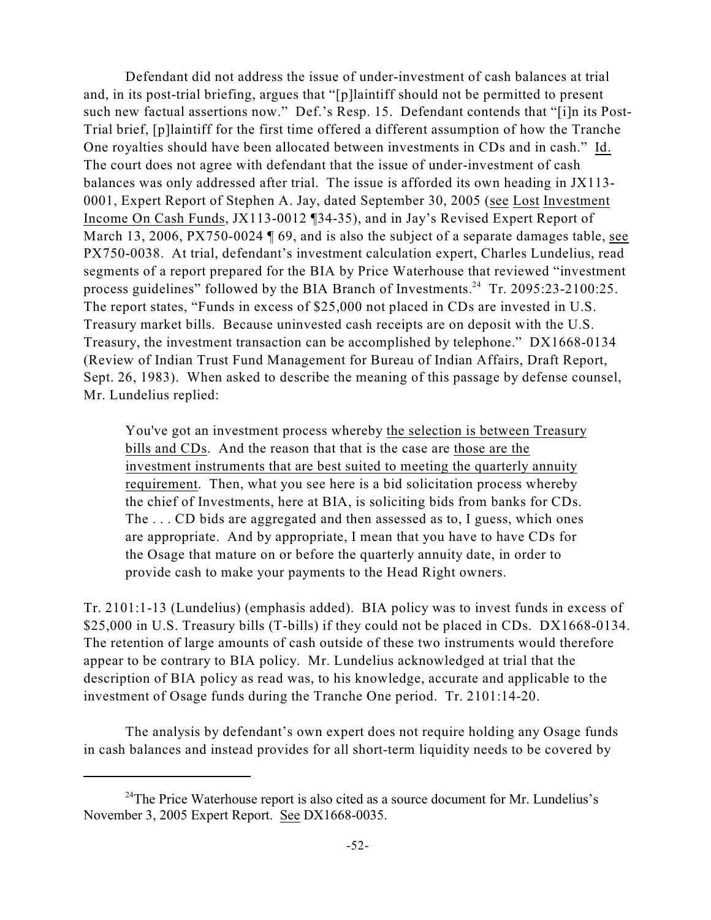Defendant did not address the issue of under-investment of cash balances at trial and, in its post-trial briefing, argues that "[p]laintiff should not be permitted to present such new factual assertions now." Def.'s Resp. 15. Defendant contends that "[i]n its Post-Trial brief, [p]laintiff for the first time offered a different assumption of how the Tranche One royalties should have been allocated between investments in CDs and in cash." Id. The court does not agree with defendant that the issue of under-investment of cash balances was only addressed after trial. The issue is afforded its own heading in JX113- 0001, Expert Report of Stephen A. Jay, dated September 30, 2005 (see Lost Investment Income On Cash Funds, JX113-0012 ¶34-35), and in Jay's Revised Expert Report of March 13, 2006, PX750-0024 ¶ 69, and is also the subject of a separate damages table, see PX750-0038. At trial, defendant's investment calculation expert, Charles Lundelius, read segments of a report prepared for the BIA by Price Waterhouse that reviewed "investment process guidelines" followed by the BIA Branch of Investments. $24$  Tr. 2095:23-2100:25. The report states, "Funds in excess of \$25,000 not placed in CDs are invested in U.S. Treasury market bills. Because uninvested cash receipts are on deposit with the U.S. Treasury, the investment transaction can be accomplished by telephone." DX1668-0134 (Review of Indian Trust Fund Management for Bureau of Indian Affairs, Draft Report, Sept. 26, 1983). When asked to describe the meaning of this passage by defense counsel, Mr. Lundelius replied:

You've got an investment process whereby the selection is between Treasury bills and CDs. And the reason that that is the case are those are the investment instruments that are best suited to meeting the quarterly annuity requirement. Then, what you see here is a bid solicitation process whereby the chief of Investments, here at BIA, is soliciting bids from banks for CDs. The . . . CD bids are aggregated and then assessed as to, I guess, which ones are appropriate. And by appropriate, I mean that you have to have CDs for the Osage that mature on or before the quarterly annuity date, in order to provide cash to make your payments to the Head Right owners.

Tr. 2101:1-13 (Lundelius) (emphasis added). BIA policy was to invest funds in excess of \$25,000 in U.S. Treasury bills (T-bills) if they could not be placed in CDs. DX1668-0134. The retention of large amounts of cash outside of these two instruments would therefore appear to be contrary to BIA policy. Mr. Lundelius acknowledged at trial that the description of BIA policy as read was, to his knowledge, accurate and applicable to the investment of Osage funds during the Tranche One period. Tr. 2101:14-20.

The analysis by defendant's own expert does not require holding any Osage funds in cash balances and instead provides for all short-term liquidity needs to be covered by

<sup>&</sup>lt;sup>24</sup>The Price Waterhouse report is also cited as a source document for Mr. Lundelius's November 3, 2005 Expert Report. See DX1668-0035.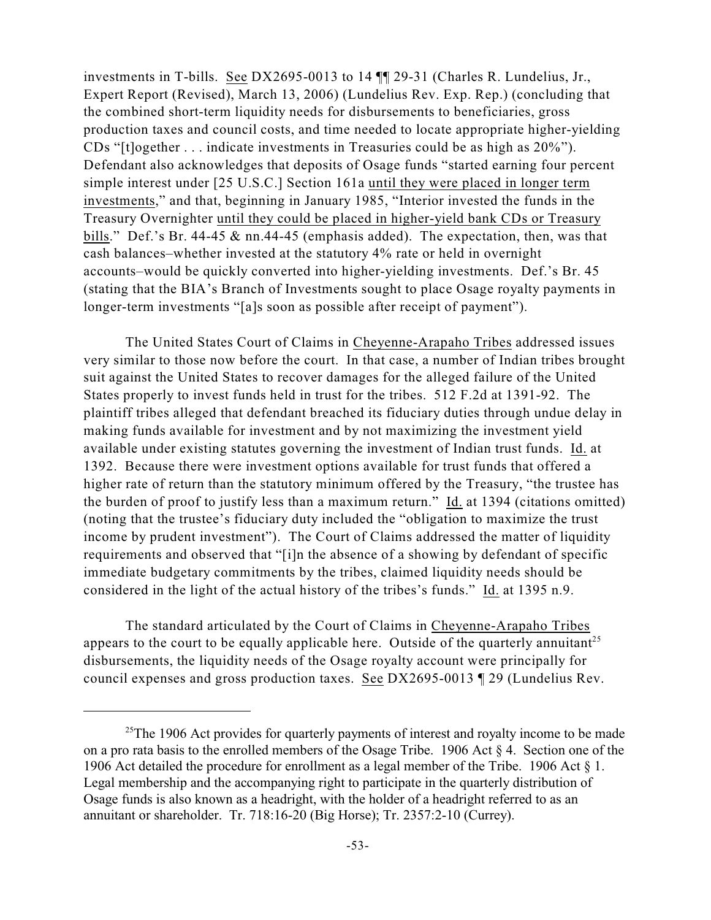investments in T-bills. See DX2695-0013 to 14 ¶¶ 29-31 (Charles R. Lundelius, Jr., Expert Report (Revised), March 13, 2006) (Lundelius Rev. Exp. Rep.) (concluding that the combined short-term liquidity needs for disbursements to beneficiaries, gross production taxes and council costs, and time needed to locate appropriate higher-yielding CDs "[t]ogether . . . indicate investments in Treasuries could be as high as 20%"). Defendant also acknowledges that deposits of Osage funds "started earning four percent simple interest under [25 U.S.C.] Section 161a until they were placed in longer term investments," and that, beginning in January 1985, "Interior invested the funds in the Treasury Overnighter until they could be placed in higher-yield bank CDs or Treasury bills." Def.'s Br. 44-45 & nn.44-45 (emphasis added). The expectation, then, was that cash balances–whether invested at the statutory 4% rate or held in overnight accounts–would be quickly converted into higher-yielding investments. Def.'s Br. 45 (stating that the BIA's Branch of Investments sought to place Osage royalty payments in longer-term investments "[a]s soon as possible after receipt of payment").

The United States Court of Claims in Cheyenne-Arapaho Tribes addressed issues very similar to those now before the court. In that case, a number of Indian tribes brought suit against the United States to recover damages for the alleged failure of the United States properly to invest funds held in trust for the tribes. 512 F.2d at 1391-92. The plaintiff tribes alleged that defendant breached its fiduciary duties through undue delay in making funds available for investment and by not maximizing the investment yield available under existing statutes governing the investment of Indian trust funds. Id. at 1392. Because there were investment options available for trust funds that offered a higher rate of return than the statutory minimum offered by the Treasury, "the trustee has the burden of proof to justify less than a maximum return." Id. at 1394 (citations omitted) (noting that the trustee's fiduciary duty included the "obligation to maximize the trust income by prudent investment"). The Court of Claims addressed the matter of liquidity requirements and observed that "[i]n the absence of a showing by defendant of specific immediate budgetary commitments by the tribes, claimed liquidity needs should be considered in the light of the actual history of the tribes's funds." Id. at 1395 n.9.

The standard articulated by the Court of Claims in Cheyenne-Arapaho Tribes appears to the court to be equally applicable here. Outside of the quarterly annuitant<sup>25</sup> disbursements, the liquidity needs of the Osage royalty account were principally for council expenses and gross production taxes. See DX2695-0013 ¶ 29 (Lundelius Rev.

<sup>&</sup>lt;sup>25</sup>The 1906 Act provides for quarterly payments of interest and royalty income to be made on a pro rata basis to the enrolled members of the Osage Tribe. 1906 Act § 4. Section one of the 1906 Act detailed the procedure for enrollment as a legal member of the Tribe. 1906 Act § 1. Legal membership and the accompanying right to participate in the quarterly distribution of Osage funds is also known as a headright, with the holder of a headright referred to as an annuitant or shareholder. Tr. 718:16-20 (Big Horse); Tr. 2357:2-10 (Currey).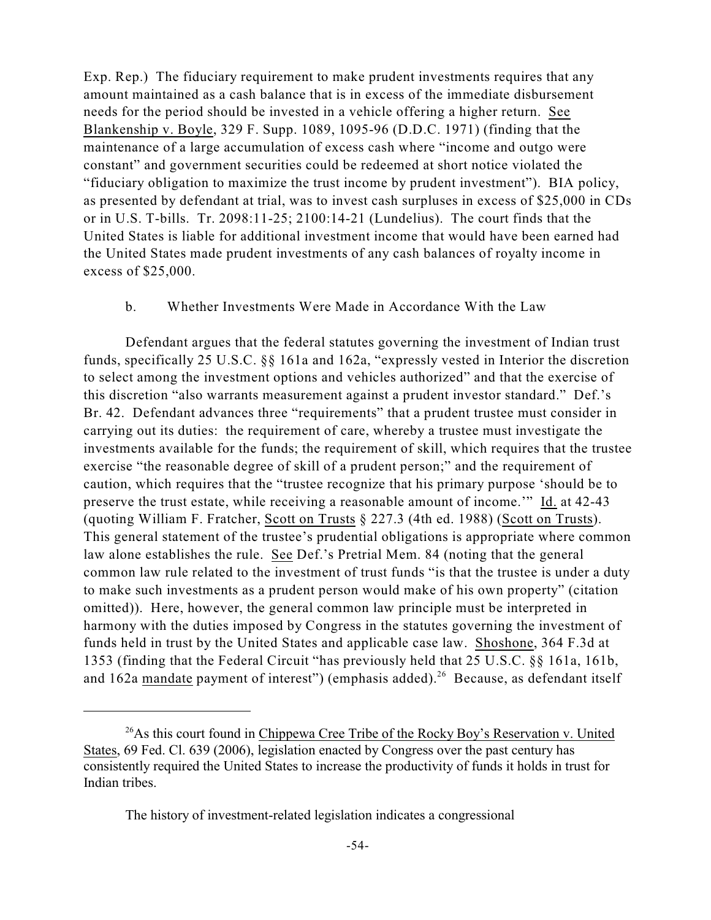Exp. Rep.) The fiduciary requirement to make prudent investments requires that any amount maintained as a cash balance that is in excess of the immediate disbursement needs for the period should be invested in a vehicle offering a higher return. See Blankenship v. Boyle, 329 F. Supp. 1089, 1095-96 (D.D.C. 1971) (finding that the maintenance of a large accumulation of excess cash where "income and outgo were constant" and government securities could be redeemed at short notice violated the "fiduciary obligation to maximize the trust income by prudent investment"). BIA policy, as presented by defendant at trial, was to invest cash surpluses in excess of \$25,000 in CDs or in U.S. T-bills. Tr. 2098:11-25; 2100:14-21 (Lundelius). The court finds that the United States is liable for additional investment income that would have been earned had the United States made prudent investments of any cash balances of royalty income in excess of \$25,000.

## b. Whether Investments Were Made in Accordance With the Law

Defendant argues that the federal statutes governing the investment of Indian trust funds, specifically 25 U.S.C. §§ 161a and 162a, "expressly vested in Interior the discretion to select among the investment options and vehicles authorized" and that the exercise of this discretion "also warrants measurement against a prudent investor standard." Def.'s Br. 42. Defendant advances three "requirements" that a prudent trustee must consider in carrying out its duties: the requirement of care, whereby a trustee must investigate the investments available for the funds; the requirement of skill, which requires that the trustee exercise "the reasonable degree of skill of a prudent person;" and the requirement of caution, which requires that the "trustee recognize that his primary purpose 'should be to preserve the trust estate, while receiving a reasonable amount of income.'" Id. at 42-43 (quoting William F. Fratcher, Scott on Trusts § 227.3 (4th ed. 1988) (Scott on Trusts). This general statement of the trustee's prudential obligations is appropriate where common law alone establishes the rule. See Def.'s Pretrial Mem. 84 (noting that the general common law rule related to the investment of trust funds "is that the trustee is under a duty to make such investments as a prudent person would make of his own property" (citation omitted)). Here, however, the general common law principle must be interpreted in harmony with the duties imposed by Congress in the statutes governing the investment of funds held in trust by the United States and applicable case law. Shoshone, 364 F.3d at 1353 (finding that the Federal Circuit "has previously held that 25 U.S.C. §§ 161a, 161b, and 162a mandate payment of interest") (emphasis added).<sup>26</sup> Because, as defendant itself

 $^{26}$ As this court found in Chippewa Cree Tribe of the Rocky Boy's Reservation v. United States, 69 Fed. Cl. 639 (2006), legislation enacted by Congress over the past century has consistently required the United States to increase the productivity of funds it holds in trust for Indian tribes.

The history of investment-related legislation indicates a congressional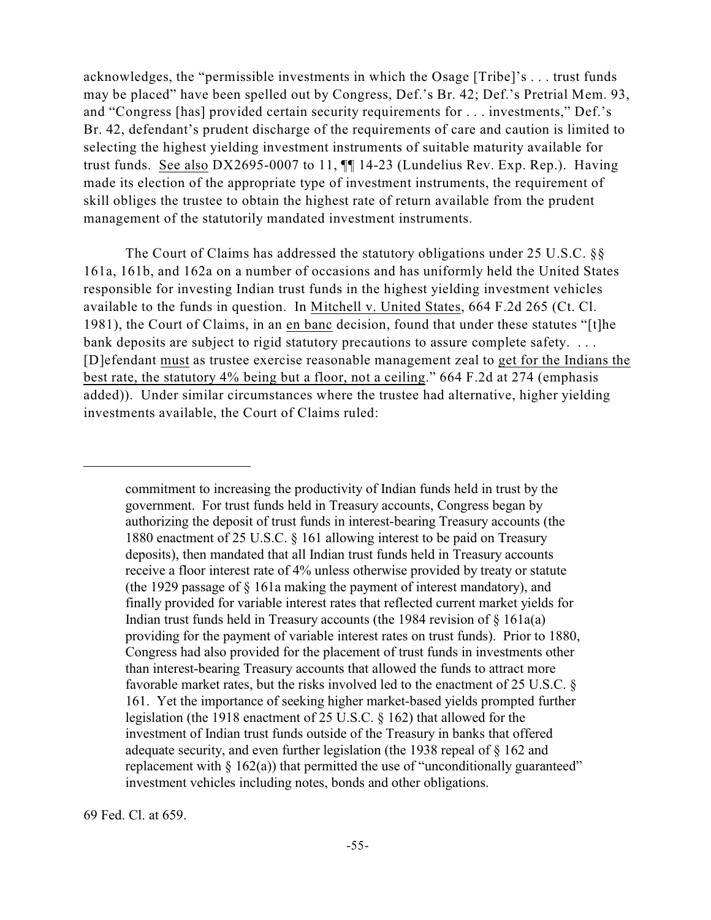acknowledges, the "permissible investments in which the Osage [Tribe]'s . . . trust funds may be placed" have been spelled out by Congress, Def.'s Br. 42; Def.'s Pretrial Mem. 93, and "Congress [has] provided certain security requirements for . . . investments," Def.'s Br. 42, defendant's prudent discharge of the requirements of care and caution is limited to selecting the highest yielding investment instruments of suitable maturity available for trust funds. See also DX2695-0007 to 11, ¶¶ 14-23 (Lundelius Rev. Exp. Rep.). Having made its election of the appropriate type of investment instruments, the requirement of skill obliges the trustee to obtain the highest rate of return available from the prudent management of the statutorily mandated investment instruments.

The Court of Claims has addressed the statutory obligations under 25 U.S.C. §§ 161a, 161b, and 162a on a number of occasions and has uniformly held the United States responsible for investing Indian trust funds in the highest yielding investment vehicles available to the funds in question. In Mitchell v. United States, 664 F.2d 265 (Ct. Cl. 1981), the Court of Claims, in an en banc decision, found that under these statutes "[t]he bank deposits are subject to rigid statutory precautions to assure complete safety. ... [D]efendant must as trustee exercise reasonable management zeal to get for the Indians the best rate, the statutory 4% being but a floor, not a ceiling." 664 F.2d at 274 (emphasis added)). Under similar circumstances where the trustee had alternative, higher yielding investments available, the Court of Claims ruled:

commitment to increasing the productivity of Indian funds held in trust by the government. For trust funds held in Treasury accounts, Congress began by authorizing the deposit of trust funds in interest-bearing Treasury accounts (the 1880 enactment of 25 U.S.C. § 161 allowing interest to be paid on Treasury deposits), then mandated that all Indian trust funds held in Treasury accounts receive a floor interest rate of 4% unless otherwise provided by treaty or statute (the 1929 passage of § 161a making the payment of interest mandatory), and finally provided for variable interest rates that reflected current market yields for Indian trust funds held in Treasury accounts (the 1984 revision of § 161a(a) providing for the payment of variable interest rates on trust funds). Prior to 1880, Congress had also provided for the placement of trust funds in investments other than interest-bearing Treasury accounts that allowed the funds to attract more favorable market rates, but the risks involved led to the enactment of 25 U.S.C. § 161. Yet the importance of seeking higher market-based yields prompted further legislation (the 1918 enactment of 25 U.S.C. § 162) that allowed for the investment of Indian trust funds outside of the Treasury in banks that offered adequate security, and even further legislation (the 1938 repeal of § 162 and replacement with  $\S 162(a)$ ) that permitted the use of "unconditionally guaranteed" investment vehicles including notes, bonds and other obligations.

69 Fed. Cl. at 659.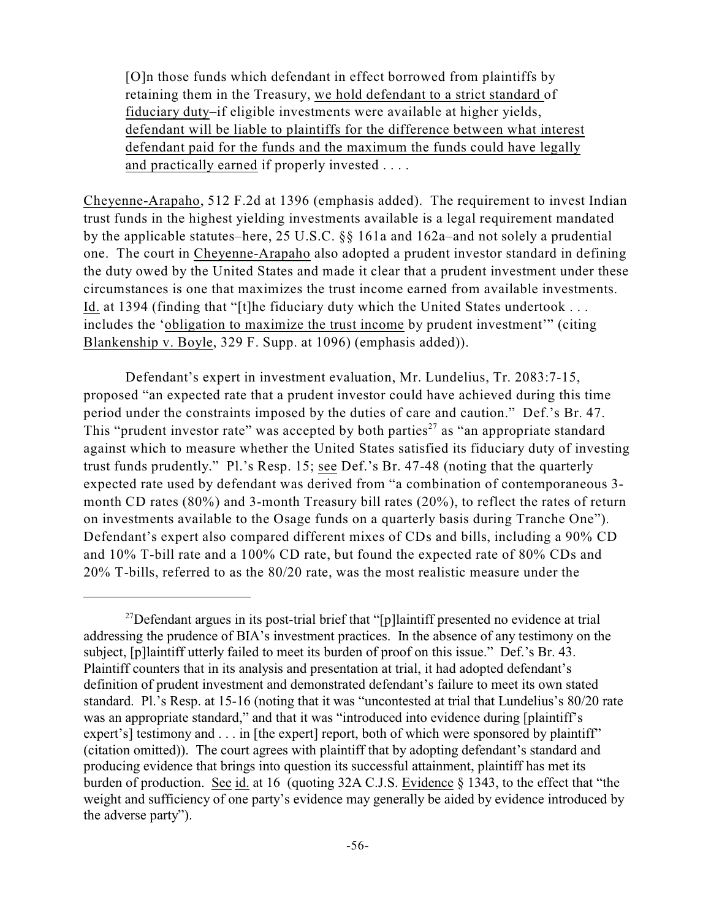[O]n those funds which defendant in effect borrowed from plaintiffs by retaining them in the Treasury, we hold defendant to a strict standard of fiduciary duty–if eligible investments were available at higher yields, defendant will be liable to plaintiffs for the difference between what interest defendant paid for the funds and the maximum the funds could have legally and practically earned if properly invested . . . .

Cheyenne-Arapaho, 512 F.2d at 1396 (emphasis added). The requirement to invest Indian trust funds in the highest yielding investments available is a legal requirement mandated by the applicable statutes–here, 25 U.S.C. §§ 161a and 162a–and not solely a prudential one. The court in Cheyenne-Arapaho also adopted a prudent investor standard in defining the duty owed by the United States and made it clear that a prudent investment under these circumstances is one that maximizes the trust income earned from available investments. Id. at 1394 (finding that "[t]he fiduciary duty which the United States undertook . . . includes the 'obligation to maximize the trust income by prudent investment'" (citing Blankenship v. Boyle, 329 F. Supp. at 1096) (emphasis added)).

Defendant's expert in investment evaluation, Mr. Lundelius, Tr. 2083:7-15, proposed "an expected rate that a prudent investor could have achieved during this time period under the constraints imposed by the duties of care and caution." Def.'s Br. 47. This "prudent investor rate" was accepted by both parties<sup>27</sup> as "an appropriate standard against which to measure whether the United States satisfied its fiduciary duty of investing trust funds prudently." Pl.'s Resp. 15; see Def.'s Br. 47-48 (noting that the quarterly expected rate used by defendant was derived from "a combination of contemporaneous 3 month CD rates (80%) and 3-month Treasury bill rates (20%), to reflect the rates of return on investments available to the Osage funds on a quarterly basis during Tranche One"). Defendant's expert also compared different mixes of CDs and bills, including a 90% CD and 10% T-bill rate and a 100% CD rate, but found the expected rate of 80% CDs and 20% T-bills, referred to as the 80/20 rate, was the most realistic measure under the

<sup>&</sup>lt;sup>27</sup>Defendant argues in its post-trial brief that "[p]laintiff presented no evidence at trial addressing the prudence of BIA's investment practices. In the absence of any testimony on the subject, [p]laintiff utterly failed to meet its burden of proof on this issue." Def.'s Br. 43. Plaintiff counters that in its analysis and presentation at trial, it had adopted defendant's definition of prudent investment and demonstrated defendant's failure to meet its own stated standard. Pl.'s Resp. at 15-16 (noting that it was "uncontested at trial that Lundelius's 80/20 rate was an appropriate standard," and that it was "introduced into evidence during [plaintiff's expert's] testimony and . . . in [the expert] report, both of which were sponsored by plaintiff" (citation omitted)). The court agrees with plaintiff that by adopting defendant's standard and producing evidence that brings into question its successful attainment, plaintiff has met its burden of production. See id. at 16 (quoting 32A C.J.S. Evidence § 1343, to the effect that "the weight and sufficiency of one party's evidence may generally be aided by evidence introduced by the adverse party").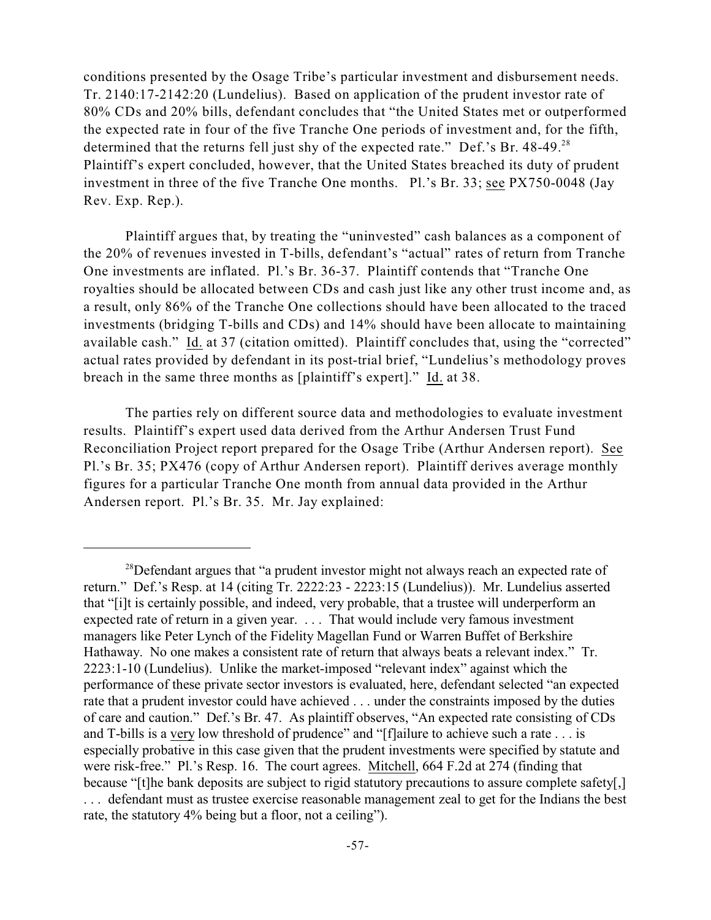conditions presented by the Osage Tribe's particular investment and disbursement needs. Tr. 2140:17-2142:20 (Lundelius). Based on application of the prudent investor rate of 80% CDs and 20% bills, defendant concludes that "the United States met or outperformed the expected rate in four of the five Tranche One periods of investment and, for the fifth, determined that the returns fell just shy of the expected rate." Def.'s Br. 48-49.<sup>28</sup> Plaintiff's expert concluded, however, that the United States breached its duty of prudent investment in three of the five Tranche One months. Pl.'s Br. 33; see PX750-0048 (Jay Rev. Exp. Rep.).

Plaintiff argues that, by treating the "uninvested" cash balances as a component of the 20% of revenues invested in T-bills, defendant's "actual" rates of return from Tranche One investments are inflated. Pl.'s Br. 36-37. Plaintiff contends that "Tranche One royalties should be allocated between CDs and cash just like any other trust income and, as a result, only 86% of the Tranche One collections should have been allocated to the traced investments (bridging T-bills and CDs) and 14% should have been allocate to maintaining available cash." Id. at 37 (citation omitted). Plaintiff concludes that, using the "corrected" actual rates provided by defendant in its post-trial brief, "Lundelius's methodology proves breach in the same three months as [plaintiff's expert]." Id. at 38.

The parties rely on different source data and methodologies to evaluate investment results. Plaintiff's expert used data derived from the Arthur Andersen Trust Fund Reconciliation Project report prepared for the Osage Tribe (Arthur Andersen report). See Pl.'s Br. 35; PX476 (copy of Arthur Andersen report). Plaintiff derives average monthly figures for a particular Tranche One month from annual data provided in the Arthur Andersen report. Pl.'s Br. 35. Mr. Jay explained:

 $28$  Defendant argues that "a prudent investor might not always reach an expected rate of return." Def.'s Resp. at 14 (citing Tr. 2222:23 - 2223:15 (Lundelius)). Mr. Lundelius asserted that "[i]t is certainly possible, and indeed, very probable, that a trustee will underperform an expected rate of return in a given year. . . . That would include very famous investment managers like Peter Lynch of the Fidelity Magellan Fund or Warren Buffet of Berkshire Hathaway. No one makes a consistent rate of return that always beats a relevant index." Tr. 2223:1-10 (Lundelius). Unlike the market-imposed "relevant index" against which the performance of these private sector investors is evaluated, here, defendant selected "an expected rate that a prudent investor could have achieved . . . under the constraints imposed by the duties of care and caution." Def.'s Br. 47. As plaintiff observes, "An expected rate consisting of CDs and T-bills is a very low threshold of prudence" and "[f]ailure to achieve such a rate . . . is especially probative in this case given that the prudent investments were specified by statute and were risk-free." Pl.'s Resp. 16. The court agrees. Mitchell, 664 F.2d at 274 (finding that because "[t]he bank deposits are subject to rigid statutory precautions to assure complete safety[,] . . . defendant must as trustee exercise reasonable management zeal to get for the Indians the best rate, the statutory 4% being but a floor, not a ceiling").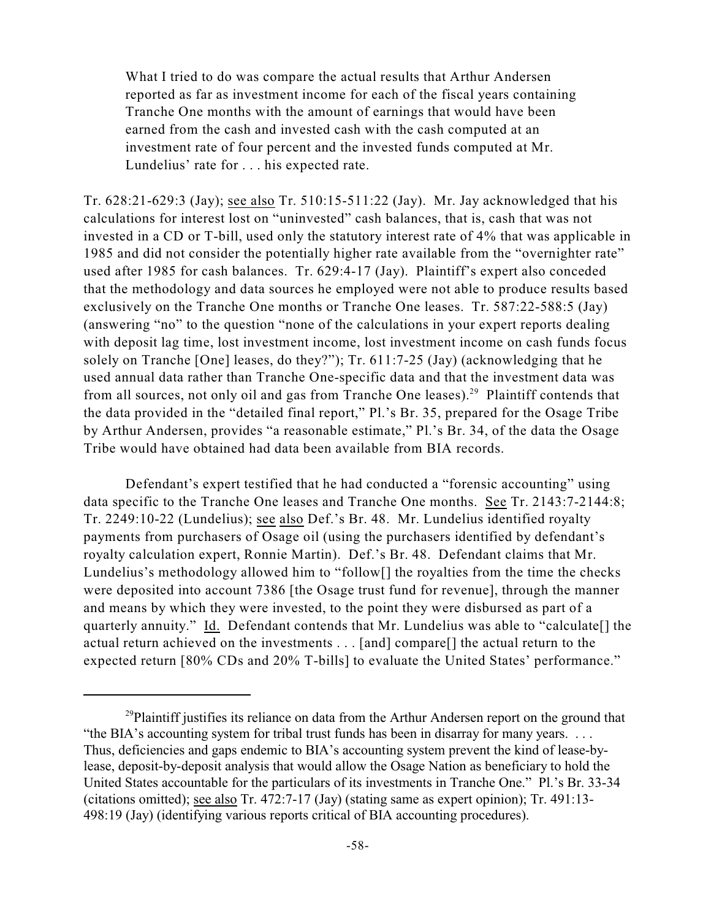What I tried to do was compare the actual results that Arthur Andersen reported as far as investment income for each of the fiscal years containing Tranche One months with the amount of earnings that would have been earned from the cash and invested cash with the cash computed at an investment rate of four percent and the invested funds computed at Mr. Lundelius' rate for . . . his expected rate.

Tr. 628:21-629:3 (Jay); see also Tr. 510:15-511:22 (Jay). Mr. Jay acknowledged that his calculations for interest lost on "uninvested" cash balances, that is, cash that was not invested in a CD or T-bill, used only the statutory interest rate of 4% that was applicable in 1985 and did not consider the potentially higher rate available from the "overnighter rate" used after 1985 for cash balances. Tr. 629:4-17 (Jay). Plaintiff's expert also conceded that the methodology and data sources he employed were not able to produce results based exclusively on the Tranche One months or Tranche One leases. Tr. 587:22-588:5 (Jay) (answering "no" to the question "none of the calculations in your expert reports dealing with deposit lag time, lost investment income, lost investment income on cash funds focus solely on Tranche [One] leases, do they?"); Tr. 611:7-25 (Jay) (acknowledging that he used annual data rather than Tranche One-specific data and that the investment data was from all sources, not only oil and gas from Tranche One leases).<sup>29</sup> Plaintiff contends that the data provided in the "detailed final report," Pl.'s Br. 35, prepared for the Osage Tribe by Arthur Andersen, provides "a reasonable estimate," Pl.'s Br. 34, of the data the Osage Tribe would have obtained had data been available from BIA records.

Defendant's expert testified that he had conducted a "forensic accounting" using data specific to the Tranche One leases and Tranche One months. See Tr. 2143:7-2144:8; Tr. 2249:10-22 (Lundelius); see also Def.'s Br. 48. Mr. Lundelius identified royalty payments from purchasers of Osage oil (using the purchasers identified by defendant's royalty calculation expert, Ronnie Martin). Def.'s Br. 48. Defendant claims that Mr. Lundelius's methodology allowed him to "follow[] the royalties from the time the checks were deposited into account 7386 [the Osage trust fund for revenue], through the manner and means by which they were invested, to the point they were disbursed as part of a quarterly annuity." Id. Defendant contends that Mr. Lundelius was able to "calculate[] the actual return achieved on the investments . . . [and] compare[] the actual return to the expected return [80% CDs and 20% T-bills] to evaluate the United States' performance."

<sup>&</sup>lt;sup>29</sup>Plaintiff justifies its reliance on data from the Arthur Andersen report on the ground that "the BIA's accounting system for tribal trust funds has been in disarray for many years. . . . Thus, deficiencies and gaps endemic to BIA's accounting system prevent the kind of lease-bylease, deposit-by-deposit analysis that would allow the Osage Nation as beneficiary to hold the United States accountable for the particulars of its investments in Tranche One." Pl.'s Br. 33-34 (citations omitted); see also Tr. 472:7-17 (Jay) (stating same as expert opinion); Tr. 491:13- 498:19 (Jay) (identifying various reports critical of BIA accounting procedures).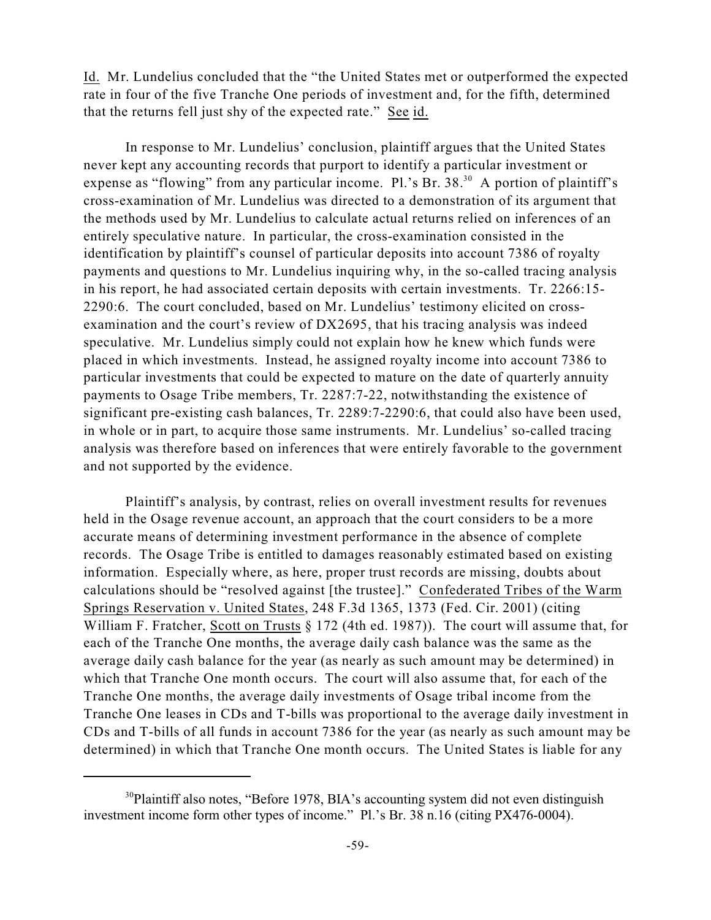Id. Mr. Lundelius concluded that the "the United States met or outperformed the expected rate in four of the five Tranche One periods of investment and, for the fifth, determined that the returns fell just shy of the expected rate." See id.

In response to Mr. Lundelius' conclusion, plaintiff argues that the United States never kept any accounting records that purport to identify a particular investment or expense as "flowing" from any particular income. Pl.'s Br.  $38.^{30}$  A portion of plaintiff's cross-examination of Mr. Lundelius was directed to a demonstration of its argument that the methods used by Mr. Lundelius to calculate actual returns relied on inferences of an entirely speculative nature. In particular, the cross-examination consisted in the identification by plaintiff's counsel of particular deposits into account 7386 of royalty payments and questions to Mr. Lundelius inquiring why, in the so-called tracing analysis in his report, he had associated certain deposits with certain investments. Tr. 2266:15- 2290:6. The court concluded, based on Mr. Lundelius' testimony elicited on crossexamination and the court's review of DX2695, that his tracing analysis was indeed speculative. Mr. Lundelius simply could not explain how he knew which funds were placed in which investments. Instead, he assigned royalty income into account 7386 to particular investments that could be expected to mature on the date of quarterly annuity payments to Osage Tribe members, Tr. 2287:7-22, notwithstanding the existence of significant pre-existing cash balances, Tr. 2289:7-2290:6, that could also have been used, in whole or in part, to acquire those same instruments. Mr. Lundelius' so-called tracing analysis was therefore based on inferences that were entirely favorable to the government and not supported by the evidence.

Plaintiff's analysis, by contrast, relies on overall investment results for revenues held in the Osage revenue account, an approach that the court considers to be a more accurate means of determining investment performance in the absence of complete records. The Osage Tribe is entitled to damages reasonably estimated based on existing information. Especially where, as here, proper trust records are missing, doubts about calculations should be "resolved against [the trustee]." Confederated Tribes of the Warm Springs Reservation v. United States, 248 F.3d 1365, 1373 (Fed. Cir. 2001) (citing William F. Fratcher, Scott on Trusts § 172 (4th ed. 1987)). The court will assume that, for each of the Tranche One months, the average daily cash balance was the same as the average daily cash balance for the year (as nearly as such amount may be determined) in which that Tranche One month occurs. The court will also assume that, for each of the Tranche One months, the average daily investments of Osage tribal income from the Tranche One leases in CDs and T-bills was proportional to the average daily investment in CDs and T-bills of all funds in account 7386 for the year (as nearly as such amount may be determined) in which that Tranche One month occurs. The United States is liable for any

<sup>&</sup>lt;sup>30</sup>Plaintiff also notes, "Before 1978, BIA's accounting system did not even distinguish investment income form other types of income." Pl.'s Br. 38 n.16 (citing PX476-0004).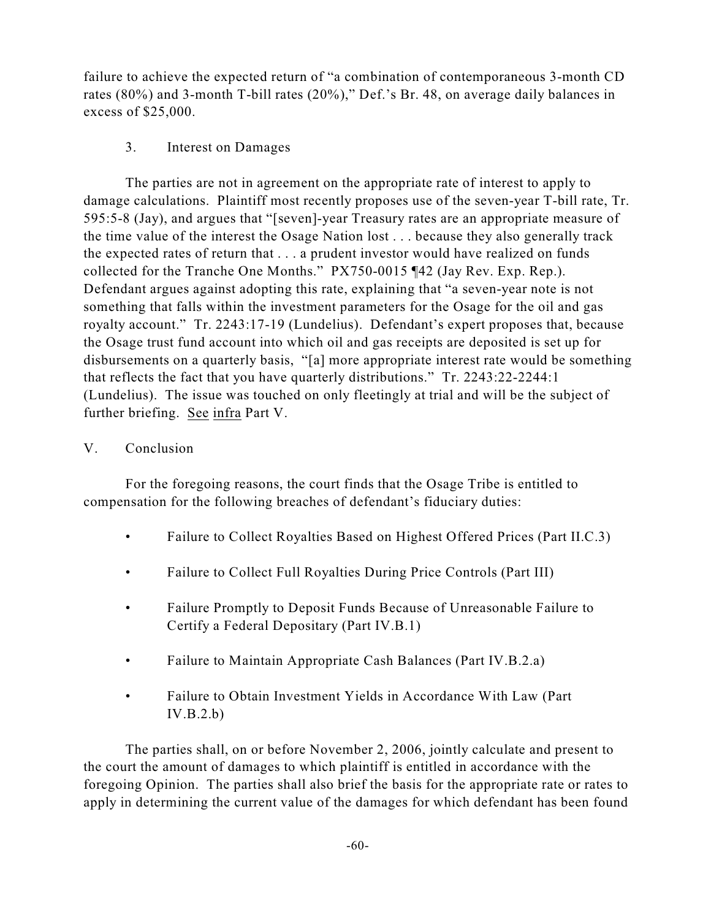failure to achieve the expected return of "a combination of contemporaneous 3-month CD rates (80%) and 3-month T-bill rates (20%)," Def.'s Br. 48, on average daily balances in excess of \$25,000.

# 3. Interest on Damages

The parties are not in agreement on the appropriate rate of interest to apply to damage calculations. Plaintiff most recently proposes use of the seven-year T-bill rate, Tr. 595:5-8 (Jay), and argues that "[seven]-year Treasury rates are an appropriate measure of the time value of the interest the Osage Nation lost . . . because they also generally track the expected rates of return that . . . a prudent investor would have realized on funds collected for the Tranche One Months." PX750-0015 ¶42 (Jay Rev. Exp. Rep.). Defendant argues against adopting this rate, explaining that "a seven-year note is not something that falls within the investment parameters for the Osage for the oil and gas royalty account." Tr. 2243:17-19 (Lundelius). Defendant's expert proposes that, because the Osage trust fund account into which oil and gas receipts are deposited is set up for disbursements on a quarterly basis, "[a] more appropriate interest rate would be something that reflects the fact that you have quarterly distributions." Tr. 2243:22-2244:1 (Lundelius). The issue was touched on only fleetingly at trial and will be the subject of further briefing. See infra Part V.

# V. Conclusion

For the foregoing reasons, the court finds that the Osage Tribe is entitled to compensation for the following breaches of defendant's fiduciary duties:

- Failure to Collect Royalties Based on Highest Offered Prices (Part II.C.3)
- Failure to Collect Full Royalties During Price Controls (Part III)
- Failure Promptly to Deposit Funds Because of Unreasonable Failure to Certify a Federal Depositary (Part IV.B.1)
- Failure to Maintain Appropriate Cash Balances (Part IV.B.2.a)
- Failure to Obtain Investment Yields in Accordance With Law (Part  $IV.B.2.b)$

The parties shall, on or before November 2, 2006, jointly calculate and present to the court the amount of damages to which plaintiff is entitled in accordance with the foregoing Opinion. The parties shall also brief the basis for the appropriate rate or rates to apply in determining the current value of the damages for which defendant has been found